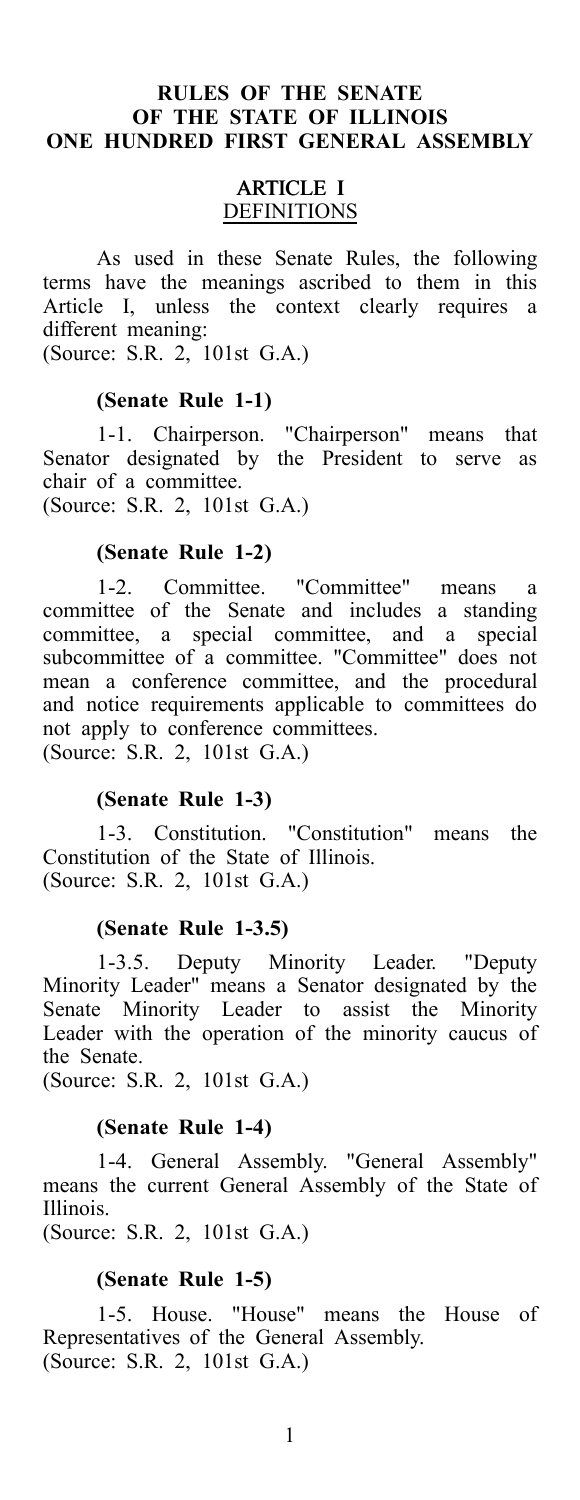### **RULES OF THE SENATE OF THE STATE OF ILLINOIS ONE HUNDRED FIRST GENERAL ASSEMBLY**

### ARTICLE I DEFINITIONS

As used in these Senate Rules, the following terms have the meanings ascribed to them in this Article I, unless the context clearly requires a different meaning:

(Source: S.R. 2, 101st G.A.)

#### **(Senate Rule 1-1)**

1-1. Chairperson. "Chairperson" means that Senator designated by the President to serve as chair of a committee.

(Source: S.R. 2, 101st G.A.)

### **(Senate Rule 1-2)**

1-2. Committee. "Committee" means a committee of the Senate and includes a standing committee, a special committee, and a special subcommittee of a committee. "Committee" does not mean a conference committee, and the procedural and notice requirements applicable to committees do not apply to conference committees. (Source: S.R. 2, 101st G.A.)

### **(Senate Rule 1-3)**

1-3. Constitution. "Constitution" means the Constitution of the State of Illinois. (Source: S.R. 2, 101st G.A.)

### **(Senate Rule 1-3.5)**

1-3.5. Deputy Minority Leader. "Deputy Minority Leader" means a Senator designated by the Senate Minority Leader to assist the Minority Leader with the operation of the minority caucus of the Senate.

(Source: S.R. 2, 101st G.A.)

#### **(Senate Rule 1-4)**

1-4. General Assembly. "General Assembly" means the current General Assembly of the State of Illinois.

(Source: S.R. 2, 101st G.A.)

#### **(Senate Rule 1-5)**

1-5. House. "House" means the House of Representatives of the General Assembly. (Source: S.R. 2, 101st G.A.)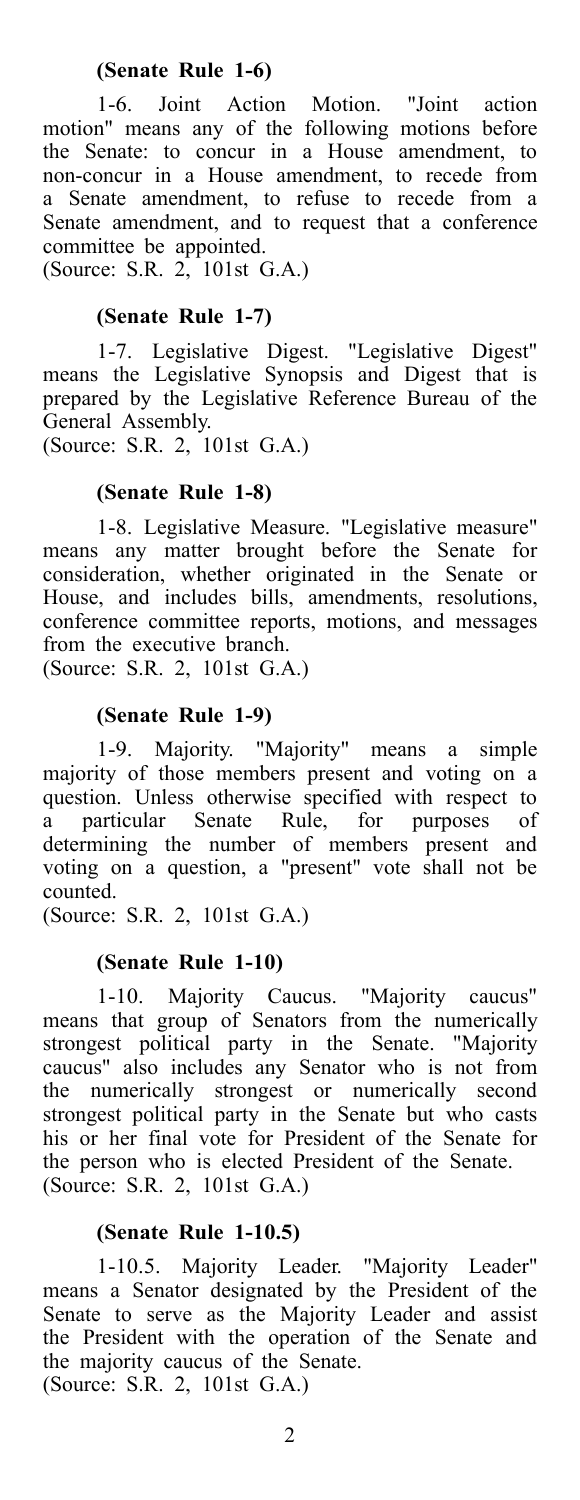1-6. Joint Action Motion. "Joint action motion" means any of the following motions before the Senate: to concur in a House amendment, to non-concur in a House amendment, to recede from a Senate amendment, to refuse to recede from a Senate amendment, and to request that a conference committee be appointed.

(Source: S.R. 2, 101st G.A.)

### **(Senate Rule 1-7)**

1-7. Legislative Digest. "Legislative Digest" means the Legislative Synopsis and Digest that is prepared by the Legislative Reference Bureau of the General Assembly.

(Source: S.R. 2, 101st G.A.)

### **(Senate Rule 1-8)**

1-8. Legislative Measure. "Legislative measure" means any matter brought before the Senate for consideration, whether originated in the Senate or House, and includes bills, amendments, resolutions, conference committee reports, motions, and messages from the executive branch.

(Source: S.R. 2, 101st G.A.)

#### **(Senate Rule 1-9)**

1-9. Majority. "Majority" means a simple majority of those members present and voting on a question. Unless otherwise specified with respect to a particular Senate Rule, for purposes of determining the number of members present and voting on a question, a "present" vote shall not be counted.

(Source: S.R. 2, 101st G.A.)

#### **(Senate Rule 1-10)**

1-10. Majority Caucus. "Majority caucus" means that group of Senators from the numerically strongest political party in the Senate. "Majority caucus" also includes any Senator who is not from the numerically strongest or numerically second strongest political party in the Senate but who casts his or her final vote for President of the Senate for the person who is elected President of the Senate. (Source: S.R. 2, 101st G.A.)

### **(Senate Rule 1-10.5)**

1-10.5. Majority Leader. "Majority Leader" means a Senator designated by the President of the Senate to serve as the Majority Leader and assist the President with the operation of the Senate and the majority caucus of the Senate. (Source: S.R. 2, 101st G.A.)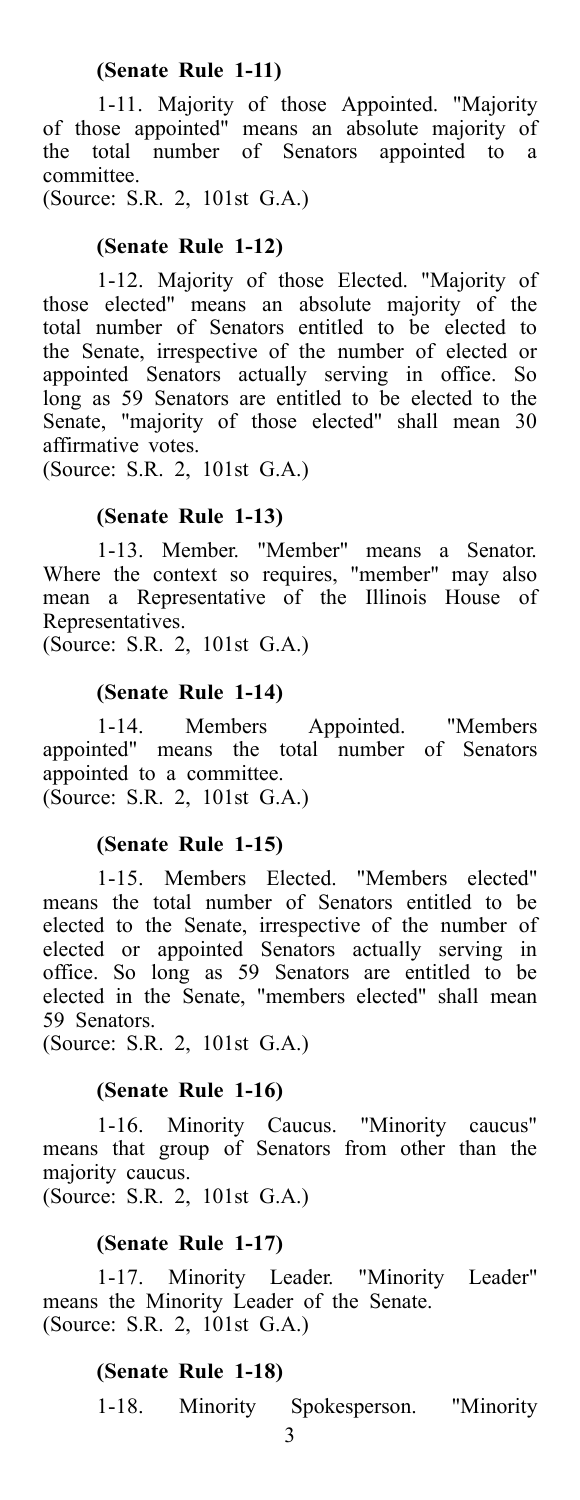### **(Senate Rule 1-11)**

1-11. Majority of those Appointed. "Majority of those appointed" means an absolute majority of the total number of Senators appointed to a committee.

(Source: S.R. 2, 101st G.A.)

### **(Senate Rule 1-12)**

1-12. Majority of those Elected. "Majority of those elected" means an absolute majority of the total number of Senators entitled to be elected to the Senate, irrespective of the number of elected or appointed Senators actually serving in office. So long as 59 Senators are entitled to be elected to the Senate, "majority of those elected" shall mean 30 affirmative votes.

(Source: S.R. 2, 101st G.A.)

### **(Senate Rule 1-13)**

1-13. Member. "Member" means a Senator. Where the context so requires, "member" may also mean a Representative of the Illinois House of Representatives.

(Source: S.R. 2, 101st G.A.)

### **(Senate Rule 1-14)**

1-14. Members Appointed. "Members appointed" means the total number of Senators appointed to a committee. (Source: S.R. 2, 101st G.A.)

### **(Senate Rule 1-15)**

1-15. Members Elected. "Members elected" means the total number of Senators entitled to be elected to the Senate, irrespective of the number of elected or appointed Senators actually serving in office. So long as 59 Senators are entitled to be elected in the Senate, "members elected" shall mean 59 Senators.

(Source: S.R. 2, 101st G.A.)

### **(Senate Rule 1-16)**

1-16. Minority Caucus. "Minority caucus" means that group of Senators from other than the majority caucus. (Source: S.R. 2, 101st G.A.)

### **(Senate Rule 1-17)**

1-17. Minority Leader. "Minority Leader" means the Minority Leader of the Senate. (Source: S.R. 2, 101st G.A.)

### **(Senate Rule 1-18)**

1-18. Minority Spokesperson. "Minority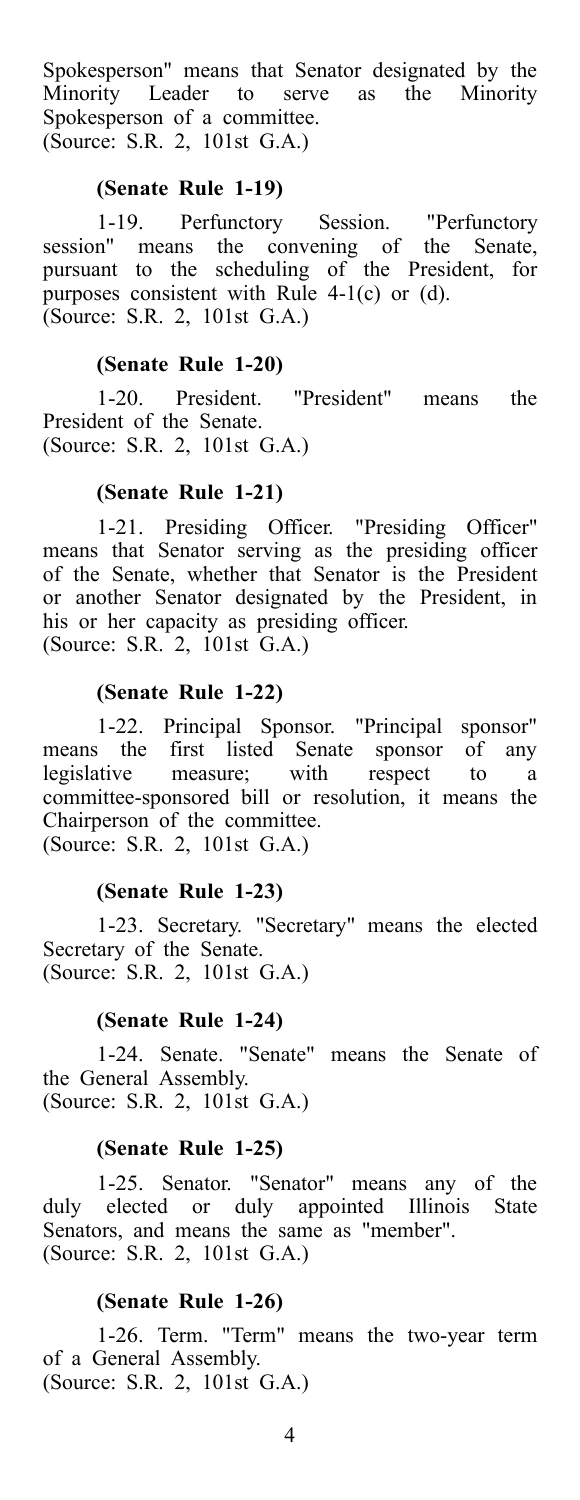Spokesperson" means that Senator designated by the<br>Minority Leader to serve as the Minority Minority Leader to serve as Spokesperson of a committee. (Source: S.R. 2, 101st G.A.)

### **(Senate Rule 1-19)**

1-19. Perfunctory Session. "Perfunctory session" means the convening of the Senate, pursuant to the scheduling of the President, for purposes consistent with Rule 4-1(c) or (d). (Source: S.R. 2, 101st G.A.)

### **(Senate Rule 1-20)**

1-20. President. "President" means the President of the Senate. (Source: S.R. 2, 101st G.A.)

#### **(Senate Rule 1-21)**

1-21. Presiding Officer. "Presiding Officer" means that Senator serving as the presiding officer of the Senate, whether that Senator is the President or another Senator designated by the President, in his or her capacity as presiding officer. (Source: S.R. 2, 101st G.A.)

#### **(Senate Rule 1-22)**

1-22. Principal Sponsor. "Principal sponsor" means the first listed Senate sponsor of any legislative measure; with respect to a committee-sponsored bill or resolution, it means the Chairperson of the committee. (Source: S.R. 2, 101st G.A.)

#### **(Senate Rule 1-23)**

1-23. Secretary. "Secretary" means the elected Secretary of the Senate. (Source: S.R. 2, 101st G.A.)

#### **(Senate Rule 1-24)**

1-24. Senate. "Senate" means the Senate of the General Assembly. (Source: S.R. 2, 101st G.A.)

### **(Senate Rule 1-25)**

1-25. Senator. "Senator" means any of the duly elected or duly appointed Illinois State Senators, and means the same as "member". (Source: S.R. 2, 101st G.A.)

#### **(Senate Rule 1-26)**

1-26. Term. "Term" means the two-year term of a General Assembly. (Source: S.R. 2, 101st G.A.)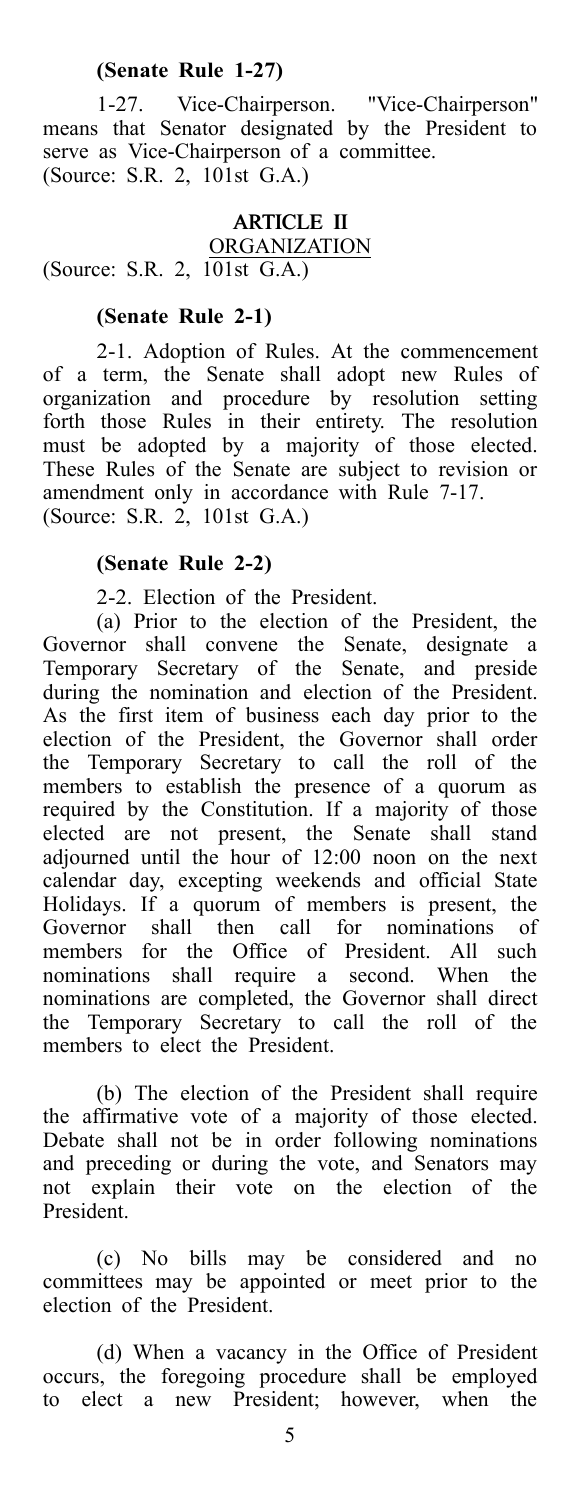### **(Senate Rule 1-27)**

1-27. Vice-Chairperson. "Vice-Chairperson" means that Senator designated by the President to serve as Vice-Chairperson of a committee. (Source: S.R. 2, 101st G.A.)

#### ARTICLE II

**ORGANIZATION** 

(Source: S.R. 2, 101st G.A.)

### **(Senate Rule 2-1)**

2-1. Adoption of Rules. At the commencement of a term, the Senate shall adopt new Rules of organization and procedure by resolution setting forth those Rules in their entirety. The resolution must be adopted by a majority of those elected. These Rules of the Senate are subject to revision or amendment only in accordance with Rule 7-17. (Source: S.R. 2, 101st G.A.)

### **(Senate Rule 2-2)**

2-2. Election of the President.

(a) Prior to the election of the President, the Governor shall convene the Senate, designate a Temporary Secretary of the Senate, and preside during the nomination and election of the President. As the first item of business each day prior to the election of the President, the Governor shall order the Temporary Secretary to call the roll of the members to establish the presence of a quorum as required by the Constitution. If a majority of those elected are not present, the Senate shall stand adjourned until the hour of 12:00 noon on the next calendar day, excepting weekends and official State Holidays. If a quorum of members is present, the Governor shall then call for nominations of members for the Office of President. All such nominations shall require a second. When the nominations are completed, the Governor shall direct the Temporary Secretary to call the roll of the members to elect the President.

(b) The election of the President shall require the affirmative vote of a majority of those elected. Debate shall not be in order following nominations and preceding or during the vote, and Senators may not explain their vote on the election of the President.

(c) No bills may be considered and no committees may be appointed or meet prior to the election of the President.

(d) When a vacancy in the Office of President occurs, the foregoing procedure shall be employed to elect a new President; however, when the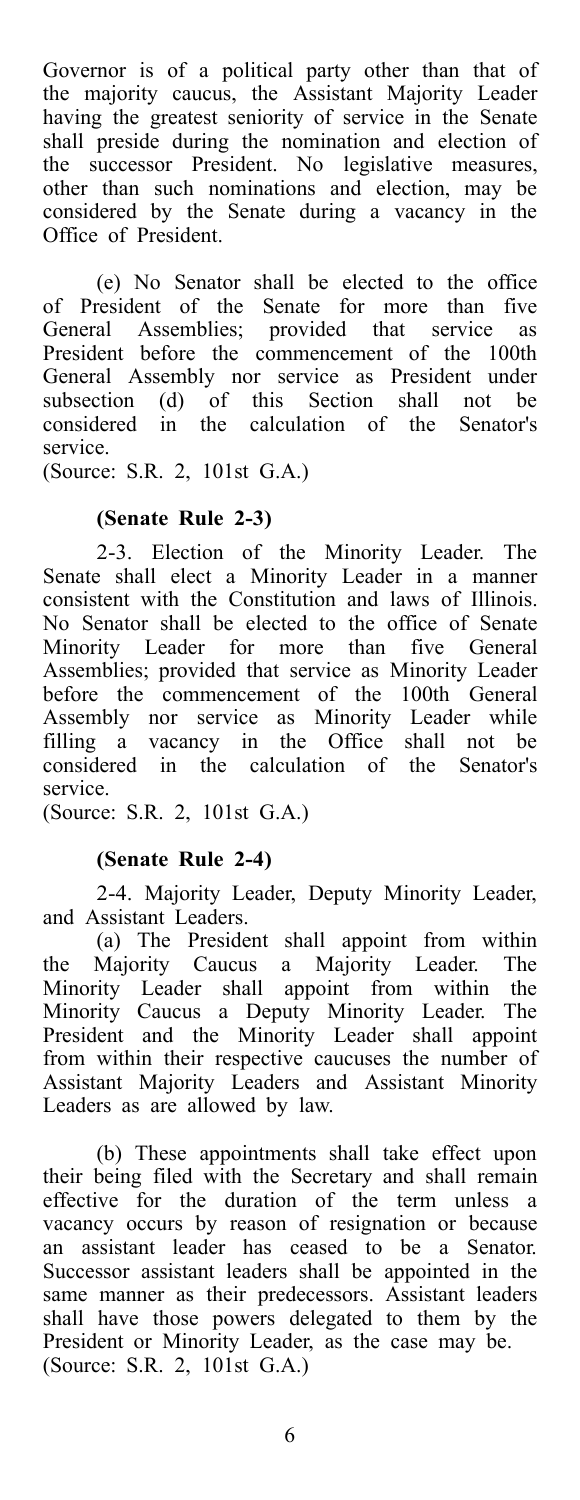Governor is of a political party other than that of the majority caucus, the Assistant Majority Leader having the greatest seniority of service in the Senate shall preside during the nomination and election of the successor President. No legislative measures, other than such nominations and election, may be considered by the Senate during a vacancy in the Office of President.

(e) No Senator shall be elected to the office of President of the Senate for more than five General Assemblies; provided that service as President before the commencement of the 100th General Assembly nor service as President under subsection (d) of this Section shall not be considered in the calculation of the Senator's service.

(Source: S.R. 2, 101st G.A.)

### **(Senate Rule 2-3)**

2-3. Election of the Minority Leader. The Senate shall elect a Minority Leader in a manner consistent with the Constitution and laws of Illinois. No Senator shall be elected to the office of Senate Minority Leader for more than five General Assemblies; provided that service as Minority Leader before the commencement of the 100th General Assembly nor service as Minority Leader while filling a vacancy in the Office shall not be considered in the calculation of the Senator's service.

(Source: S.R. 2, 101st G.A.)

### **(Senate Rule 2-4)**

2-4. Majority Leader, Deputy Minority Leader, and Assistant Leaders.

(a) The President shall appoint from within the Majority Caucus a Majority Leader. The Minority Leader shall appoint from within the Minority Caucus a Deputy Minority Leader. The President and the Minority Leader shall appoint from within their respective caucuses the number of Assistant Majority Leaders and Assistant Minority Leaders as are allowed by law.

(b) These appointments shall take effect upon their being filed with the Secretary and shall remain effective for the duration of the term unless a vacancy occurs by reason of resignation or because an assistant leader has ceased to be a Senator. Successor assistant leaders shall be appointed in the same manner as their predecessors. Assistant leaders shall have those powers delegated to them by the President or Minority Leader, as the case may be. (Source: S.R. 2, 101st G.A.)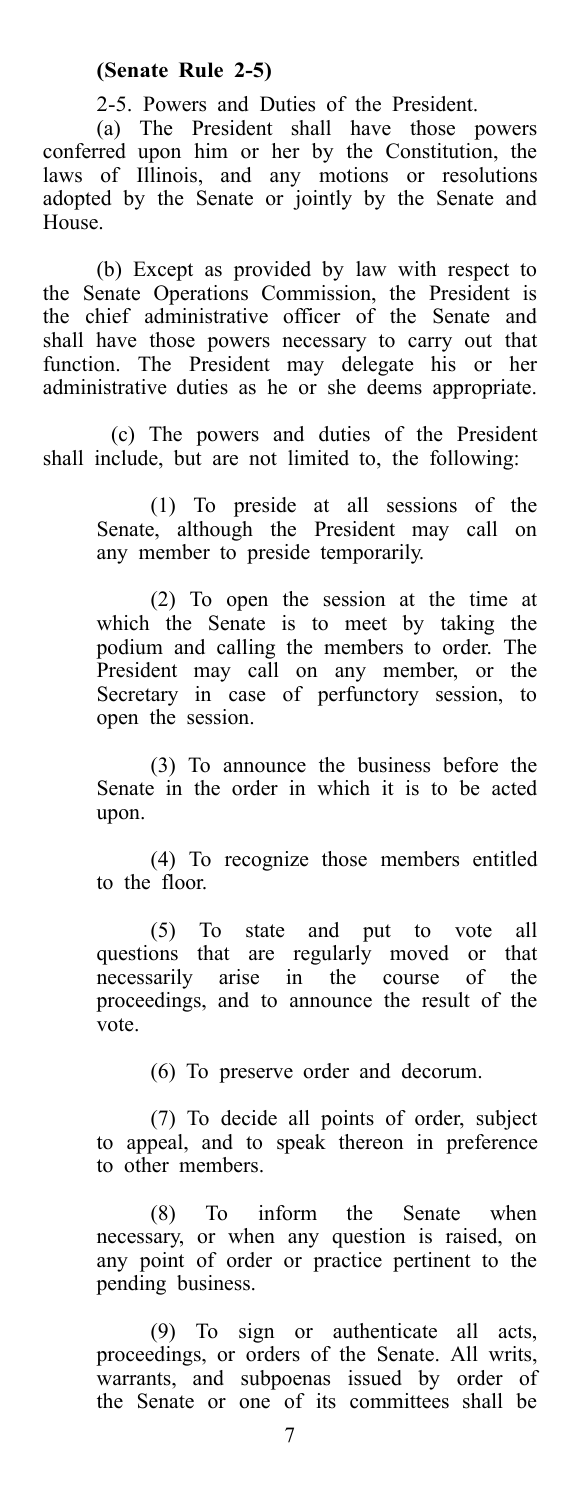2-5. Powers and Duties of the President.

(a) The President shall have those powers conferred upon him or her by the Constitution, the laws of Illinois, and any motions or resolutions adopted by the Senate or jointly by the Senate and House.

(b) Except as provided by law with respect to the Senate Operations Commission, the President is the chief administrative officer of the Senate and shall have those powers necessary to carry out that function. The President may delegate his or her administrative duties as he or she deems appropriate.

(c) The powers and duties of the President shall include, but are not limited to, the following:

> (1) To preside at all sessions of the Senate, although the President may call on any member to preside temporarily.

> (2) To open the session at the time at which the Senate is to meet by taking the podium and calling the members to order. The President may call on any member, or the Secretary in case of perfunctory session, to open the session.

> (3) To announce the business before the Senate in the order in which it is to be acted upon.

> (4) To recognize those members entitled to the floor.

> (5) To state and put to vote all questions that are regularly moved or that necessarily arise in the course of the proceedings, and to announce the result of the vote.

> > (6) To preserve order and decorum.

(7) To decide all points of order, subject to appeal, and to speak thereon in preference to other members.

(8) To inform the Senate when necessary, or when any question is raised, on any point of order or practice pertinent to the pending business.

(9) To sign or authenticate all acts, proceedings, or orders of the Senate. All writs, warrants, and subpoenas issued by order of the Senate or one of its committees shall be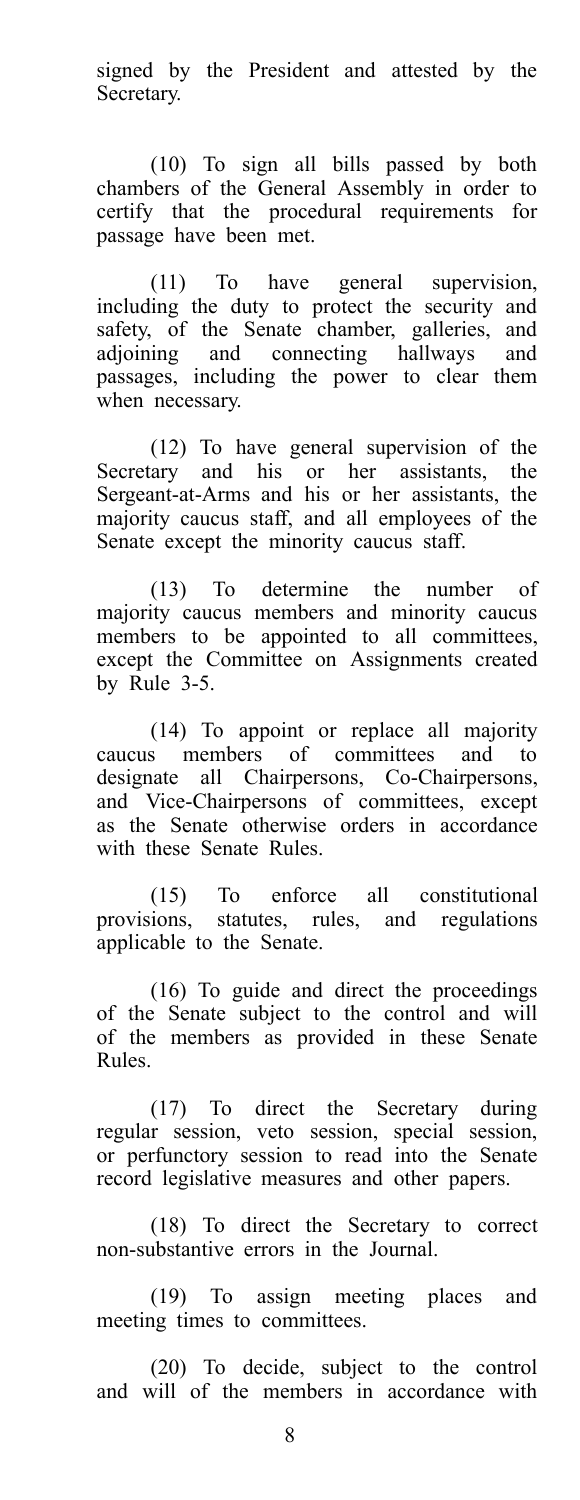signed by the President and attested by the Secretary.

(10) To sign all bills passed by both chambers of the General Assembly in order to certify that the procedural requirements for passage have been met.

(11) To have general supervision, including the duty to protect the security and safety, of the Senate chamber, galleries, and adjoining and connecting hallways and passages, including the power to clear them when necessary.

(12) To have general supervision of the Secretary and his or her assistants, the Sergeant-at-Arms and his or her assistants, the majority caucus staff, and all employees of the Senate except the minority caucus staff.

(13) To determine the number of majority caucus members and minority caucus members to be appointed to all committees, except the Committee on Assignments created by Rule 3-5.

(14) To appoint or replace all majority caucus members of committees and to designate all Chairpersons, Co-Chairpersons, and Vice-Chairpersons of committees, except as the Senate otherwise orders in accordance with these Senate Rules.

(15) To enforce all constitutional provisions, statutes, rules, and regulations applicable to the Senate.

(16) To guide and direct the proceedings of the Senate subject to the control and will of the members as provided in these Senate Rules.

(17) To direct the Secretary during regular session, veto session, special session, or perfunctory session to read into the Senate record legislative measures and other papers.

(18) To direct the Secretary to correct non-substantive errors in the Journal.

(19) To assign meeting places and meeting times to committees.

(20) To decide, subject to the control and will of the members in accordance with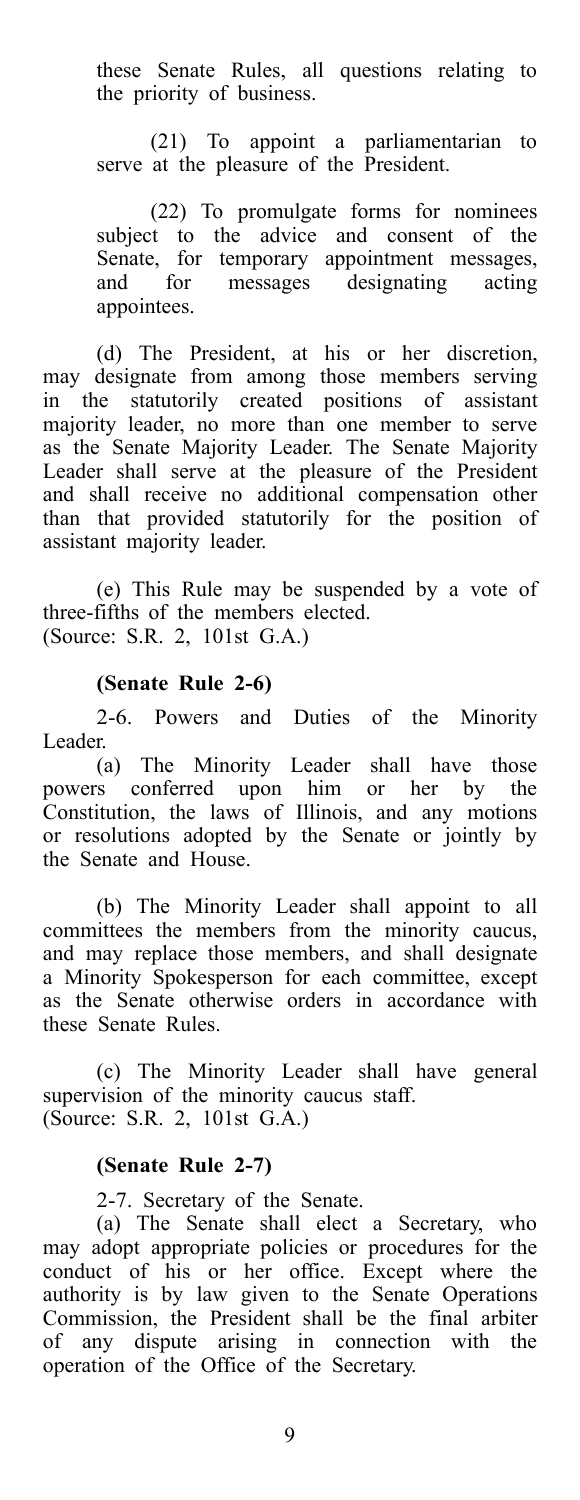these Senate Rules, all questions relating to the priority of business.

(21) To appoint a parliamentarian to serve at the pleasure of the President.

(22) To promulgate forms for nominees subject to the advice and consent of the Senate, for temporary appointment messages, and for messages designating acting appointees.

(d) The President, at his or her discretion, may designate from among those members serving in the statutorily created positions of assistant majority leader, no more than one member to serve as the Senate Majority Leader. The Senate Majority Leader shall serve at the pleasure of the President and shall receive no additional compensation other than that provided statutorily for the position of assistant majority leader.

(e) This Rule may be suspended by a vote of three-fifths of the members elected. (Source: S.R. 2, 101st G.A.)

### **(Senate Rule 2-6)**

2-6. Powers and Duties of the Minority Leader.

(a) The Minority Leader shall have those powers conferred upon him or her by the Constitution, the laws of Illinois, and any motions or resolutions adopted by the Senate or jointly by the Senate and House.

(b) The Minority Leader shall appoint to all committees the members from the minority caucus, and may replace those members, and shall designate a Minority Spokesperson for each committee, except as the Senate otherwise orders in accordance with these Senate Rules.

(c) The Minority Leader shall have general supervision of the minority caucus staff. (Source: S.R. 2, 101st G.A.)

#### **(Senate Rule 2-7)**

2-7. Secretary of the Senate.

(a) The Senate shall elect a Secretary, who may adopt appropriate policies or procedures for the conduct of his or her office. Except where the authority is by law given to the Senate Operations Commission, the President shall be the final arbiter of any dispute arising in connection with the operation of the Office of the Secretary.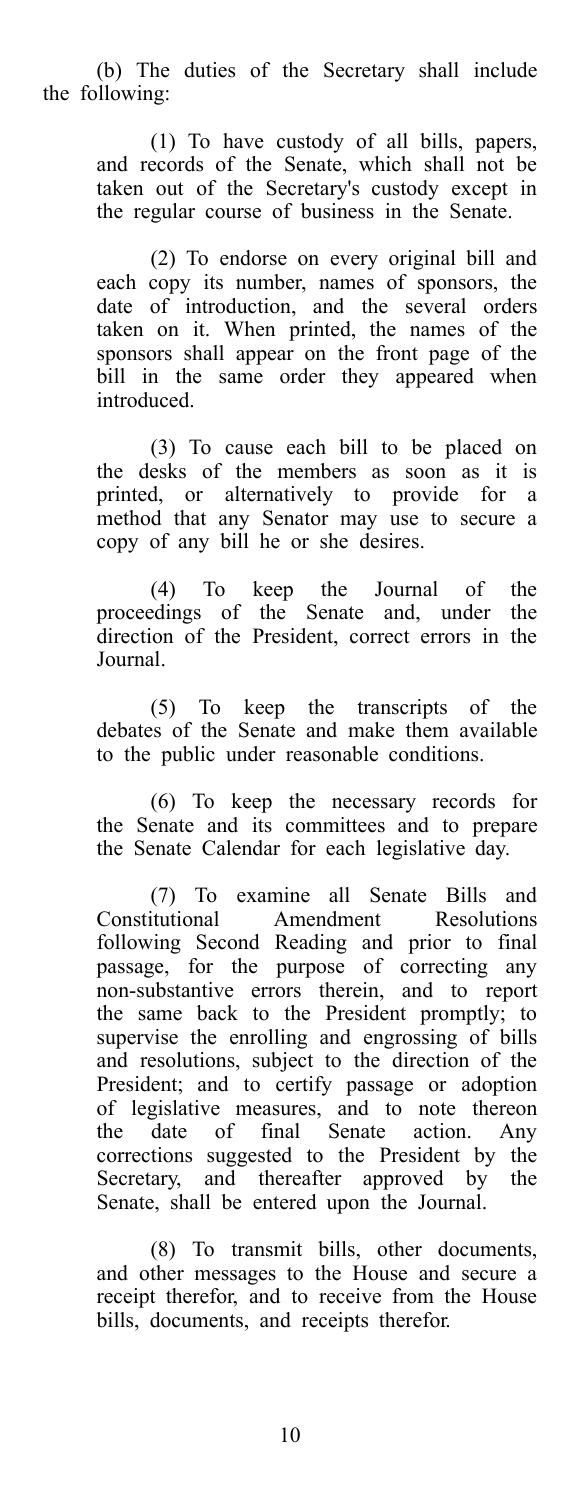(b) The duties of the Secretary shall include the following:

> (1) To have custody of all bills, papers, and records of the Senate, which shall not be taken out of the Secretary's custody except in the regular course of business in the Senate.

> (2) To endorse on every original bill and each copy its number, names of sponsors, the date of introduction, and the several orders taken on it. When printed, the names of the sponsors shall appear on the front page of the bill in the same order they appeared when introduced.

> (3) To cause each bill to be placed on the desks of the members as soon as it is printed, or alternatively to provide for a method that any Senator may use to secure a copy of any bill he or she desires.

> (4) To keep the Journal of the proceedings of the Senate and, under the direction of the President, correct errors in the Journal.

> (5) To keep the transcripts of the debates of the Senate and make them available to the public under reasonable conditions.

> (6) To keep the necessary records for the Senate and its committees and to prepare the Senate Calendar for each legislative day.

> (7) To examine all Senate Bills and Amendment Resolutions following Second Reading and prior to final passage, for the purpose of correcting any non-substantive errors therein, and to report the same back to the President promptly; to supervise the enrolling and engrossing of bills and resolutions, subject to the direction of the President; and to certify passage or adoption of legislative measures, and to note thereon the date of final Senate action. Any corrections suggested to the President by the Secretary, and thereafter approved by the Senate, shall be entered upon the Journal.

> (8) To transmit bills, other documents, and other messages to the House and secure a receipt therefor, and to receive from the House bills, documents, and receipts therefor.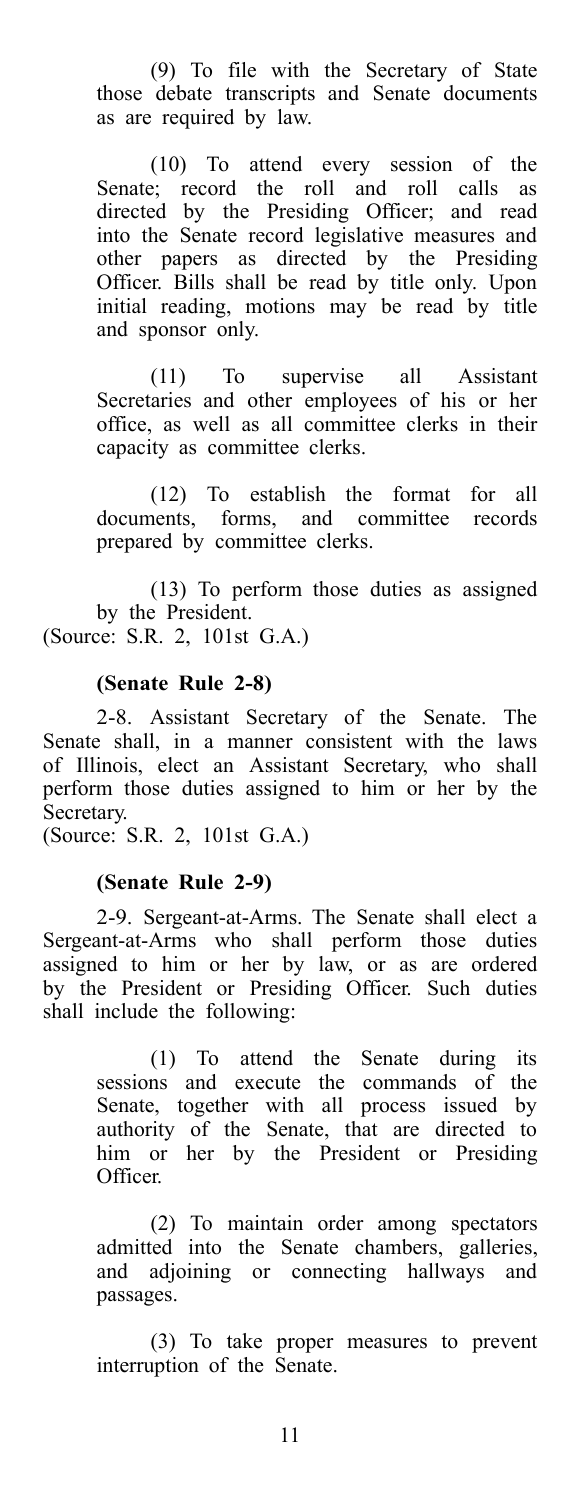(9) To file with the Secretary of State those debate transcripts and Senate documents as are required by law.

(10) To attend every session of the Senate; record the roll and roll calls as directed by the Presiding Officer; and read into the Senate record legislative measures and other papers as directed by the Presiding Officer. Bills shall be read by title only. Upon initial reading, motions may be read by title and sponsor only.

(11) To supervise all Assistant Secretaries and other employees of his or her office, as well as all committee clerks in their capacity as committee clerks.

(12) To establish the format for all documents, forms, and committee records prepared by committee clerks.

(13) To perform those duties as assigned by the President.

(Source: S.R. 2, 101st G.A.)

#### **(Senate Rule 2-8)**

2-8. Assistant Secretary of the Senate. The Senate shall, in a manner consistent with the laws of Illinois, elect an Assistant Secretary, who shall perform those duties assigned to him or her by the Secretary.

(Source: S.R. 2, 101st G.A.)

#### **(Senate Rule 2-9)**

2-9. Sergeant-at-Arms. The Senate shall elect a Sergeant-at-Arms who shall perform those duties assigned to him or her by law, or as are ordered by the President or Presiding Officer. Such duties shall include the following:

> (1) To attend the Senate during its sessions and execute the commands of the Senate, together with all process issued by authority of the Senate, that are directed to him or her by the President or Presiding Officer.

> (2) To maintain order among spectators admitted into the Senate chambers, galleries, and adjoining or connecting hallways and passages.

> (3) To take proper measures to prevent interruption of the Senate.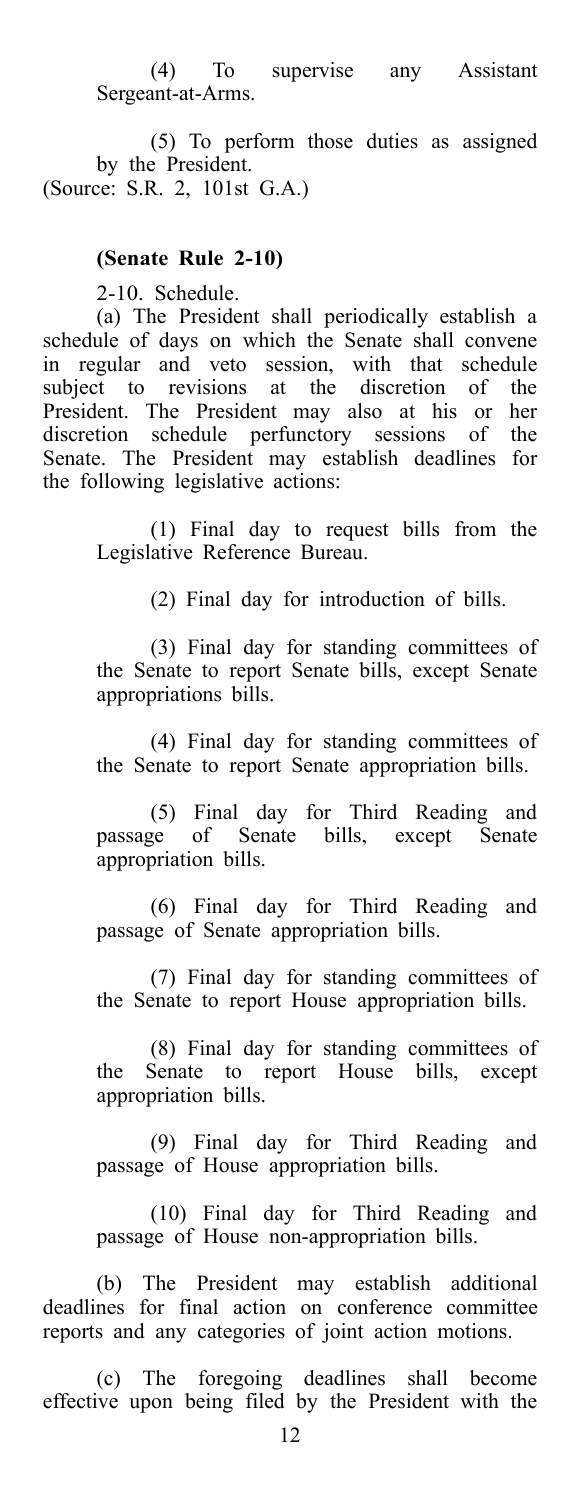(4) To supervise any Assistant Sergeant-at-Arms.

(5) To perform those duties as assigned by the President. (Source: S.R. 2, 101st G.A.)

#### **(Senate Rule 2-10)**

2-10. Schedule.

(a) The President shall periodically establish a schedule of days on which the Senate shall convene in regular and veto session, with that schedule subject to revisions at the discretion of the President. The President may also at his or her discretion schedule perfunctory sessions of the Senate. The President may establish deadlines for the following legislative actions:

> (1) Final day to request bills from the Legislative Reference Bureau.

> > (2) Final day for introduction of bills.

(3) Final day for standing committees of the Senate to report Senate bills, except Senate appropriations bills.

(4) Final day for standing committees of the Senate to report Senate appropriation bills.

(5) Final day for Third Reading and passage of Senate bills, except Senate appropriation bills.

(6) Final day for Third Reading and passage of Senate appropriation bills.

(7) Final day for standing committees of the Senate to report House appropriation bills.

(8) Final day for standing committees of the Senate to report House bills, except appropriation bills.

(9) Final day for Third Reading and passage of House appropriation bills.

(10) Final day for Third Reading and passage of House non-appropriation bills.

(b) The President may establish additional deadlines for final action on conference committee reports and any categories of joint action motions.

(c) The foregoing deadlines shall become effective upon being filed by the President with the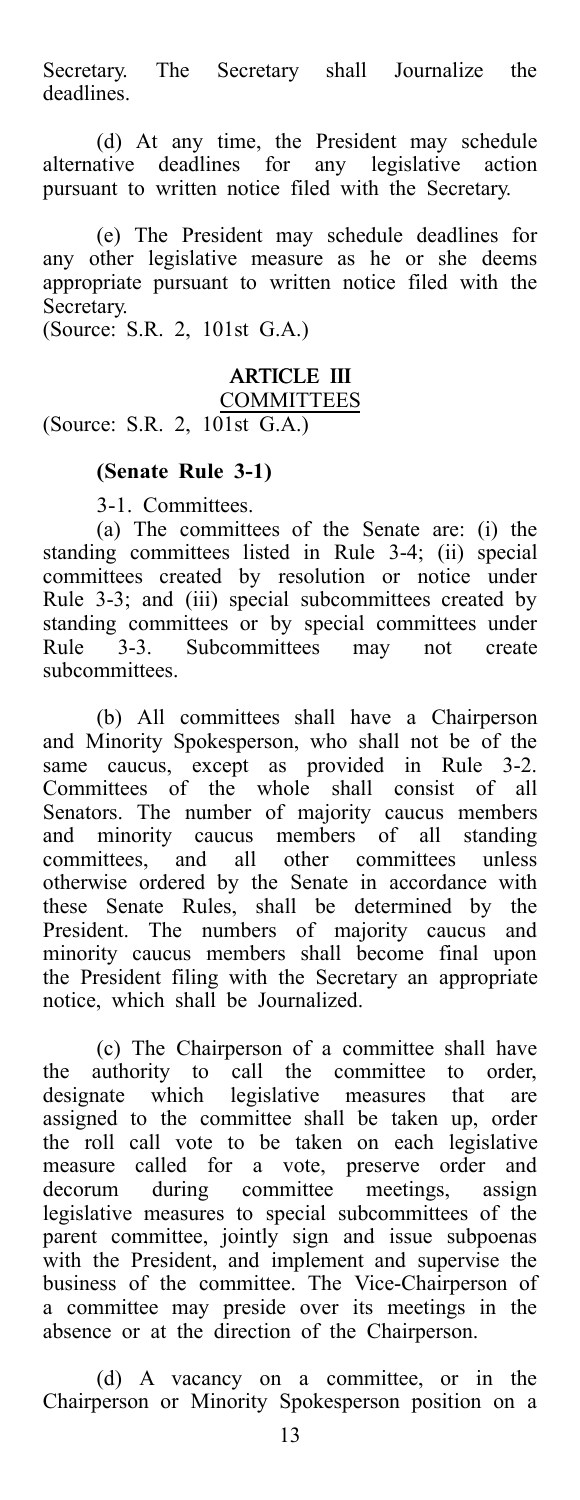Secretary. The Secretary shall Journalize the deadlines.

(d) At any time, the President may schedule alternative deadlines for any legislative action pursuant to written notice filed with the Secretary.

(e) The President may schedule deadlines for any other legislative measure as he or she deems appropriate pursuant to written notice filed with the Secretary.

(Source: S.R. 2, 101st G.A.)

### ARTICLE III

**COMMITTEES** 

(Source: S.R. 2, 101st G.A.)

### **(Senate Rule 3-1)**

3-1. Committees.

(a) The committees of the Senate are: (i) the standing committees listed in Rule 3-4; (ii) special committees created by resolution or notice under Rule 3-3; and (iii) special subcommittees created by standing committees or by special committees under<br>Rule 3-3. Subcommittees may not create 3-3. Subcommittees may not create subcommittees.

(b) All committees shall have a Chairperson and Minority Spokesperson, who shall not be of the same caucus, except as provided in Rule 3-2. Committees of the whole shall consist of all Senators. The number of majority caucus members and minority caucus members of all standing committees, and all other committees unless otherwise ordered by the Senate in accordance with these Senate Rules, shall be determined by the President. The numbers of majority caucus and minority caucus members shall become final upon the President filing with the Secretary an appropriate notice, which shall be Journalized.

(c) The Chairperson of a committee shall have the authority to call the committee to order, designate which legislative measures that are assigned to the committee shall be taken up, order the roll call vote to be taken on each legislative measure called for a vote, preserve order and decorum during committee meetings, assign legislative measures to special subcommittees of the parent committee, jointly sign and issue subpoenas with the President, and implement and supervise the business of the committee. The Vice-Chairperson of a committee may preside over its meetings in the absence or at the direction of the Chairperson.

(d) A vacancy on a committee, or in the Chairperson or Minority Spokesperson position on a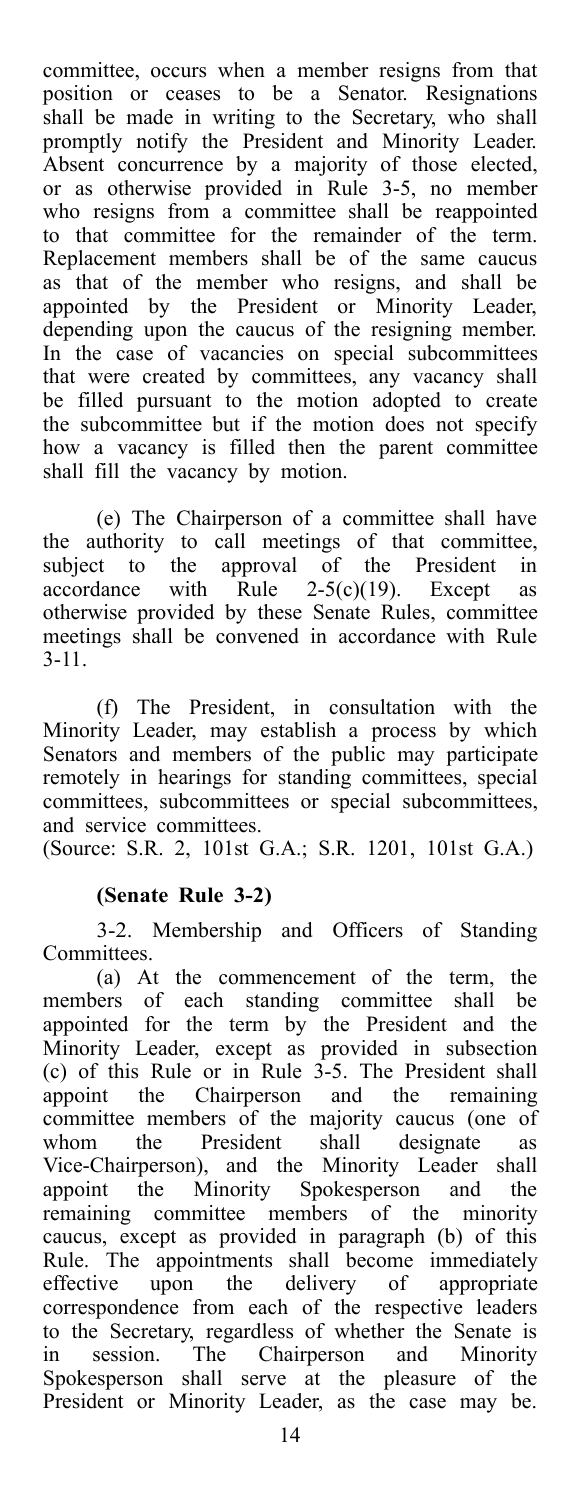committee, occurs when a member resigns from that position or ceases to be a Senator. Resignations shall be made in writing to the Secretary, who shall promptly notify the President and Minority Leader. Absent concurrence by a majority of those elected, or as otherwise provided in Rule 3-5, no member who resigns from a committee shall be reappointed to that committee for the remainder of the term. Replacement members shall be of the same caucus as that of the member who resigns, and shall be appointed by the President or Minority Leader, depending upon the caucus of the resigning member. In the case of vacancies on special subcommittees that were created by committees, any vacancy shall be filled pursuant to the motion adopted to create the subcommittee but if the motion does not specify how a vacancy is filled then the parent committee shall fill the vacancy by motion.

(e) The Chairperson of a committee shall have the authority to call meetings of that committee, subject to the approval of the President in accordance with Rule 2-5(c)(19). Except as otherwise provided by these Senate Rules, committee meetings shall be convened in accordance with Rule 3-11.

(f) The President, in consultation with the Minority Leader, may establish a process by which Senators and members of the public may participate remotely in hearings for standing committees, special committees, subcommittees or special subcommittees, and service committees.

(Source: S.R. 2, 101st G.A.; S.R. 1201, 101st G.A.)

### **(Senate Rule 3-2)**

3-2. Membership and Officers of Standing Committees.

(a) At the commencement of the term, the members of each standing committee shall be appointed for the term by the President and the Minority Leader, except as provided in subsection (c) of this Rule or in Rule 3-5. The President shall appoint the Chairperson and the remaining committee members of the majority caucus (one of whom the President shall designate as Vice-Chairperson), and the Minority Leader shall appoint the Minority Spokesperson and the remaining committee members of the minority caucus, except as provided in paragraph (b) of this Rule. The appointments shall become immediately effective upon the delivery of appropriate correspondence from each of the respective leaders to the Secretary, regardless of whether the Senate is in session. The Chairperson and Minority Spokesperson shall serve at the pleasure of the President or Minority Leader, as the case may be.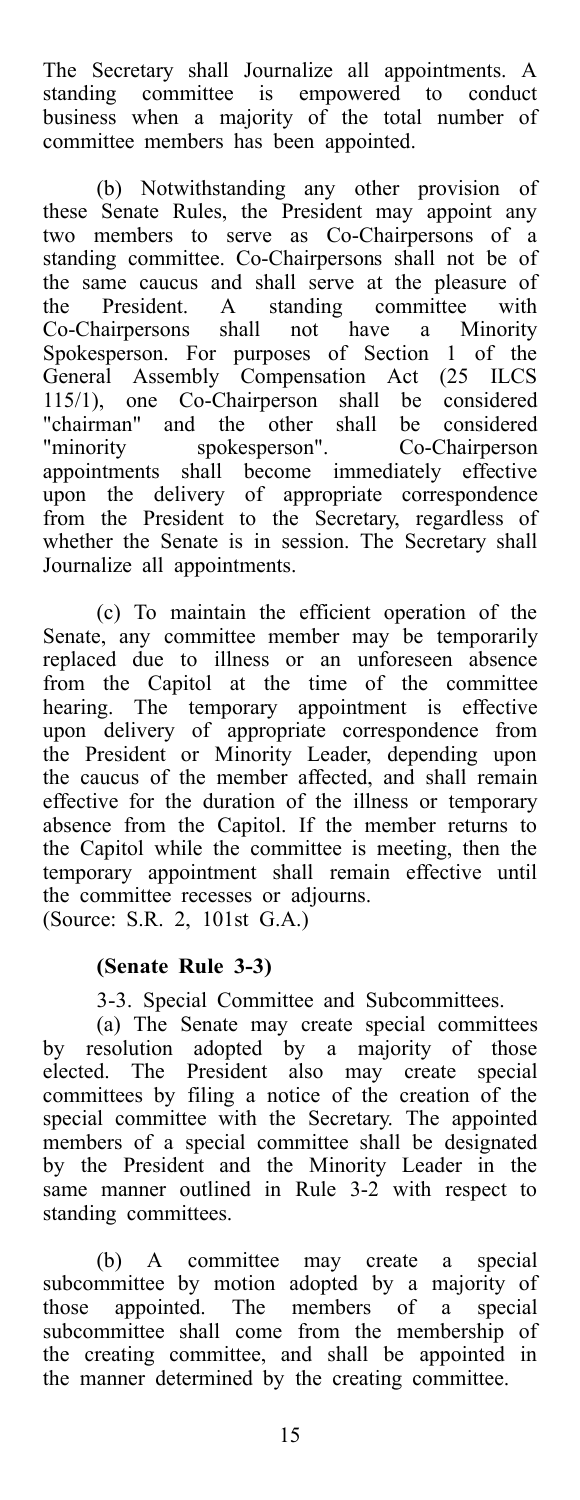The Secretary shall Journalize all appointments. A standing committee is empowered to conduct business when a majority of the total number of committee members has been appointed.

(b) Notwithstanding any other provision of these Senate Rules, the President may appoint any two members to serve as Co-Chairpersons of a standing committee. Co-Chairpersons shall not be of the same caucus and shall serve at the pleasure of the President. A standing committee with Co-Chairpersons shall not have a Minority Spokesperson. For purposes of Section 1 of the General Assembly Compensation Act (25 ILCS 115/1), one Co-Chairperson shall be considered "chairman" and the other shall be considered "minority spokesperson". Co-Chairperson appointments shall become immediately effective upon the delivery of appropriate correspondence from the President to the Secretary, regardless of whether the Senate is in session. The Secretary shall Journalize all appointments.

(c) To maintain the efficient operation of the Senate, any committee member may be temporarily replaced due to illness or an unforeseen absence from the Capitol at the time of the committee hearing. The temporary appointment is effective upon delivery of appropriate correspondence from the President or Minority Leader, depending upon the caucus of the member affected, and shall remain effective for the duration of the illness or temporary absence from the Capitol. If the member returns to the Capitol while the committee is meeting, then the temporary appointment shall remain effective until the committee recesses or adjourns. (Source: S.R. 2, 101st G.A.)

### **(Senate Rule 3-3)**

3-3. Special Committee and Subcommittees.

(a) The Senate may create special committees by resolution adopted by a majority of those elected. The President also may create special committees by filing a notice of the creation of the special committee with the Secretary. The appointed members of a special committee shall be designated by the President and the Minority Leader in the same manner outlined in Rule 3-2 with respect to standing committees.

(b) A committee may create a special subcommittee by motion adopted by a majority of those appointed. The members of a special subcommittee shall come from the membership of the creating committee, and shall be appointed in the manner determined by the creating committee.

15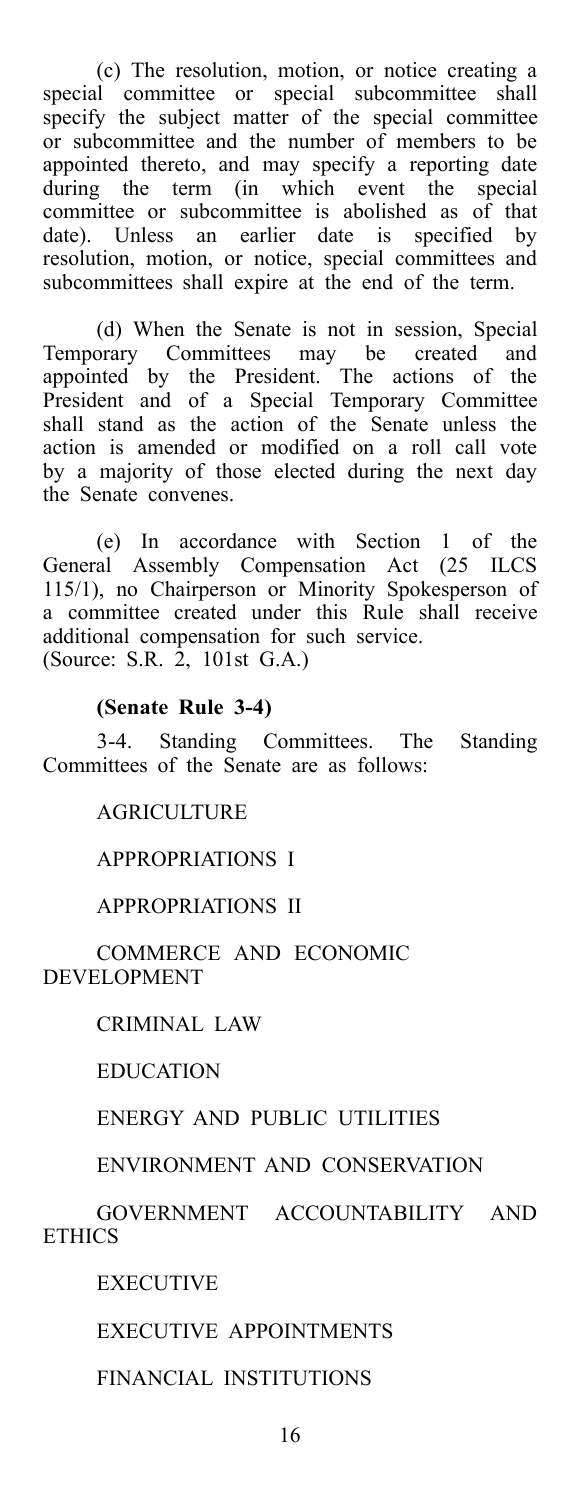(c) The resolution, motion, or notice creating a special committee or special subcommittee shall specify the subject matter of the special committee or subcommittee and the number of members to be appointed thereto, and may specify a reporting date during the term (in which event the special committee or subcommittee is abolished as of that date). Unless an earlier date is specified by resolution, motion, or notice, special committees and subcommittees shall expire at the end of the term.

(d) When the Senate is not in session, Special Temporary Committees may be created and appointed by the President. The actions of the President and of a Special Temporary Committee shall stand as the action of the Senate unless the action is amended or modified on a roll call vote by a majority of those elected during the next day the Senate convenes.

(e) In accordance with Section 1 of the General Assembly Compensation Act (25 ILCS 115/1), no Chairperson or Minority Spokesperson of a committee created under this Rule shall receive additional compensation for such service. (Source: S.R. 2, 101st G.A.)

### **(Senate Rule 3-4)**

3-4. Standing Committees. The Standing Committees of the Senate are as follows:

### AGRICULTURE

### APPROPRIATIONS I

### APPROPRIATIONS II

### COMMERCE AND ECONOMIC DEVELOPMENT

### CRIMINAL LAW

### EDUCATION

### ENERGY AND PUBLIC UTILITIES

### ENVIRONMENT AND CONSERVATION

GOVERNMENT ACCOUNTABILITY AND **ETHICS** 

EXECUTIVE

### EXECUTIVE APPOINTMENTS

FINANCIAL INSTITUTIONS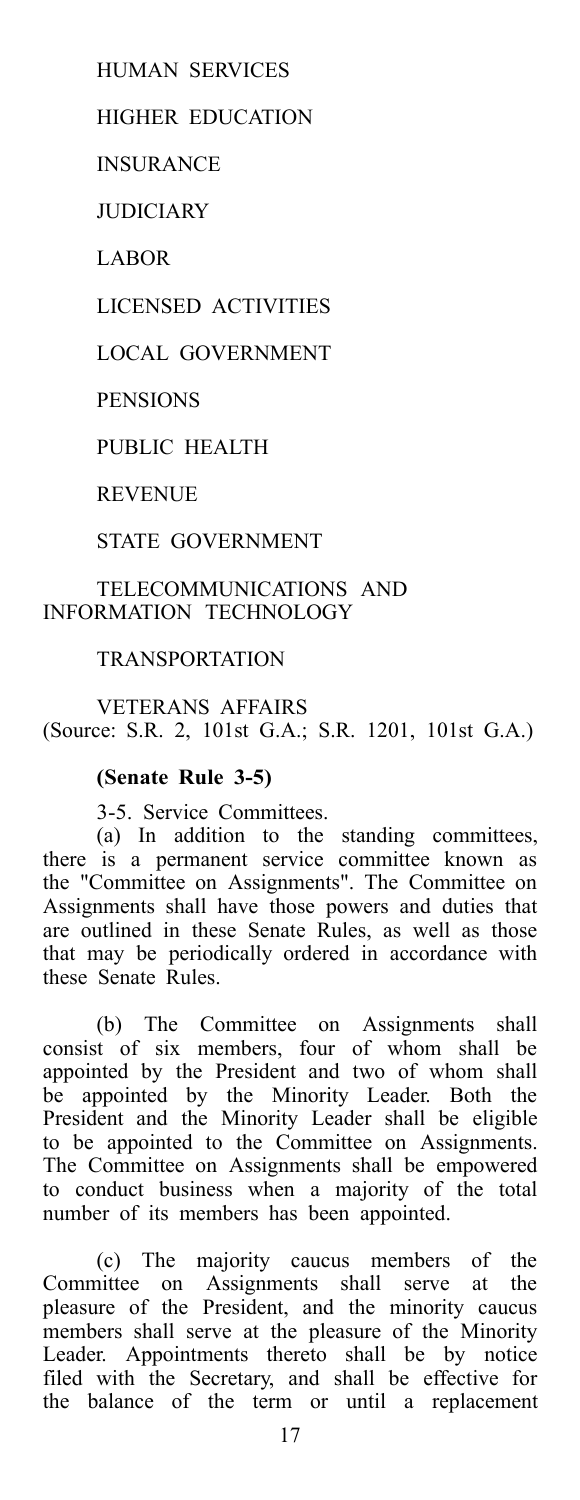HUMAN SERVICES

HIGHER EDUCATION

INSURANCE

**JUDICIARY** 

LABOR

LICENSED ACTIVITIES

LOCAL GOVERNMENT

**PENSIONS** 

PUBLIC HEALTH

REVENUE

STATE GOVERNMENT

### TELECOMMUNICATIONS AND INFORMATION TECHNOLOGY

### **TRANSPORTATION**

VETERANS AFFAIRS (Source: S.R. 2, 101st G.A.; S.R. 1201, 101st G.A.)

### **(Senate Rule 3-5)**

3-5. Service Committees.

(a) In addition to the standing committees, there is a permanent service committee known as the "Committee on Assignments". The Committee on Assignments shall have those powers and duties that are outlined in these Senate Rules, as well as those that may be periodically ordered in accordance with these Senate Rules.

(b) The Committee on Assignments shall consist of six members, four of whom shall be appointed by the President and two of whom shall be appointed by the Minority Leader. Both the President and the Minority Leader shall be eligible to be appointed to the Committee on Assignments. The Committee on Assignments shall be empowered to conduct business when a majority of the total number of its members has been appointed.

(c) The majority caucus members of the Committee on Assignments shall serve at the pleasure of the President, and the minority caucus members shall serve at the pleasure of the Minority Leader. Appointments thereto shall be by notice filed with the Secretary, and shall be effective for the balance of the term or until a replacement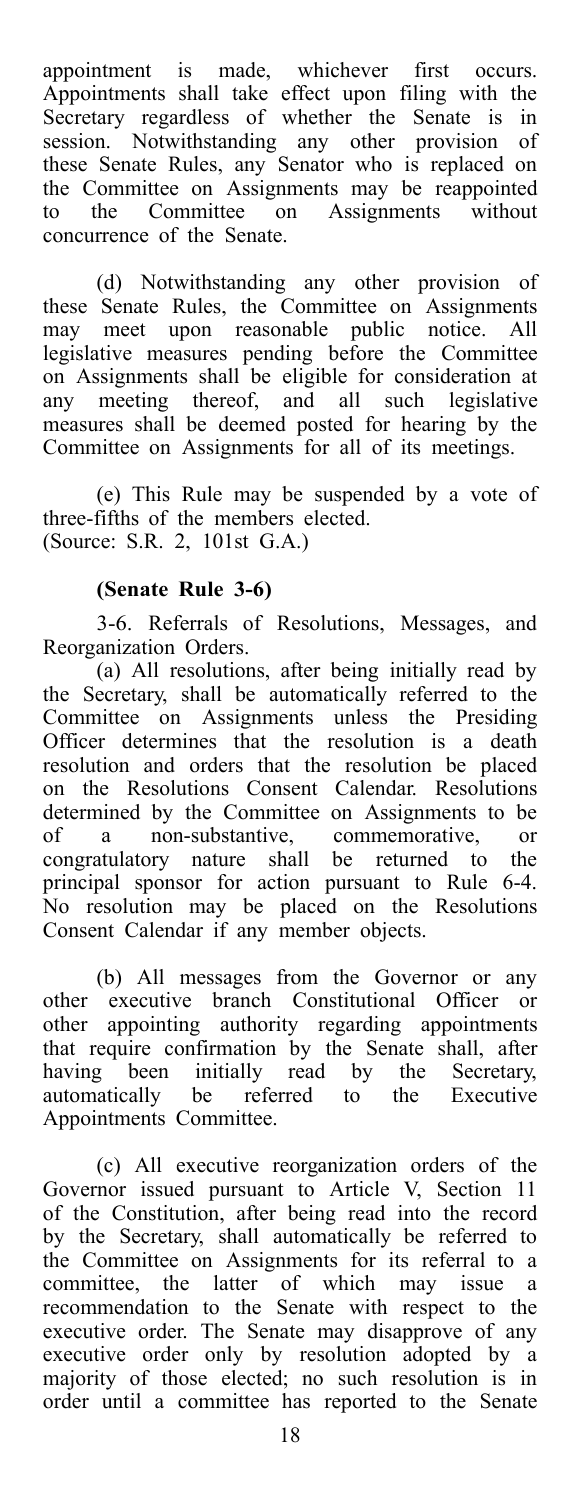appointment is made, whichever first occurs. Appointments shall take effect upon filing with the Secretary regardless of whether the Senate is in session. Notwithstanding any other provision of these Senate Rules, any Senator who is replaced on the Committee on Assignments may be reappointed to the Committee on Assignments without concurrence of the Senate.

(d) Notwithstanding any other provision of these Senate Rules, the Committee on Assignments may meet upon reasonable public notice. All legislative measures pending before the Committee on Assignments shall be eligible for consideration at any meeting thereof, and all such legislative measures shall be deemed posted for hearing by the Committee on Assignments for all of its meetings.

(e) This Rule may be suspended by a vote of three-fifths of the members elected. (Source: S.R. 2, 101st G.A.)

### **(Senate Rule 3-6)**

3-6. Referrals of Resolutions, Messages, and Reorganization Orders.

(a) All resolutions, after being initially read by the Secretary, shall be automatically referred to the Committee on Assignments unless the Presiding Officer determines that the resolution is a death resolution and orders that the resolution be placed on the Resolutions Consent Calendar. Resolutions determined by the Committee on Assignments to be of a non-substantive, commemorative, or congratulatory nature shall be returned to the principal sponsor for action pursuant to Rule 6-4. No resolution may be placed on the Resolutions Consent Calendar if any member objects.

(b) All messages from the Governor or any other executive branch Constitutional Officer or other appointing authority regarding appointments that require confirmation by the Senate shall, after having been initially read by the Secretary, automatically be referred to the Executive Appointments Committee.

(c) All executive reorganization orders of the Governor issued pursuant to Article V, Section 11 of the Constitution, after being read into the record by the Secretary, shall automatically be referred to the Committee on Assignments for its referral to a committee, the latter of which may issue a recommendation to the Senate with respect to the executive order. The Senate may disapprove of any executive order only by resolution adopted by a majority of those elected; no such resolution is in order until a committee has reported to the Senate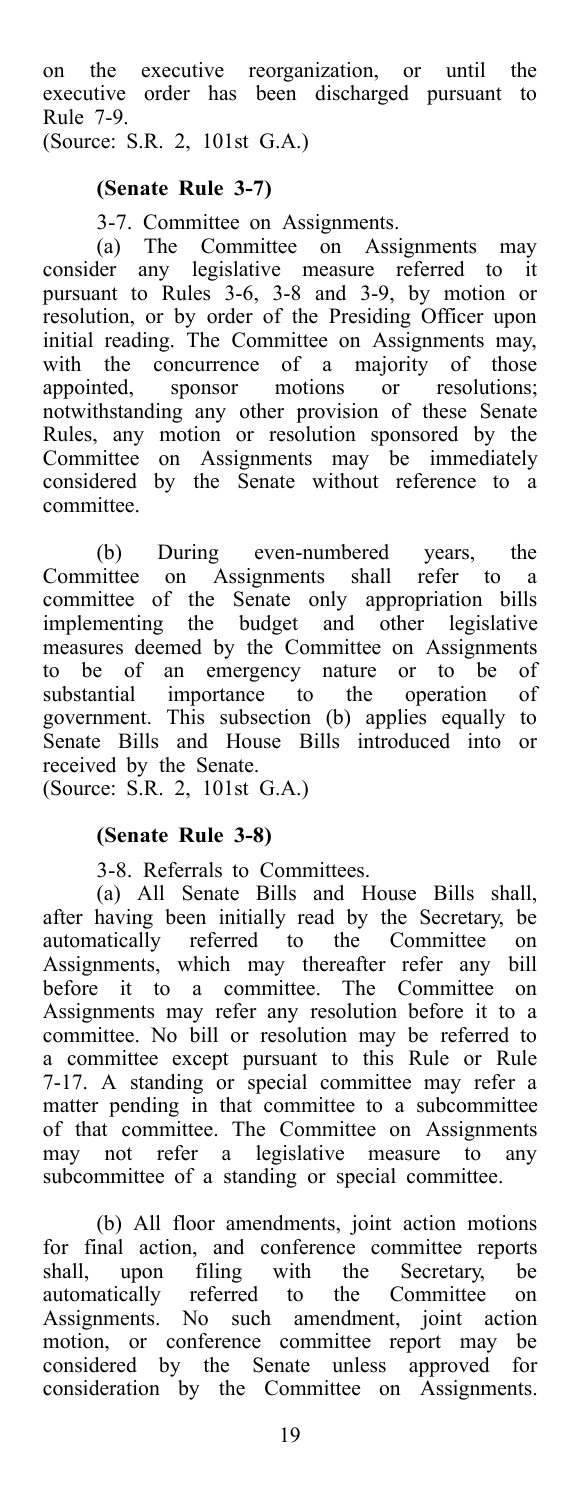on the executive reorganization, or until the executive order has been discharged pursuant to Rule 7-9.

(Source: S.R. 2, 101st G.A.)

### **(Senate Rule 3-7)**

3-7. Committee on Assignments.

(a) The Committee on Assignments may consider any legislative measure referred to it pursuant to Rules 3-6, 3-8 and 3-9, by motion or resolution, or by order of the Presiding Officer upon initial reading. The Committee on Assignments may, with the concurrence of a majority of those appointed, sponsor motions or resolutions; notwithstanding any other provision of these Senate Rules, any motion or resolution sponsored by the Committee on Assignments may be immediately considered by the Senate without reference to a committee.

(b) During even-numbered years, the Committee on Assignments shall refer to a committee of the Senate only appropriation bills implementing the budget and other legislative measures deemed by the Committee on Assignments to be of an emergency nature or to be of substantial importance to the operation of government. This subsection (b) applies equally to Senate Bills and House Bills introduced into or received by the Senate.

(Source: S.R. 2, 101st G.A.)

### **(Senate Rule 3-8)**

3-8. Referrals to Committees.

(a) All Senate Bills and House Bills shall, after having been initially read by the Secretary, be automatically referred to the Committee on Assignments, which may thereafter refer any bill before it to a committee. The Committee on Assignments may refer any resolution before it to a committee. No bill or resolution may be referred to a committee except pursuant to this Rule or Rule 7-17. A standing or special committee may refer a matter pending in that committee to a subcommittee of that committee. The Committee on Assignments may not refer a legislative measure to any subcommittee of a standing or special committee.

(b) All floor amendments, joint action motions for final action, and conference committee reports shall, upon filing with the Secretary, be automatically referred to the Committee on Assignments. No such amendment, joint action motion, or conference committee report may be considered by the Senate unless approved for consideration by the Committee on Assignments.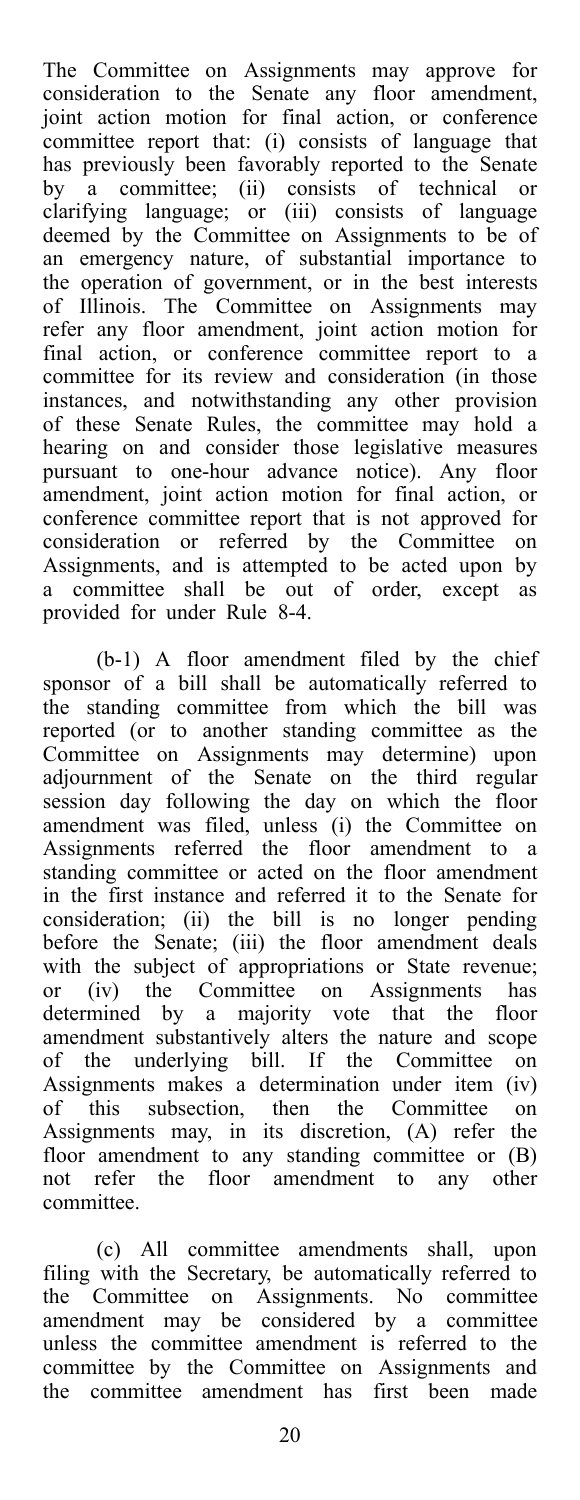The Committee on Assignments may approve for consideration to the Senate any floor amendment, joint action motion for final action, or conference committee report that: (i) consists of language that has previously been favorably reported to the Senate by a committee; (ii) consists of technical or clarifying language; or (iii) consists of language deemed by the Committee on Assignments to be of an emergency nature, of substantial importance to the operation of government, or in the best interests of Illinois. The Committee on Assignments may refer any floor amendment, joint action motion for final action, or conference committee report to a committee for its review and consideration (in those instances, and notwithstanding any other provision of these Senate Rules, the committee may hold a hearing on and consider those legislative measures pursuant to one-hour advance notice). Any floor amendment, joint action motion for final action, or conference committee report that is not approved for consideration or referred by the Committee on Assignments, and is attempted to be acted upon by a committee shall be out of order, except as provided for under Rule 8-4.

(b-1) A floor amendment filed by the chief sponsor of a bill shall be automatically referred to the standing committee from which the bill was reported (or to another standing committee as the Committee on Assignments may determine) upon adjournment of the Senate on the third regular session day following the day on which the floor amendment was filed, unless (i) the Committee on Assignments referred the floor amendment to a standing committee or acted on the floor amendment in the first instance and referred it to the Senate for consideration; (ii) the bill is no longer pending before the Senate; (iii) the floor amendment deals with the subject of appropriations or State revenue; or (iv) the Committee on Assignments has determined by a majority vote that the floor amendment substantively alters the nature and scope of the underlying bill. If the Committee on Assignments makes a determination under item (iv) of this subsection, then the Committee on Assignments may, in its discretion, (A) refer the floor amendment to any standing committee or (B) not refer the floor amendment to any other committee.

(c) All committee amendments shall, upon filing with the Secretary, be automatically referred to the Committee on Assignments. No committee amendment may be considered by a committee unless the committee amendment is referred to the committee by the Committee on Assignments and the committee amendment has first been made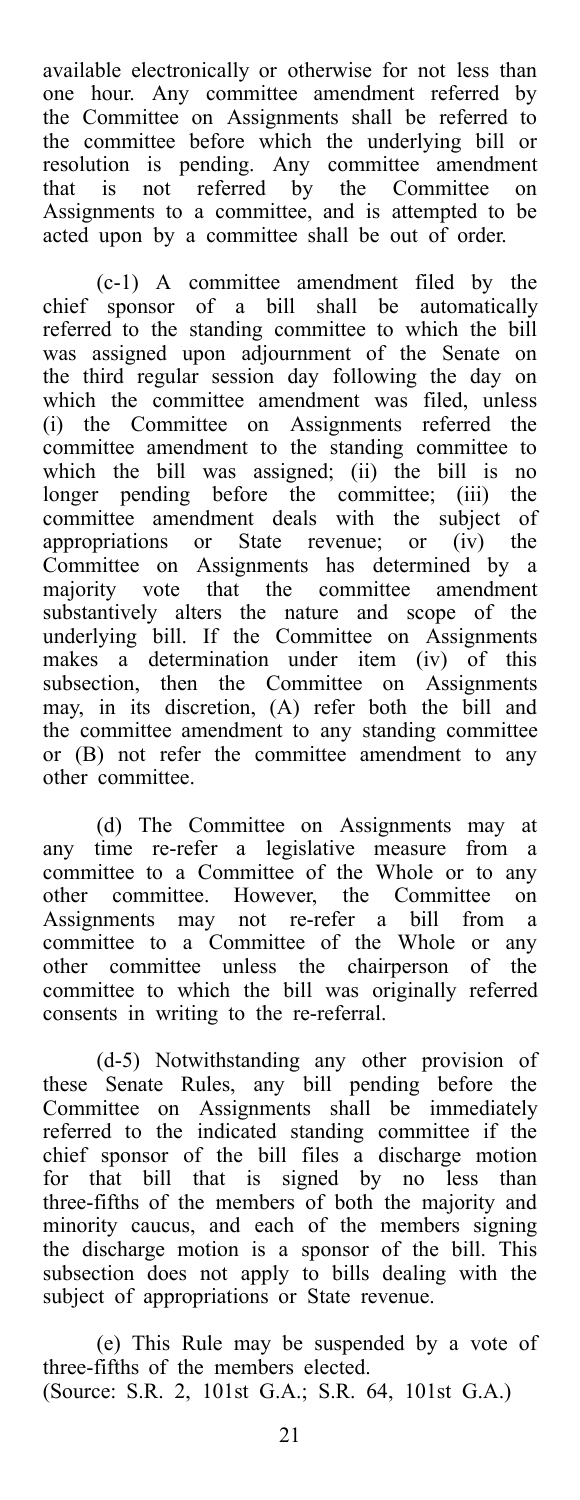available electronically or otherwise for not less than one hour. Any committee amendment referred by the Committee on Assignments shall be referred to the committee before which the underlying bill or resolution is pending. Any committee amendment that is not referred by the Committee on Assignments to a committee, and is attempted to be acted upon by a committee shall be out of order.

(c-1) A committee amendment filed by the chief sponsor of a bill shall be automatically referred to the standing committee to which the bill was assigned upon adjournment of the Senate on the third regular session day following the day on which the committee amendment was filed, unless (i) the Committee on Assignments referred the committee amendment to the standing committee to which the bill was assigned; (ii) the bill is no longer pending before the committee; (iii) the committee amendment deals with the subject of appropriations or State revenue; or (iv) the Committee on Assignments has determined by a majority vote that the committee amendment substantively alters the nature and scope of the underlying bill. If the Committee on Assignments makes a determination under item (iv) of this subsection, then the Committee on Assignments may, in its discretion, (A) refer both the bill and the committee amendment to any standing committee or (B) not refer the committee amendment to any other committee.

(d) The Committee on Assignments may at any time re-refer a legislative measure from a committee to a Committee of the Whole or to any other committee. However, the Committee on Assignments may not re-refer a bill from a committee to a Committee of the Whole or any other committee unless the chairperson of the committee to which the bill was originally referred consents in writing to the re-referral.

(d-5) Notwithstanding any other provision of these Senate Rules, any bill pending before the Committee on Assignments shall be immediately referred to the indicated standing committee if the chief sponsor of the bill files a discharge motion for that bill that is signed by no less than three-fifths of the members of both the majority and minority caucus, and each of the members signing the discharge motion is a sponsor of the bill. This subsection does not apply to bills dealing with the subject of appropriations or State revenue.

(e) This Rule may be suspended by a vote of three-fifths of the members elected. (Source: S.R. 2, 101st G.A.; S.R. 64, 101st G.A.)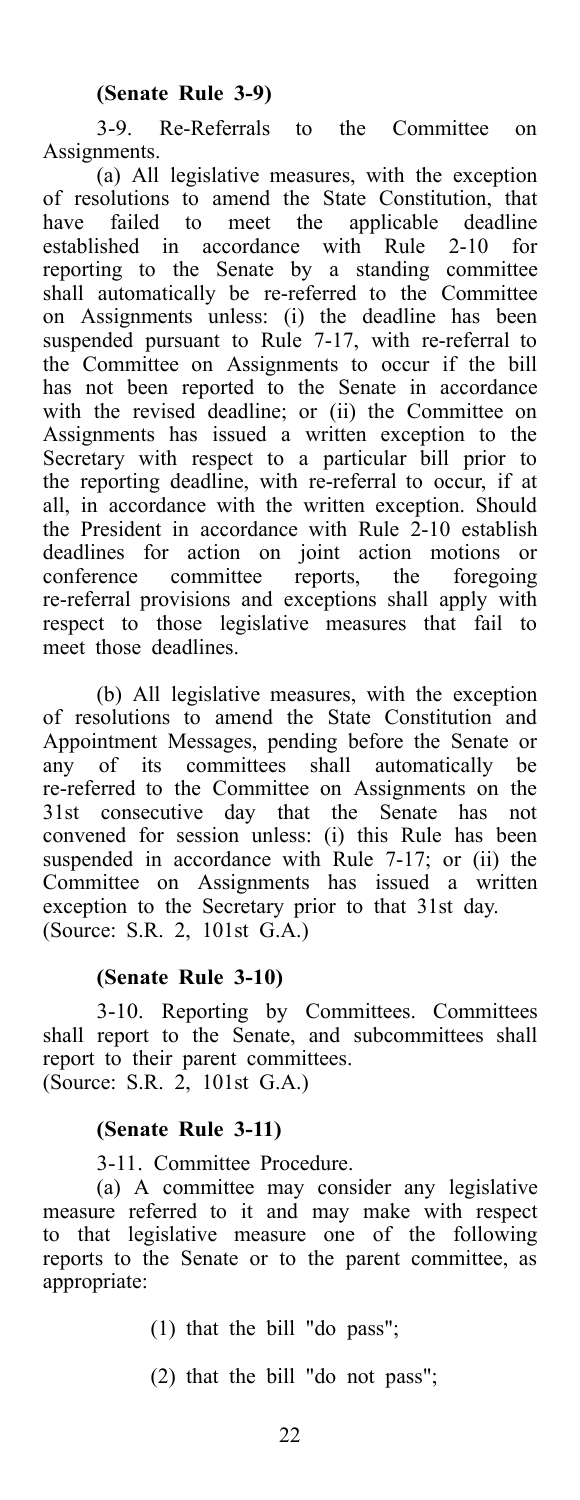3-9. Re-Referrals to the Committee on Assignments.

(a) All legislative measures, with the exception of resolutions to amend the State Constitution, that have failed to meet the applicable deadline established in accordance with Rule 2-10 for reporting to the Senate by a standing committee shall automatically be re-referred to the Committee on Assignments unless: (i) the deadline has been suspended pursuant to Rule 7-17, with re-referral to the Committee on Assignments to occur if the bill has not been reported to the Senate in accordance with the revised deadline; or (ii) the Committee on Assignments has issued a written exception to the Secretary with respect to a particular bill prior to the reporting deadline, with re-referral to occur, if at all, in accordance with the written exception. Should the President in accordance with Rule  $2-10$  establish deadlines for action on joint action motions or conference committee reports, the foregoing re-referral provisions and exceptions shall apply with respect to those legislative measures that fail to meet those deadlines.

(b) All legislative measures, with the exception of resolutions to amend the State Constitution and Appointment Messages, pending before the Senate or any of its committees shall automatically be re-referred to the Committee on Assignments on the 31st consecutive day that the Senate has not convened for session unless: (i) this Rule has been suspended in accordance with Rule 7-17; or (ii) the Committee on Assignments has issued a written exception to the Secretary prior to that 31st day. (Source: S.R. 2, 101st G.A.)

### **(Senate Rule 3-10)**

3-10. Reporting by Committees. Committees shall report to the Senate, and subcommittees shall report to their parent committees. (Source: S.R. 2, 101st G.A.)

### **(Senate Rule 3-11)**

3-11. Committee Procedure.

(a) A committee may consider any legislative measure referred to it and may make with respect to that legislative measure one of the following reports to the Senate or to the parent committee, as appropriate:

(1) that the bill "do pass";

(2) that the bill "do not pass";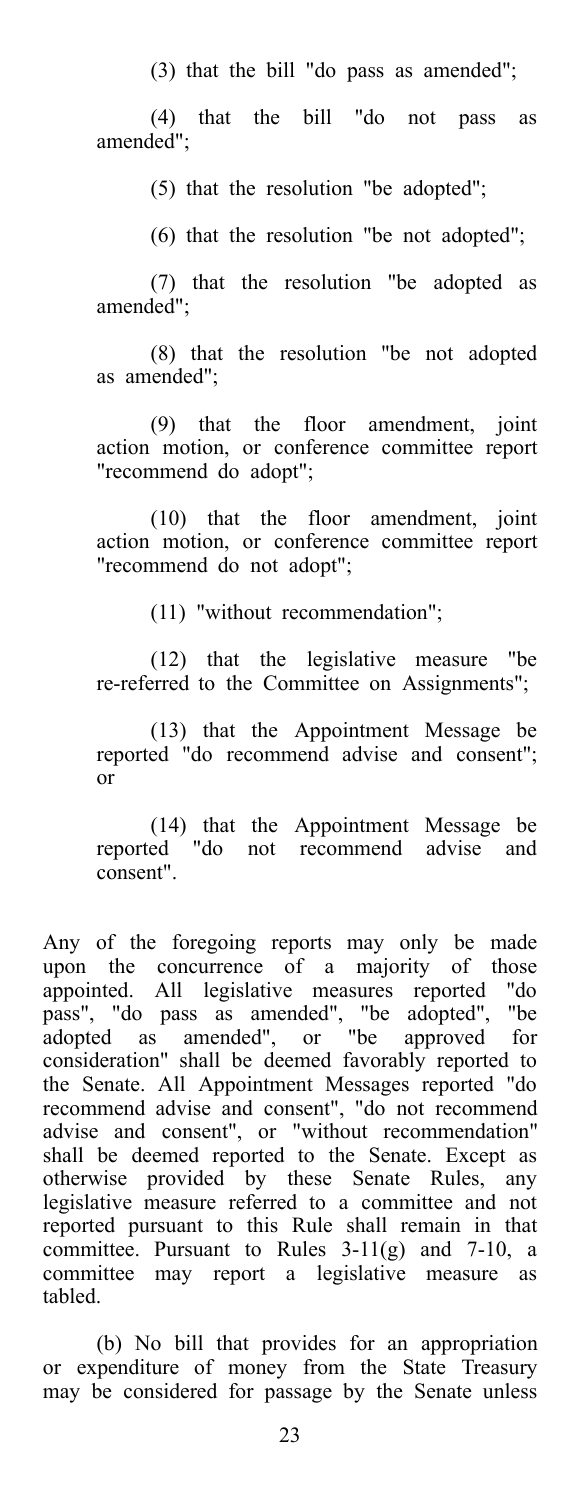(3) that the bill "do pass as amended";

(4) that the bill "do not pass as amended";

(5) that the resolution "be adopted";

(6) that the resolution "be not adopted";

(7) that the resolution "be adopted as amended";

(8) that the resolution "be not adopted as amended";

(9) that the floor amendment, joint action motion, or conference committee report "recommend do adopt";

(10) that the floor amendment, joint action motion, or conference committee report "recommend do not adopt";

(11) "without recommendation";

(12) that the legislative measure "be re-referred to the Committee on Assignments";

(13) that the Appointment Message be reported "do recommend advise and consent"; or

(14) that the Appointment Message be reported "do not recommend advise and consent".

Any of the foregoing reports may only be made upon the concurrence of a majority of those appointed. All legislative measures reported "do pass", "do pass as amended", "be adopted", "be adopted as amended", or "be approved for consideration" shall be deemed favorably reported to the Senate. All Appointment Messages reported "do recommend advise and consent", "do not recommend advise and consent", or "without recommendation" shall be deemed reported to the Senate. Except as otherwise provided by these Senate Rules, any legislative measure referred to a committee and not reported pursuant to this Rule shall remain in that committee. Pursuant to Rules 3-11(g) and 7-10, a committee may report a legislative measure as tabled.

(b) No bill that provides for an appropriation or expenditure of money from the State Treasury may be considered for passage by the Senate unless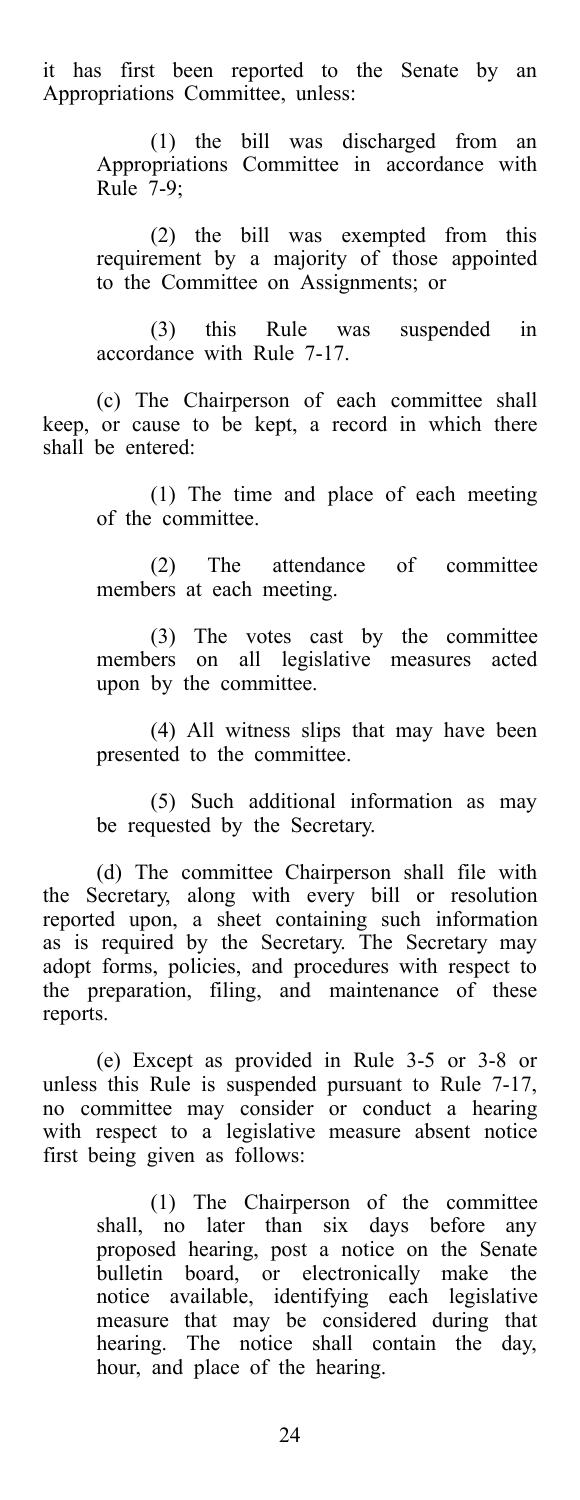it has first been reported to the Senate by an Appropriations Committee, unless:

> (1) the bill was discharged from an Appropriations Committee in accordance with Rule 7-9;

> (2) the bill was exempted from this requirement by a majority of those appointed to the Committee on Assignments; or

> (3) this Rule was suspended in accordance with Rule 7-17.

(c) The Chairperson of each committee shall keep, or cause to be kept, a record in which there shall be entered:

> (1) The time and place of each meeting of the committee.

> (2) The attendance of committee members at each meeting.

> (3) The votes cast by the committee members on all legislative measures acted upon by the committee.

> (4) All witness slips that may have been presented to the committee.

> (5) Such additional information as may be requested by the Secretary.

(d) The committee Chairperson shall file with the Secretary, along with every bill or resolution reported upon, a sheet containing such information as is required by the Secretary. The Secretary may adopt forms, policies, and procedures with respect to the preparation, filing, and maintenance of these reports.

(e) Except as provided in Rule 3-5 or 3-8 or unless this Rule is suspended pursuant to Rule 7-17, no committee may consider or conduct a hearing with respect to a legislative measure absent notice first being given as follows:

> (1) The Chairperson of the committee shall, no later than six days before any proposed hearing, post a notice on the Senate bulletin board, or electronically make the notice available, identifying each legislative measure that may be considered during that hearing. The notice shall contain the day, hour, and place of the hearing.

> > 24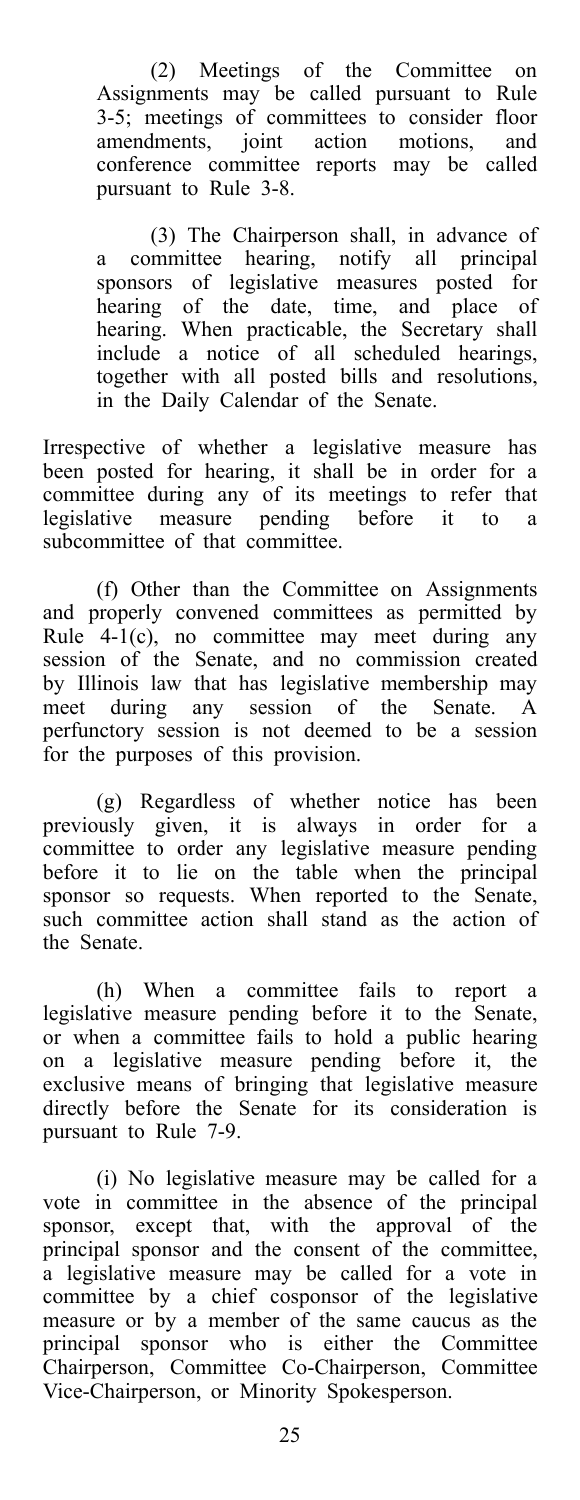(2) Meetings of the Committee on Assignments may be called pursuant to Rule 3-5; meetings of committees to consider floor amendments, joint action motions, and conference committee reports may be called pursuant to Rule 3-8.

(3) The Chairperson shall, in advance of a committee hearing, notify all principal sponsors of legislative measures posted for hearing of the date, time, and place of hearing. When practicable, the Secretary shall include a notice of all scheduled hearings, together with all posted bills and resolutions, in the Daily Calendar of the Senate.

Irrespective of whether a legislative measure has been posted for hearing, it shall be in order for a committee during any of its meetings to refer that legislative measure pending before it to a subcommittee of that committee.

(f) Other than the Committee on Assignments and properly convened committees as permitted by Rule 4-1(c), no committee may meet during any session of the Senate, and no commission created by Illinois law that has legislative membership may meet during any session of the Senate. A perfunctory session is not deemed to be a session for the purposes of this provision.

(g) Regardless of whether notice has been previously given, it is always in order for a committee to order any legislative measure pending before it to lie on the table when the principal sponsor so requests. When reported to the Senate, such committee action shall stand as the action of the Senate.

(h) When a committee fails to report a legislative measure pending before it to the Senate, or when a committee fails to hold a public hearing on a legislative measure pending before it, the exclusive means of bringing that legislative measure directly before the Senate for its consideration is pursuant to Rule 7-9.

(i) No legislative measure may be called for a vote in committee in the absence of the principal sponsor, except that, with the approval of the principal sponsor and the consent of the committee, a legislative measure may be called for a vote in committee by a chief cosponsor of the legislative measure or by a member of the same caucus as the principal sponsor who is either the Committee Chairperson, Committee Co-Chairperson, Committee Vice-Chairperson, or Minority Spokesperson.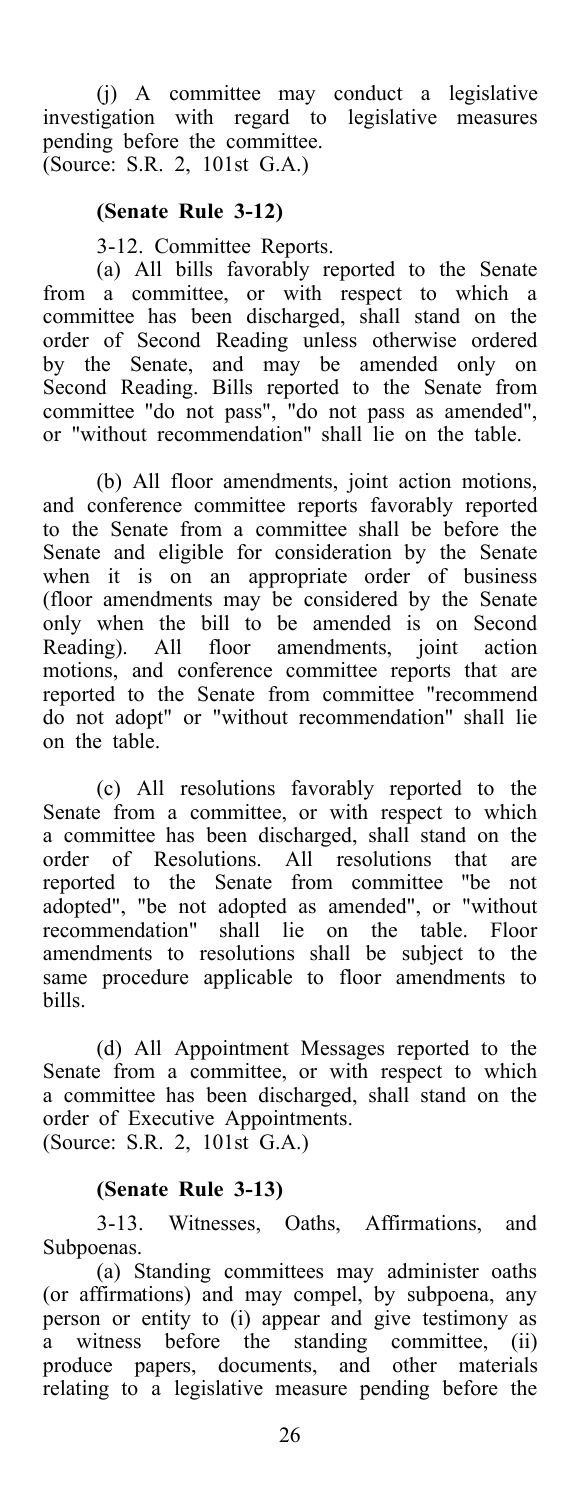(j) A committee may conduct a legislative investigation with regard to legislative measures pending before the committee. (Source: S.R. 2, 101st G.A.)

### **(Senate Rule 3-12)**

3-12. Committee Reports.

(a) All bills favorably reported to the Senate from a committee, or with respect to which a committee has been discharged, shall stand on the order of Second Reading unless otherwise ordered by the Senate, and may be amended only on Second Reading. Bills reported to the Senate from committee "do not pass", "do not pass as amended", or "without recommendation" shall lie on the table.

(b) All floor amendments, joint action motions, and conference committee reports favorably reported to the Senate from a committee shall be before the Senate and eligible for consideration by the Senate when it is on an appropriate order of business (floor amendments may be considered by the Senate only when the bill to be amended is on Second Reading). All floor amendments, joint action motions, and conference committee reports that are reported to the Senate from committee "recommend do not adopt" or "without recommendation" shall lie on the table.

(c) All resolutions favorably reported to the Senate from a committee, or with respect to which a committee has been discharged, shall stand on the order of Resolutions. All resolutions that are reported to the Senate from committee "be not adopted", "be not adopted as amended", or "without recommendation" shall lie on the table. Floor amendments to resolutions shall be subject to the same procedure applicable to floor amendments to bills.

(d) All Appointment Messages reported to the Senate from a committee, or with respect to which a committee has been discharged, shall stand on the order of Executive Appointments. (Source: S.R. 2, 101st G.A.)

### **(Senate Rule 3-13)**

3-13. Witnesses, Oaths, Affirmations, and Subpoenas.

(a) Standing committees may administer oaths (or affirmations) and may compel, by subpoena, any person or entity to (i) appear and give testimony as a witness before the standing committee, (ii) produce papers, documents, and other materials relating to a legislative measure pending before the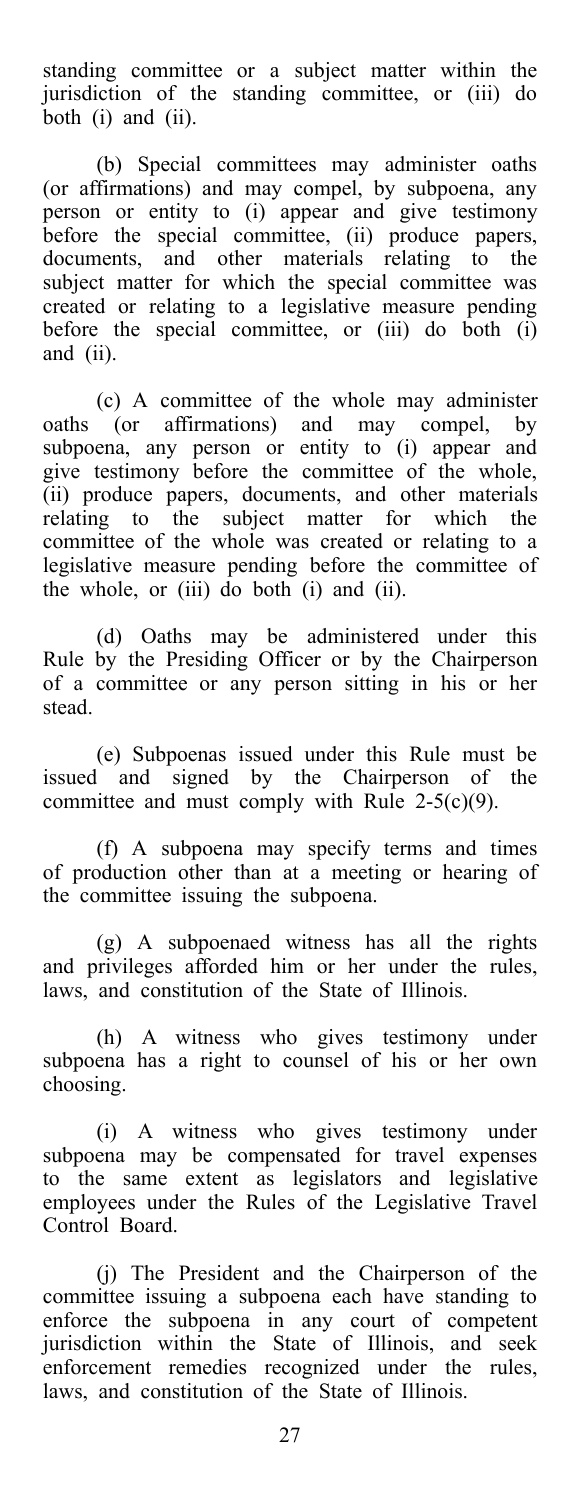standing committee or a subject matter within the jurisdiction of the standing committee, or (iii) do both (i) and (ii).

(b) Special committees may administer oaths (or affirmations) and may compel, by subpoena, any person or entity to (i) appear and give testimony before the special committee, (ii) produce papers, documents, and other materials relating to the subject matter for which the special committee was created or relating to a legislative measure pending before the special committee, or  $(iii)$  do both  $(i)$ and (ii).

(c) A committee of the whole may administer oaths (or affirmations) and may compel, by subpoena, any person or entity to (i) appear and give testimony before the committee of the whole, (ii) produce papers, documents, and other materials relating to the subject matter for which the committee of the whole was created or relating to a legislative measure pending before the committee of the whole, or (iii) do both (i) and (ii).

(d) Oaths may be administered under this Rule by the Presiding Officer or by the Chairperson of a committee or any person sitting in his or her stead.

(e) Subpoenas issued under this Rule must be issued and signed by the Chairperson of the committee and must comply with Rule 2-5(c)(9).

(f) A subpoena may specify terms and times of production other than at a meeting or hearing of the committee issuing the subpoena.

(g) A subpoenaed witness has all the rights and privileges afforded him or her under the rules, laws, and constitution of the State of Illinois.

(h) A witness who gives testimony under subpoena has a right to counsel of his or her own choosing.

(i) A witness who gives testimony under subpoena may be compensated for travel expenses to the same extent as legislators and legislative employees under the Rules of the Legislative Travel Control Board.

(j) The President and the Chairperson of the committee issuing a subpoena each have standing to enforce the subpoena in any court of competent jurisdiction within the State of Illinois, and seek enforcement remedies recognized under the rules, laws, and constitution of the State of Illinois.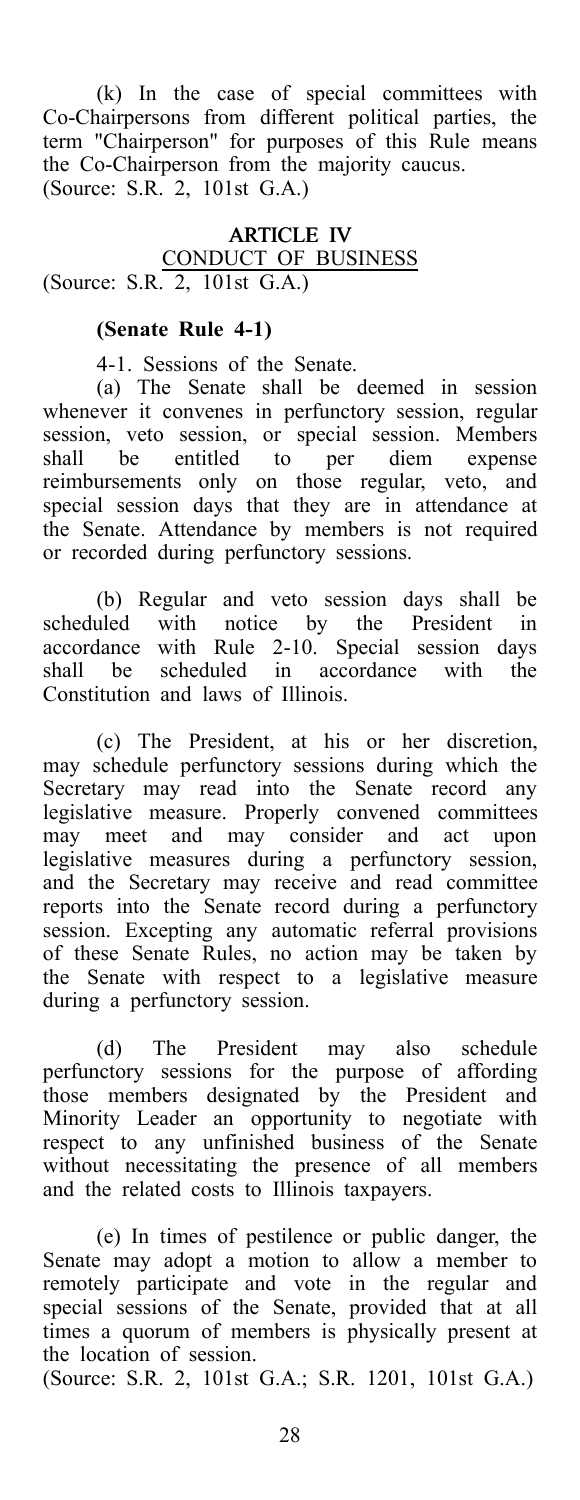(k) In the case of special committees with Co-Chairpersons from different political parties, the term "Chairperson" for purposes of this Rule means the Co-Chairperson from the majority caucus. (Source: S.R. 2, 101st G.A.)

### ARTICLE IV CONDUCT OF BUSINESS (Source: S.R. 2, 101st G.A.)

### **(Senate Rule 4-1)**

4-1. Sessions of the Senate.

(a) The Senate shall be deemed in session whenever it convenes in perfunctory session, regular session, veto session, or special session. Members shall be entitled to per diem expense reimbursements only on those regular, veto, and special session days that they are in attendance at the Senate. Attendance by members is not required or recorded during perfunctory sessions.

(b) Regular and veto session days shall be scheduled with notice by the President in accordance with Rule 2-10. Special session days shall be scheduled in accordance with the Constitution and laws of Illinois.

(c) The President, at his or her discretion, may schedule perfunctory sessions during which the Secretary may read into the Senate record any legislative measure. Properly convened committees may meet and may consider and act upon legislative measures during a perfunctory session, and the Secretary may receive and read committee reports into the Senate record during a perfunctory session. Excepting any automatic referral provisions of these Senate Rules, no action may be taken by the Senate with respect to a legislative measure during a perfunctory session.

(d) The President may also schedule perfunctory sessions for the purpose of affording those members designated by the President and Minority Leader an opportunity to negotiate with respect to any unfinished business of the Senate without necessitating the presence of all members and the related costs to Illinois taxpayers.

(e) In times of pestilence or public danger, the Senate may adopt a motion to allow a member to remotely participate and vote in the regular and special sessions of the Senate, provided that at all times a quorum of members is physically present at the location of session.

(Source: S.R. 2, 101st G.A.; S.R. 1201, 101st G.A.)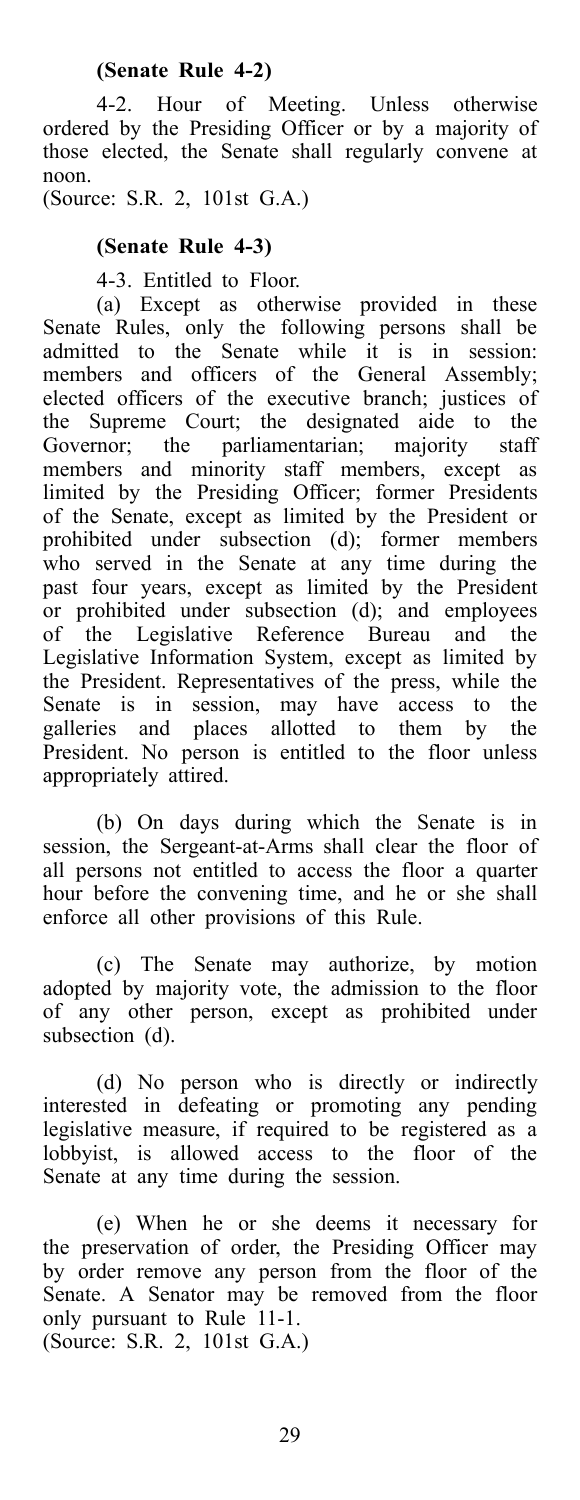4-2. Hour of Meeting. Unless otherwise ordered by the Presiding Officer or by a majority of those elected, the Senate shall regularly convene at noon.

(Source: S.R. 2, 101st G.A.)

### **(Senate Rule 4-3)**

4-3. Entitled to Floor.

(a) Except as otherwise provided in these Senate Rules, only the following persons shall be admitted to the Senate while it is in session: members and officers of the General Assembly; elected officers of the executive branch; justices of the Supreme Court; the designated aide to the Governor; the parliamentarian; majority staff members and minority staff members, except as limited by the Presiding Officer; former Presidents of the Senate, except as limited by the President or prohibited under subsection (d); former members who served in the Senate at any time during the past four years, except as limited by the President or prohibited under subsection (d); and employees of the Legislative Reference Bureau and the Legislative Information System, except as limited by the President. Representatives of the press, while the Senate is in session, may have access to the galleries and places allotted to them by the President. No person is entitled to the floor unless appropriately attired.

(b) On days during which the Senate is in session, the Sergeant-at-Arms shall clear the floor of all persons not entitled to access the floor a quarter hour before the convening time, and he or she shall enforce all other provisions of this Rule.

(c) The Senate may authorize, by motion adopted by majority vote, the admission to the floor of any other person, except as prohibited under subsection (d).

(d) No person who is directly or indirectly interested in defeating or promoting any pending legislative measure, if required to be registered as a lobbyist, is allowed access to the floor of the Senate at any time during the session.

(e) When he or she deems it necessary for the preservation of order, the Presiding Officer may by order remove any person from the floor of the Senate. A Senator may be removed from the floor only pursuant to Rule 11-1. (Source: S.R. 2, 101st G.A.)

29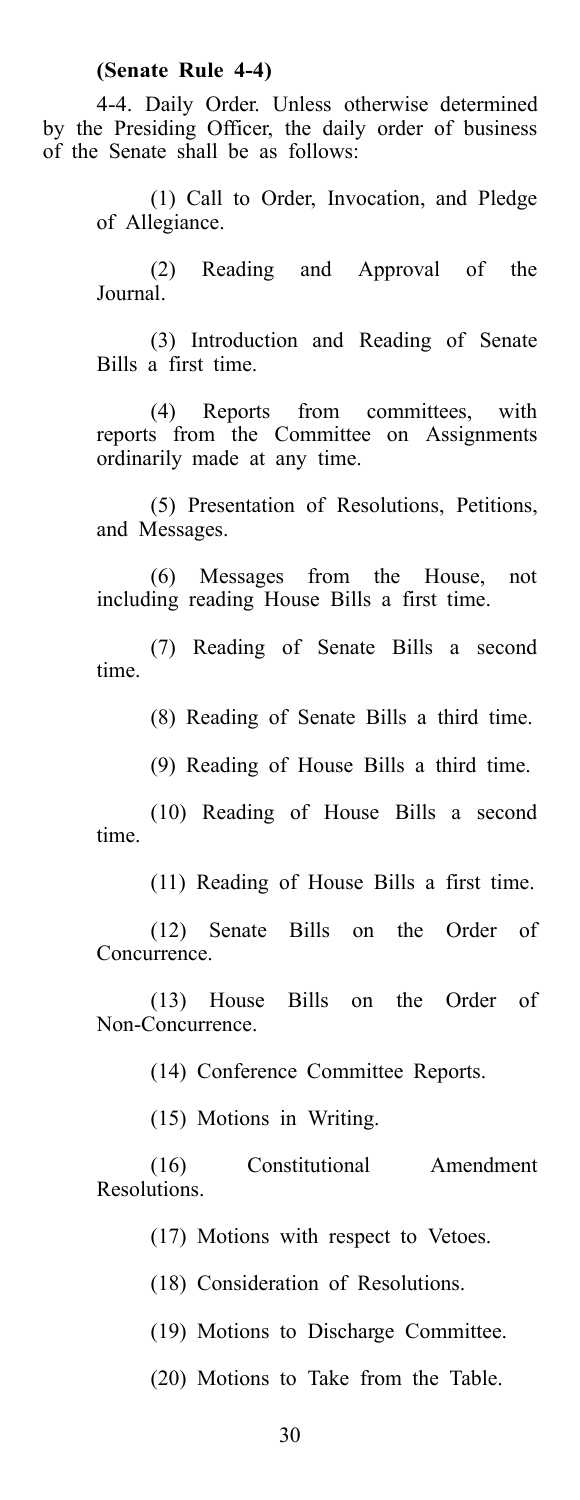### **(Senate Rule 4-4)**

4-4. Daily Order. Unless otherwise determined by the Presiding Officer, the daily order of business of the Senate shall be as follows:

> (1) Call to Order, Invocation, and Pledge of Allegiance.

> (2) Reading and Approval of the Journal.

> (3) Introduction and Reading of Senate Bills a first time.

> (4) Reports from committees, with reports from the Committee on Assignments ordinarily made at any time.

> (5) Presentation of Resolutions, Petitions, and Messages.

> (6) Messages from the House, not including reading House Bills a first time.

> (7) Reading of Senate Bills a second time.

> > (8) Reading of Senate Bills a third time.

(9) Reading of House Bills a third time.

(10) Reading of House Bills a second time.

(11) Reading of House Bills a first time.

(12) Senate Bills on the Order of Concurrence.

(13) House Bills on the Order of Non-Concurrence.

(14) Conference Committee Reports.

(15) Motions in Writing.

(16) Constitutional Amendment Resolutions.

(17) Motions with respect to Vetoes.

(18) Consideration of Resolutions.

(19) Motions to Discharge Committee.

(20) Motions to Take from the Table.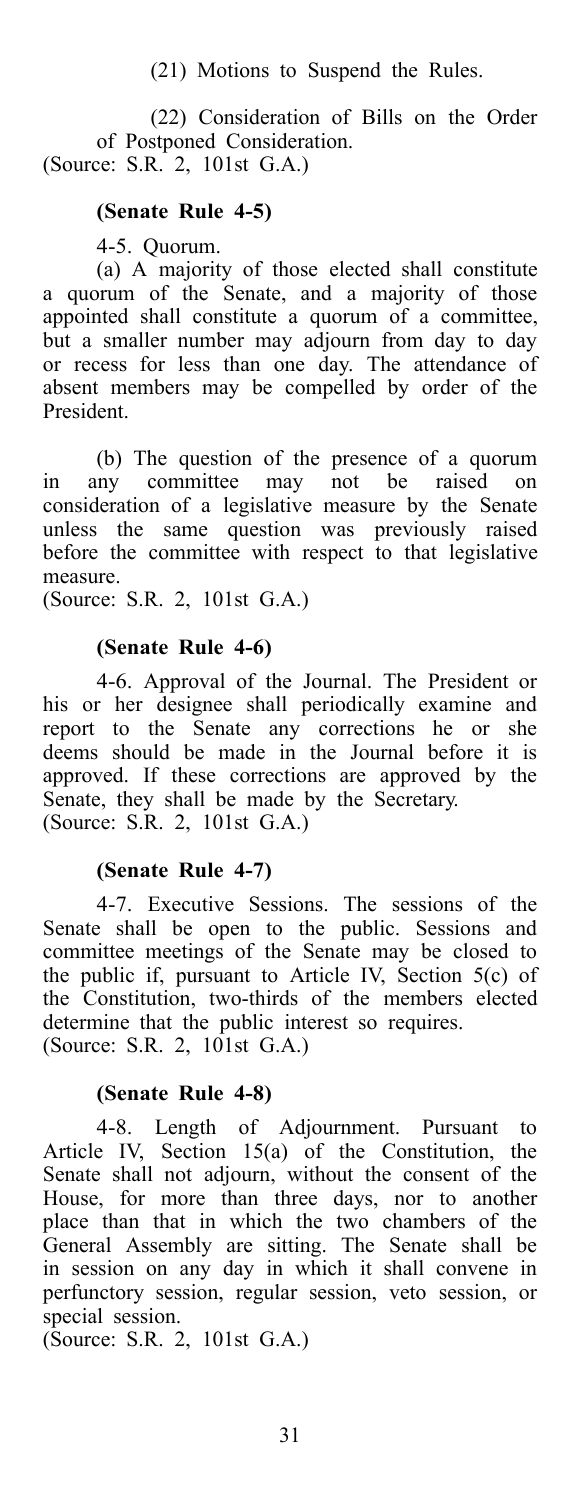(21) Motions to Suspend the Rules.

(22) Consideration of Bills on the Order of Postponed Consideration. (Source: S.R. 2, 101st G.A.)

### **(Senate Rule 4-5)**

4-5. Quorum.

(a) A majority of those elected shall constitute a quorum of the Senate, and a majority of those appointed shall constitute a quorum of a committee, but a smaller number may adjourn from day to day or recess for less than one day. The attendance of absent members may be compelled by order of the President.

(b) The question of the presence of a quorum<br>ny committee may not be raised on in any committee may not be raised on consideration of a legislative measure by the Senate unless the same question was previously raised before the committee with respect to that legislative measure.

(Source: S.R. 2, 101st G.A.)

#### **(Senate Rule 4-6)**

4-6. Approval of the Journal. The President or his or her designee shall periodically examine and report to the Senate any corrections he or she deems should be made in the Journal before it is approved. If these corrections are approved by the Senate, they shall be made by the Secretary. (Source: S.R. 2, 101st G.A.)

#### **(Senate Rule 4-7)**

4-7. Executive Sessions. The sessions of the Senate shall be open to the public. Sessions and committee meetings of the Senate may be closed to the public if, pursuant to Article IV, Section 5(c) of the Constitution, two-thirds of the members elected determine that the public interest so requires. (Source: S.R. 2, 101st G.A.)

#### **(Senate Rule 4-8)**

4-8. Length of Adjournment. Pursuant to Article IV, Section 15(a) of the Constitution, the Senate shall not adjourn, without the consent of the House, for more than three days, nor to another place than that in which the two chambers of the General Assembly are sitting. The Senate shall be in session on any day in which it shall convene in perfunctory session, regular session, veto session, or special session.

(Source: S.R. 2, 101st G.A.)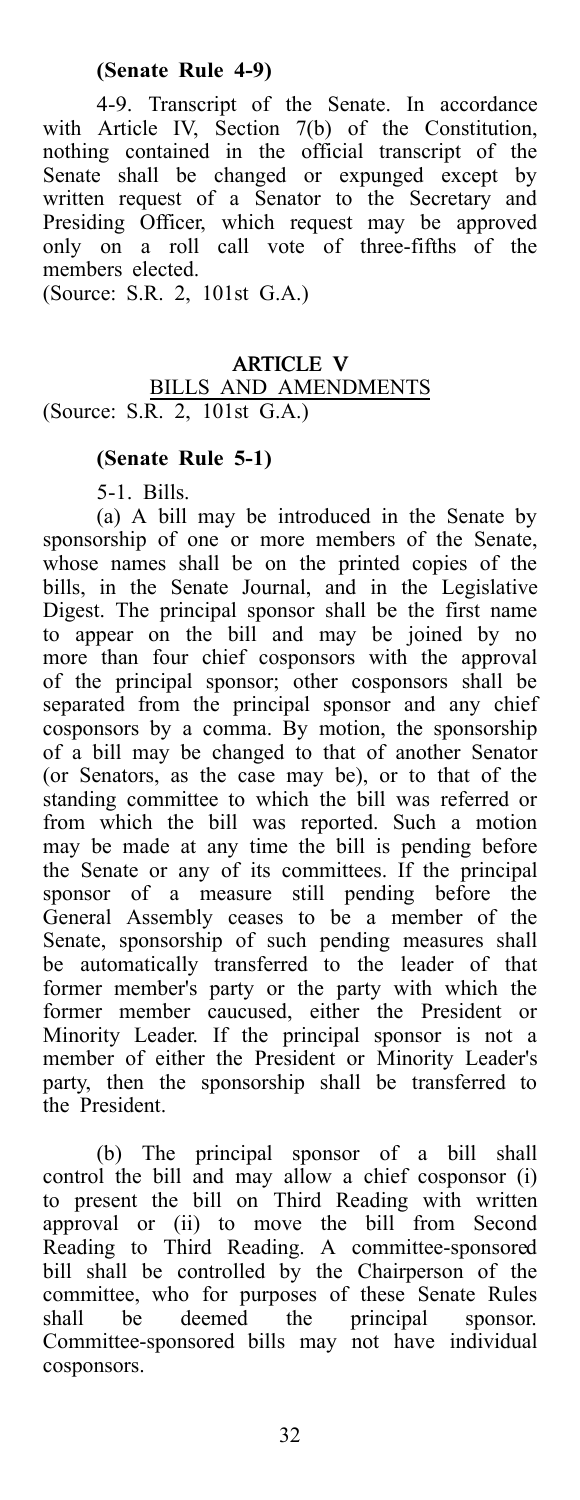### **(Senate Rule 4-9)**

4-9. Transcript of the Senate. In accordance with Article IV, Section 7(b) of the Constitution, nothing contained in the official transcript of the Senate shall be changed or expunged except by written request of a Senator to the Secretary and Presiding Officer, which request may be approved only on a roll call vote of three-fifths of the members elected. (Source: S.R. 2, 101st G.A.)

### ARTICLE V BILLS AND AMENDMENTS (Source: S.R. 2, 101st G.A.)

### **(Senate Rule 5-1)**

5-1. Bills.

(a) A bill may be introduced in the Senate by sponsorship of one or more members of the Senate, whose names shall be on the printed copies of the bills, in the Senate Journal, and in the Legislative Digest. The principal sponsor shall be the first name to appear on the bill and may be joined by no more than four chief cosponsors with the approval of the principal sponsor; other cosponsors shall be separated from the principal sponsor and any chief cosponsors by a comma. By motion, the sponsorship of a bill may be changed to that of another Senator (or Senators, as the case may be), or to that of the standing committee to which the bill was referred or from which the bill was reported. Such a motion may be made at any time the bill is pending before the Senate or any of its committees. If the principal sponsor of a measure still pending before the General Assembly ceases to be a member of the Senate, sponsorship of such pending measures shall be automatically transferred to the leader of that former member's party or the party with which the former member caucused, either the President or Minority Leader. If the principal sponsor is not a member of either the President or Minority Leader's party, then the sponsorship shall be transferred to the President.

(b) The principal sponsor of a bill shall control the bill and may allow a chief cosponsor (i) to present the bill on Third Reading with written approval or (ii) to move the bill from Second Reading to Third Reading. A committee-sponsored bill shall be controlled by the Chairperson of the committee, who for purposes of these Senate Rules shall be deemed the principal sponsor. Committee-sponsored bills may not have individual cosponsors.

32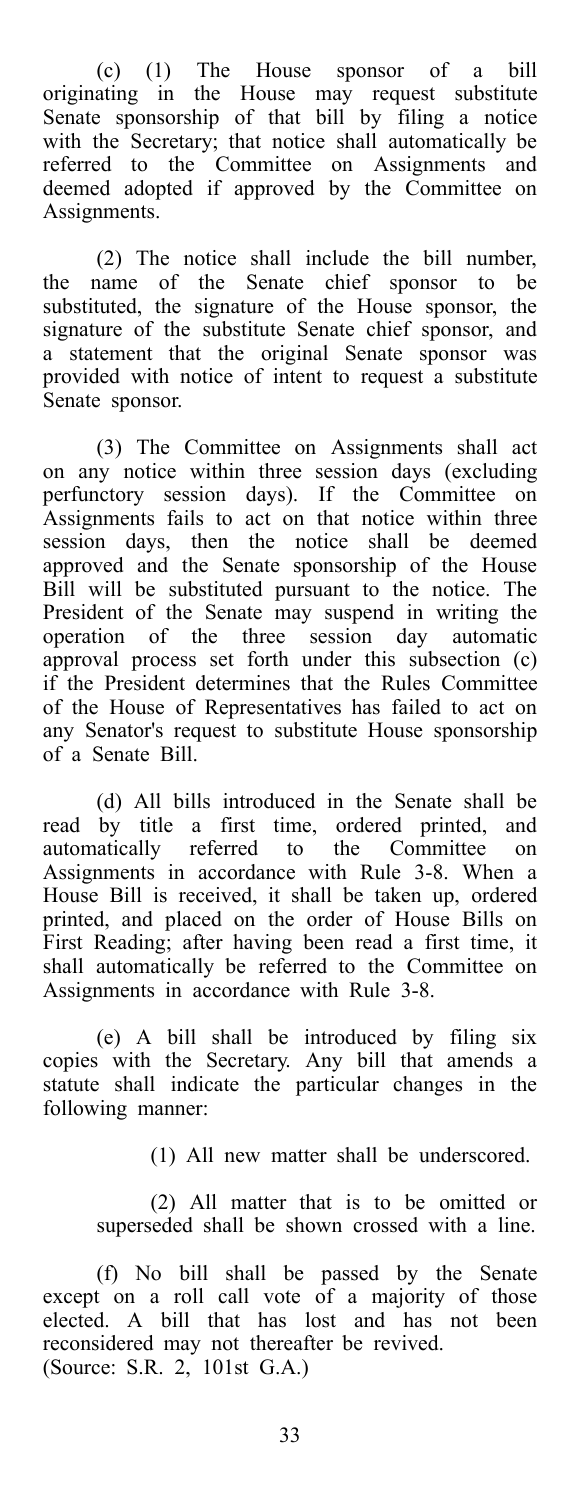(c) (1) The House sponsor of a bill originating in the House may request substitute Senate sponsorship of that bill by filing a notice with the Secretary; that notice shall automatically be referred to the Committee on Assignments and deemed adopted if approved by the Committee on Assignments.

(2) The notice shall include the bill number, the name of the Senate chief sponsor to be substituted, the signature of the House sponsor, the signature of the substitute Senate chief sponsor, and a statement that the original Senate sponsor was provided with notice of intent to request a substitute Senate sponsor.

(3) The Committee on Assignments shall act on any notice within three session days (excluding perfunctory session days). If the Committee on Assignments fails to act on that notice within three session days, then the notice shall be deemed approved and the Senate sponsorship of the House Bill will be substituted pursuant to the notice. The President of the Senate may suspend in writing the operation of the three session day automatic approval process set forth under this subsection (c) if the President determines that the Rules Committee of the House of Representatives has failed to act on any Senator's request to substitute House sponsorship of a Senate Bill.

(d) All bills introduced in the Senate shall be read by title a first time, ordered printed, and automatically referred to the Committee on Assignments in accordance with Rule 3-8. When a House Bill is received, it shall be taken up, ordered printed, and placed on the order of House Bills on First Reading; after having been read a first time, it shall automatically be referred to the Committee on Assignments in accordance with Rule 3-8.

(e) A bill shall be introduced by filing six copies with the Secretary. Any bill that amends a statute shall indicate the particular changes in the following manner:

(1) All new matter shall be underscored.

(2) All matter that is to be omitted or superseded shall be shown crossed with a line.

(f) No bill shall be passed by the Senate except on a roll call vote of a majority of those elected. A bill that has lost and has not been reconsidered may not thereafter be revived. (Source: S.R. 2, 101st G.A.)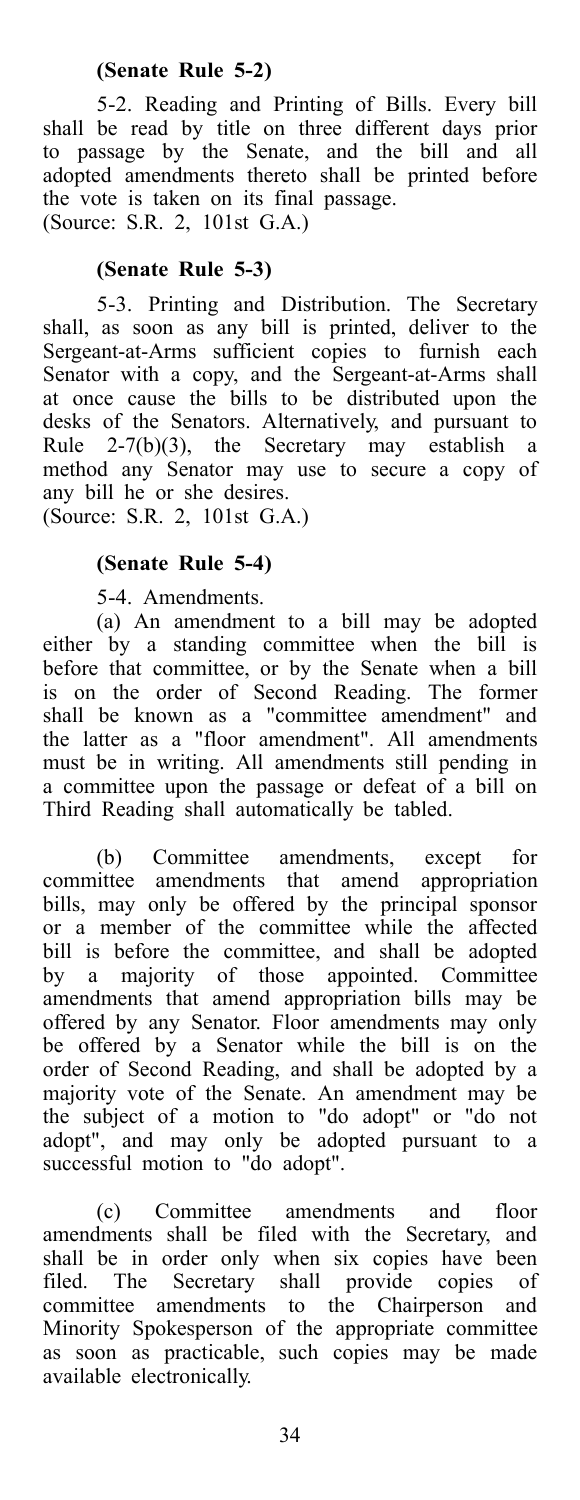### **(Senate Rule 5-2)**

5-2. Reading and Printing of Bills. Every bill shall be read by title on three different days prior to passage by the Senate, and the bill and all adopted amendments thereto shall be printed before the vote is taken on its final passage. (Source: S.R. 2, 101st G.A.)

### **(Senate Rule 5-3)**

5-3. Printing and Distribution. The Secretary shall, as soon as any bill is printed, deliver to the Sergeant-at-Arms sufficient copies to furnish each Senator with a copy, and the Sergeant-at-Arms shall at once cause the bills to be distributed upon the desks of the Senators. Alternatively, and pursuant to Rule 2-7(b)(3), the Secretary may establish a method any Senator may use to secure a copy of any bill he or she desires. (Source: S.R. 2, 101st G.A.)

### **(Senate Rule 5-4)**

5-4. Amendments.

(a) An amendment to a bill may be adopted either by a standing committee when the bill is before that committee, or by the Senate when a bill is on the order of Second Reading. The former shall be known as a "committee amendment" and the latter as a "floor amendment". All amendments must be in writing. All amendments still pending in a committee upon the passage or defeat of a bill on Third Reading shall automatically be tabled.

(b) Committee amendments, except for committee amendments that amend appropriation bills, may only be offered by the principal sponsor or a member of the committee while the affected bill is before the committee, and shall be adopted by a majority of those appointed. Committee amendments that amend appropriation bills may be offered by any Senator. Floor amendments may only be offered by a Senator while the bill is on the order of Second Reading, and shall be adopted by a majority vote of the Senate. An amendment may be the subject of a motion to "do adopt" or "do not adopt", and may only be adopted pursuant to a successful motion to "do adopt".

(c) Committee amendments and floor amendments shall be filed with the Secretary, and shall be in order only when six copies have been filed. The Secretary shall provide copies of committee amendments to the Chairperson and Minority Spokesperson of the appropriate committee as soon as practicable, such copies may be made available electronically.

34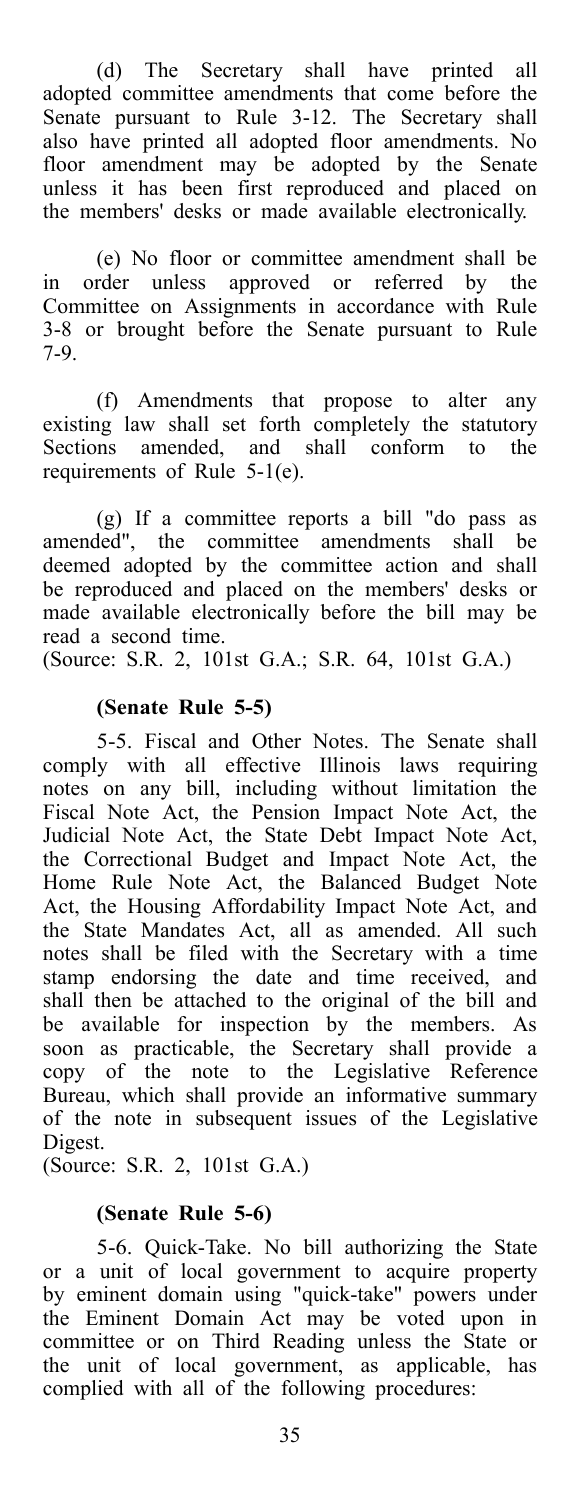(d) The Secretary shall have printed all adopted committee amendments that come before the Senate pursuant to Rule 3-12. The Secretary shall also have printed all adopted floor amendments. No floor amendment may be adopted by the Senate unless it has been first reproduced and placed on the members' desks or made available electronically.

(e) No floor or committee amendment shall be in order unless approved or referred by the Committee on Assignments in accordance with Rule 3-8 or brought before the Senate pursuant to Rule 7-9.

(f) Amendments that propose to alter any existing law shall set forth completely the statutory Sections amended, and shall conform to the requirements of Rule 5-1(e).

(g) If a committee reports a bill "do pass as amended", the committee amendments shall be deemed adopted by the committee action and shall be reproduced and placed on the members' desks or made available electronically before the bill may be read a second time.

(Source: S.R. 2, 101st G.A.; S.R. 64, 101st G.A.)

### **(Senate Rule 5-5)**

5-5. Fiscal and Other Notes. The Senate shall comply with all effective Illinois laws requiring notes on any bill, including without limitation the Fiscal Note Act, the Pension Impact Note Act, the Judicial Note Act, the State Debt Impact Note Act, the Correctional Budget and Impact Note Act, the Home Rule Note Act, the Balanced Budget Note Act, the Housing Affordability Impact Note Act, and the State Mandates Act, all as amended. All such notes shall be filed with the Secretary with a time stamp endorsing the date and time received, and shall then be attached to the original of the bill and be available for inspection by the members. As soon as practicable, the Secretary shall provide a copy of the note to the Legislative Reference Bureau, which shall provide an informative summary of the note in subsequent issues of the Legislative Digest.

(Source: S.R. 2, 101st G.A.)

### **(Senate Rule 5-6)**

5-6. Quick-Take. No bill authorizing the State or a unit of local government to acquire property by eminent domain using "quick-take" powers under the Eminent Domain Act may be voted upon in committee or on Third Reading unless the State or the unit of local government, as applicable, has complied with all of the following procedures: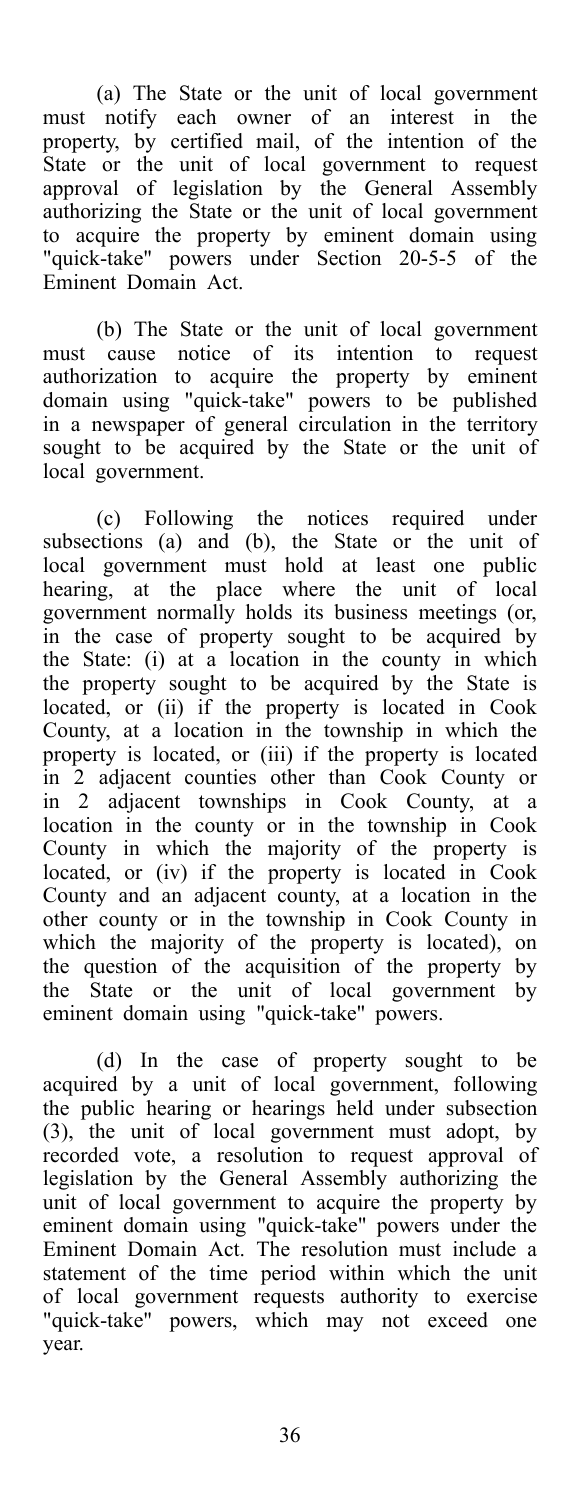(a) The State or the unit of local government must notify each owner of an interest in the property, by certified mail, of the intention of the State or the unit of local government to request approval of legislation by the General Assembly authorizing the State or the unit of local government to acquire the property by eminent domain using "quick-take" powers under Section 20-5-5 of the Eminent Domain Act.

(b) The State or the unit of local government must cause notice of its intention to request authorization to acquire the property by eminent domain using "quick-take" powers to be published in a newspaper of general circulation in the territory sought to be acquired by the State or the unit of local government.

(c) Following the notices required under subsections (a) and (b), the State or the unit of local government must hold at least one public hearing, at the place where the unit of local government normally holds its business meetings (or, in the case of property sought to be acquired by the State: (i) at a location in the county in which the property sought to be acquired by the State is located, or (ii) if the property is located in Cook County, at a location in the township in which the property is located, or (iii) if the property is located in 2 adjacent counties other than Cook County or in 2 adjacent townships in Cook County, at a location in the county or in the township in Cook County in which the majority of the property is located, or (iv) if the property is located in Cook County and an adjacent county, at a location in the other county or in the township in Cook County in which the majority of the property is located), on the question of the acquisition of the property by the State or the unit of local government by eminent domain using "quick-take" powers.

(d) In the case of property sought to be acquired by a unit of local government, following the public hearing or hearings held under subsection (3), the unit of local government must adopt, by recorded vote, a resolution to request approval of legislation by the General Assembly authorizing the unit of local government to acquire the property by eminent domain using "quick-take" powers under the Eminent Domain Act. The resolution must include a statement of the time period within which the unit of local government requests authority to exercise "quick-take" powers, which may not exceed one year.

36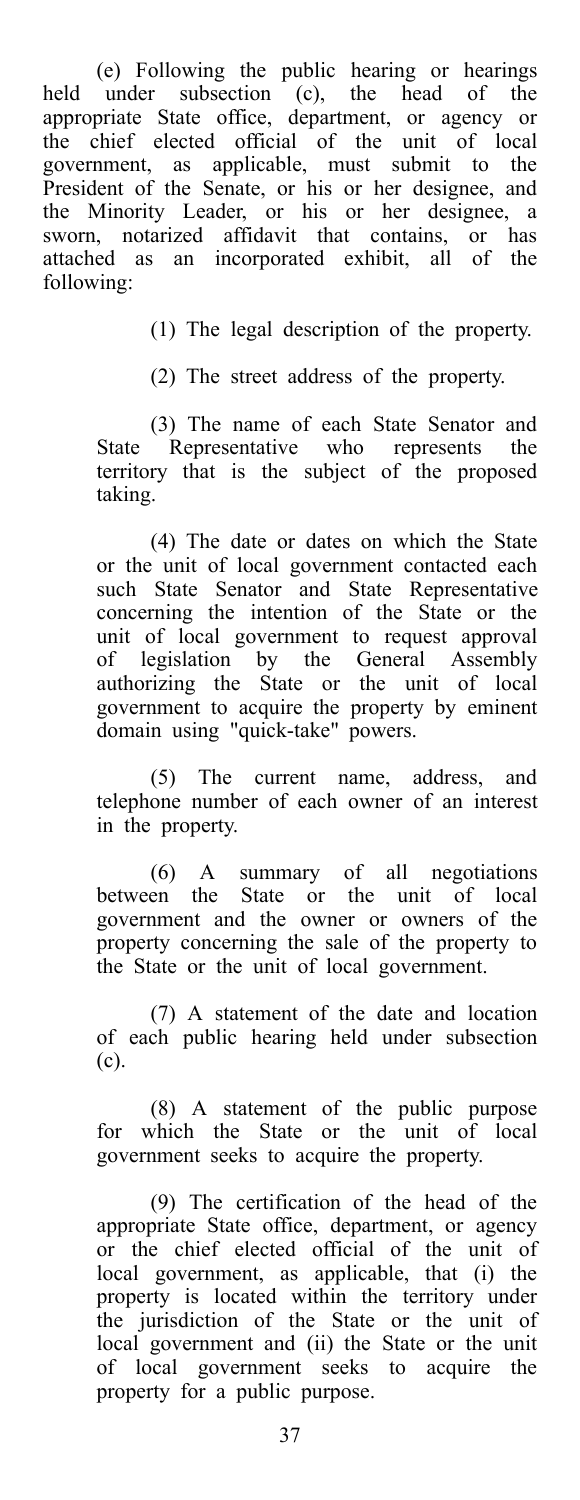(e) Following the public hearing or hearings held under subsection (c), the head of the appropriate State office, department, or agency or the chief elected official of the unit of local government, as applicable, must submit to the President of the Senate, or his or her designee, and the Minority Leader, or his or her designee, a sworn, notarized affidavit that contains, or has attached as an incorporated exhibit, all of the following:

(1) The legal description of the property.

(2) The street address of the property.

(3) The name of each State Senator and State Representative who represents the territory that is the subject of the proposed taking.

(4) The date or dates on which the State or the unit of local government contacted each such State Senator and State Representative concerning the intention of the State or the unit of local government to request approval of legislation by the General Assembly authorizing the State or the unit of local government to acquire the property by eminent domain using "quick-take" powers.

(5) The current name, address, and telephone number of each owner of an interest in the property.

(6) A summary of all negotiations between the State or the unit of local government and the owner or owners of the property concerning the sale of the property to the State or the unit of local government.

(7) A statement of the date and location of each public hearing held under subsection (c).

(8) A statement of the public purpose for which the State or the unit of local government seeks to acquire the property.

(9) The certification of the head of the appropriate State office, department, or agency or the chief elected official of the unit of local government, as applicable, that (i) the property is located within the territory under the jurisdiction of the State or the unit of local government and (ii) the State or the unit of local government seeks to acquire the property for a public purpose.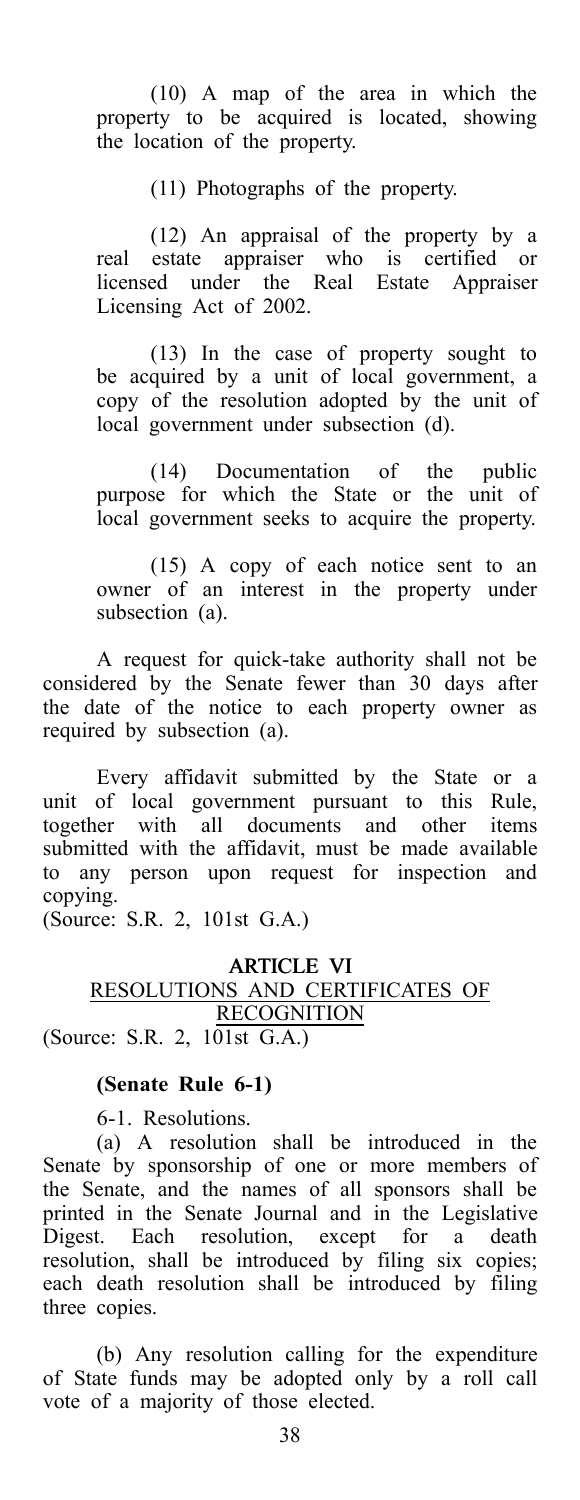(10) A map of the area in which the property to be acquired is located, showing the location of the property.

(11) Photographs of the property.

(12) An appraisal of the property by a real estate appraiser who is certified or licensed under the Real Estate Appraiser Licensing Act of 2002.

(13) In the case of property sought to be acquired by a unit of local government, a copy of the resolution adopted by the unit of local government under subsection (d).

(14) Documentation of the public purpose for which the State or the unit of local government seeks to acquire the property.

(15) A copy of each notice sent to an owner of an interest in the property under subsection (a).

A request for quick-take authority shall not be considered by the Senate fewer than 30 days after the date of the notice to each property owner as required by subsection (a).

Every affidavit submitted by the State or a unit of local government pursuant to this Rule, together with all documents and other items submitted with the affidavit, must be made available to any person upon request for inspection and copying.

(Source: S.R. 2, 101st G.A.)

### ARTICLE VI RESOLUTIONS AND CERTIFICATES OF **RECOGNITION** (Source: S.R. 2, 101st G.A.)

### **(Senate Rule 6-1)**

6-1. Resolutions.

(a) A resolution shall be introduced in the Senate by sponsorship of one or more members of the Senate, and the names of all sponsors shall be printed in the Senate Journal and in the Legislative Digest. Each resolution, except for a death resolution, shall be introduced by filing six copies; each death resolution shall be introduced by filing three copies.

(b) Any resolution calling for the expenditure of State funds may be adopted only by a roll call vote of a majority of those elected.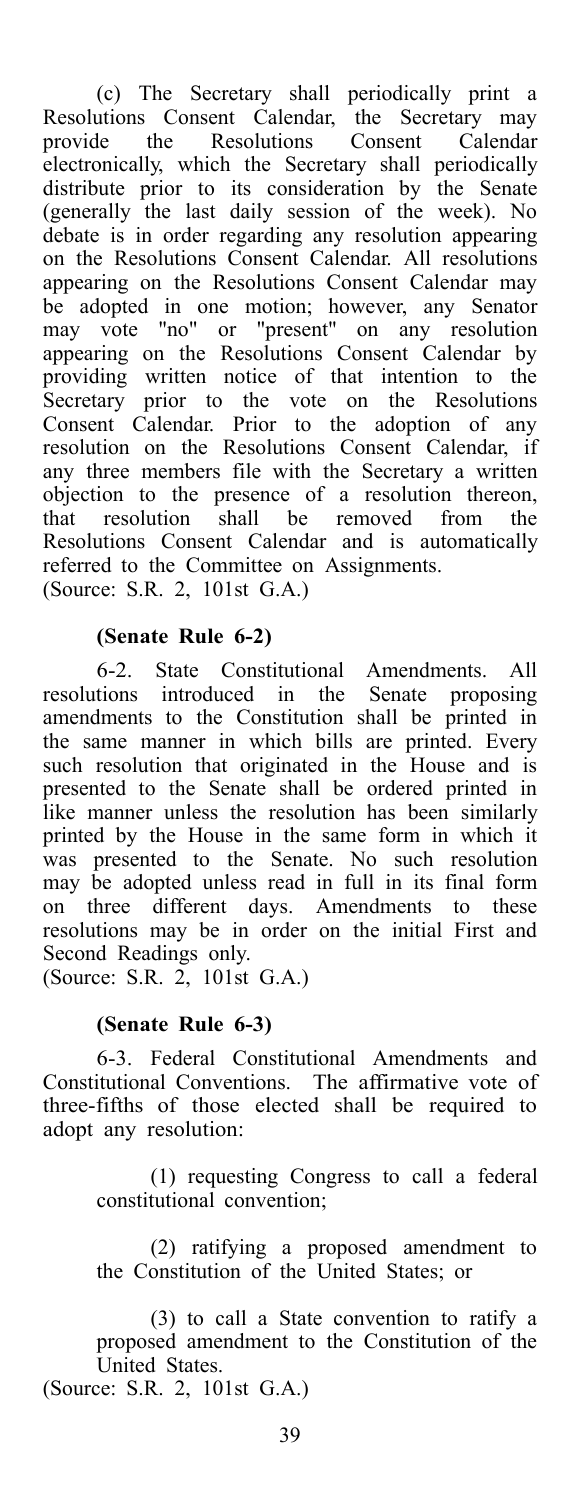(c) The Secretary shall periodically print a Resolutions Consent Calendar, the Secretary may provide the Resolutions Consent Calendar electronically, which the Secretary shall periodically distribute prior to its consideration by the Senate (generally the last daily session of the week). No debate is in order regarding any resolution appearing on the Resolutions Consent Calendar. All resolutions appearing on the Resolutions Consent Calendar may be adopted in one motion; however, any Senator may vote "no" or "present" on any resolution appearing on the Resolutions Consent Calendar by providing written notice of that intention to the Secretary prior to the vote on the Resolutions Consent Calendar. Prior to the adoption of any resolution on the Resolutions Consent Calendar, if any three members file with the Secretary a written objection to the presence of a resolution thereon, that resolution shall be removed from the Resolutions Consent Calendar and is automatically referred to the Committee on Assignments. (Source: S.R. 2, 101st G.A.)

#### **(Senate Rule 6-2)**

6-2. State Constitutional Amendments. All resolutions introduced in the Senate proposing amendments to the Constitution shall be printed in the same manner in which bills are printed. Every such resolution that originated in the House and is presented to the Senate shall be ordered printed in like manner unless the resolution has been similarly printed by the House in the same form in which it was presented to the Senate. No such resolution may be adopted unless read in full in its final form on three different days. Amendments to these resolutions may be in order on the initial First and Second Readings only.

(Source: S.R. 2, 101st G.A.)

### **(Senate Rule 6-3)**

6-3. Federal Constitutional Amendments and Constitutional Conventions. The affirmative vote of three-fifths of those elected shall be required to adopt any resolution:

> (1) requesting Congress to call a federal constitutional convention;

> (2) ratifying a proposed amendment to the Constitution of the United States; or

(3) to call a State convention to ratify a proposed amendment to the Constitution of the United States.

(Source: S.R. 2, 101st G.A.)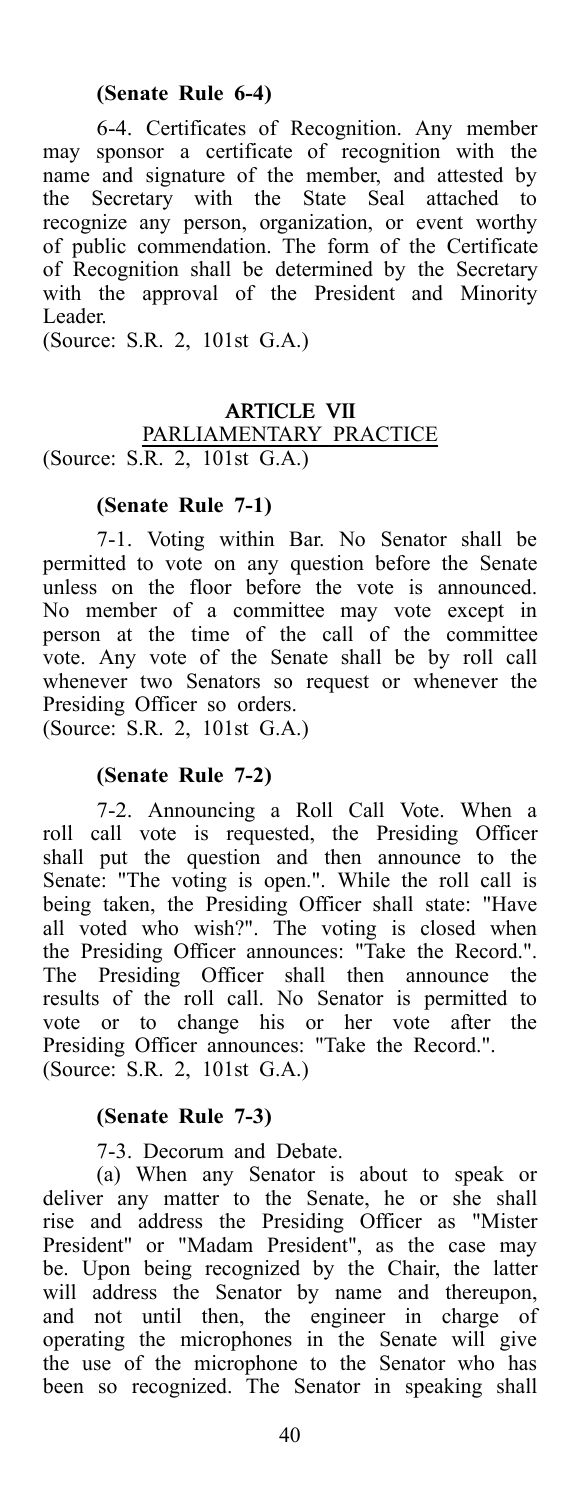### **(Senate Rule 6-4)**

6-4. Certificates of Recognition. Any member may sponsor a certificate of recognition with the name and signature of the member, and attested by the Secretary with the State Seal attached to recognize any person, organization, or event worthy of public commendation. The form of the Certificate of Recognition shall be determined by the Secretary with the approval of the President and Minority Leader.

(Source: S.R. 2, 101st G.A.)

### ARTICLE VII PARLIAMENTARY PRACTICE (Source: S.R. 2, 101st G.A.)

### **(Senate Rule 7-1)**

7-1. Voting within Bar. No Senator shall be permitted to vote on any question before the Senate unless on the floor before the vote is announced. No member of a committee may vote except in person at the time of the call of the committee vote. Any vote of the Senate shall be by roll call whenever two Senators so request or whenever the Presiding Officer so orders.

(Source: S.R. 2, 101st G.A.)

### **(Senate Rule 7-2)**

7-2. Announcing a Roll Call Vote. When a roll call vote is requested, the Presiding Officer shall put the question and then announce to the Senate: "The voting is open.". While the roll call is being taken, the Presiding Officer shall state: "Have all voted who wish?". The voting is closed when the Presiding Officer announces: "Take the Record.". The Presiding Officer shall then announce the results of the roll call. No Senator is permitted to vote or to change his or her vote after the Presiding Officer announces: "Take the Record.". (Source: S.R. 2, 101st G.A.)

### **(Senate Rule 7-3)**

7-3. Decorum and Debate.

(a) When any Senator is about to speak or deliver any matter to the Senate, he or she shall rise and address the Presiding Officer as "Mister President" or "Madam President", as the case may be. Upon being recognized by the Chair, the latter will address the Senator by name and thereupon, and not until then, the engineer in charge of operating the microphones in the Senate will give the use of the microphone to the Senator who has been so recognized. The Senator in speaking shall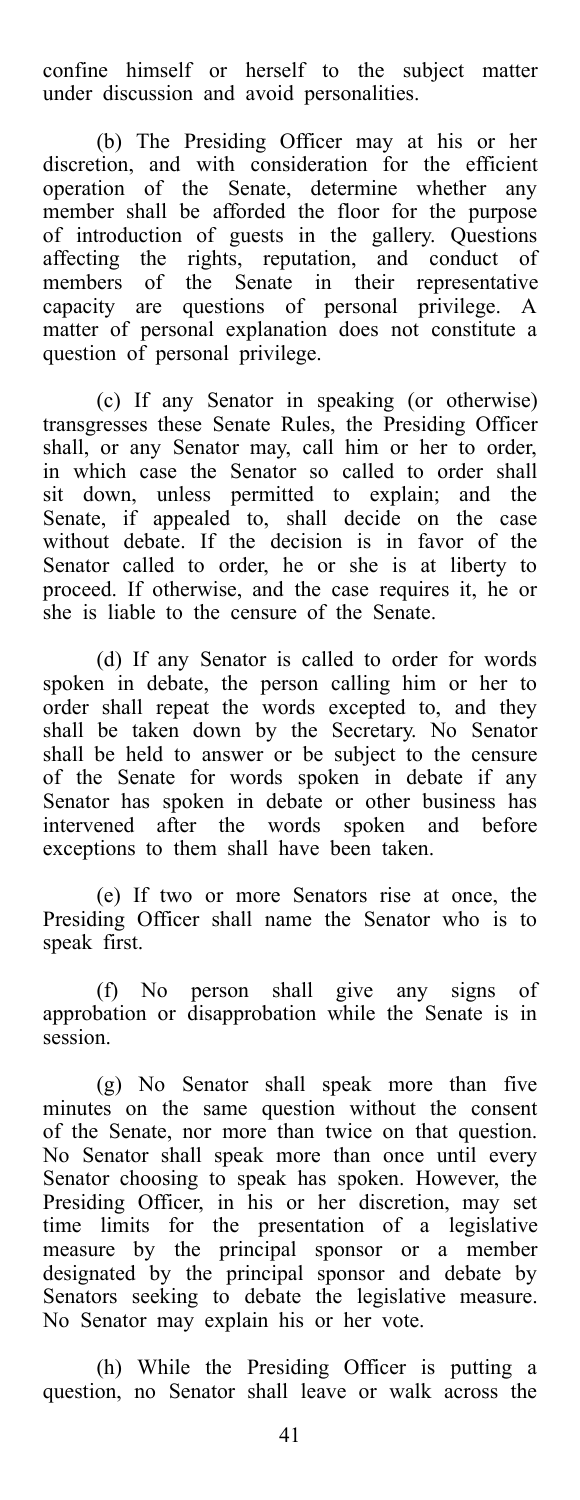confine himself or herself to the subject matter under discussion and avoid personalities.

(b) The Presiding Officer may at his or her discretion, and with consideration for the efficient operation of the Senate, determine whether any member shall be afforded the floor for the purpose of introduction of guests in the gallery. Questions affecting the rights, reputation, and conduct of members of the Senate in their representative capacity are questions of personal privilege. A matter of personal explanation does not constitute a question of personal privilege.

(c) If any Senator in speaking (or otherwise) transgresses these Senate Rules, the Presiding Officer shall, or any Senator may, call him or her to order, in which case the Senator so called to order shall sit down, unless permitted to explain; and the Senate, if appealed to, shall decide on the case without debate. If the decision is in favor of the Senator called to order, he or she is at liberty to proceed. If otherwise, and the case requires it, he or she is liable to the censure of the Senate.

(d) If any Senator is called to order for words spoken in debate, the person calling him or her to order shall repeat the words excepted to, and they shall be taken down by the Secretary. No Senator shall be held to answer or be subject to the censure of the Senate for words spoken in debate if any Senator has spoken in debate or other business has intervened after the words spoken and before exceptions to them shall have been taken.

(e) If two or more Senators rise at once, the Presiding Officer shall name the Senator who is to speak first.

(f) No person shall give any signs of approbation or disapprobation while the Senate is in session.

(g) No Senator shall speak more than five minutes on the same question without the consent of the Senate, nor more than twice on that question. No Senator shall speak more than once until every Senator choosing to speak has spoken. However, the Presiding Officer, in his or her discretion, may set time limits for the presentation of a legislative measure by the principal sponsor or a member designated by the principal sponsor and debate by Senators seeking to debate the legislative measure. No Senator may explain his or her vote.

(h) While the Presiding Officer is putting a question, no Senator shall leave or walk across the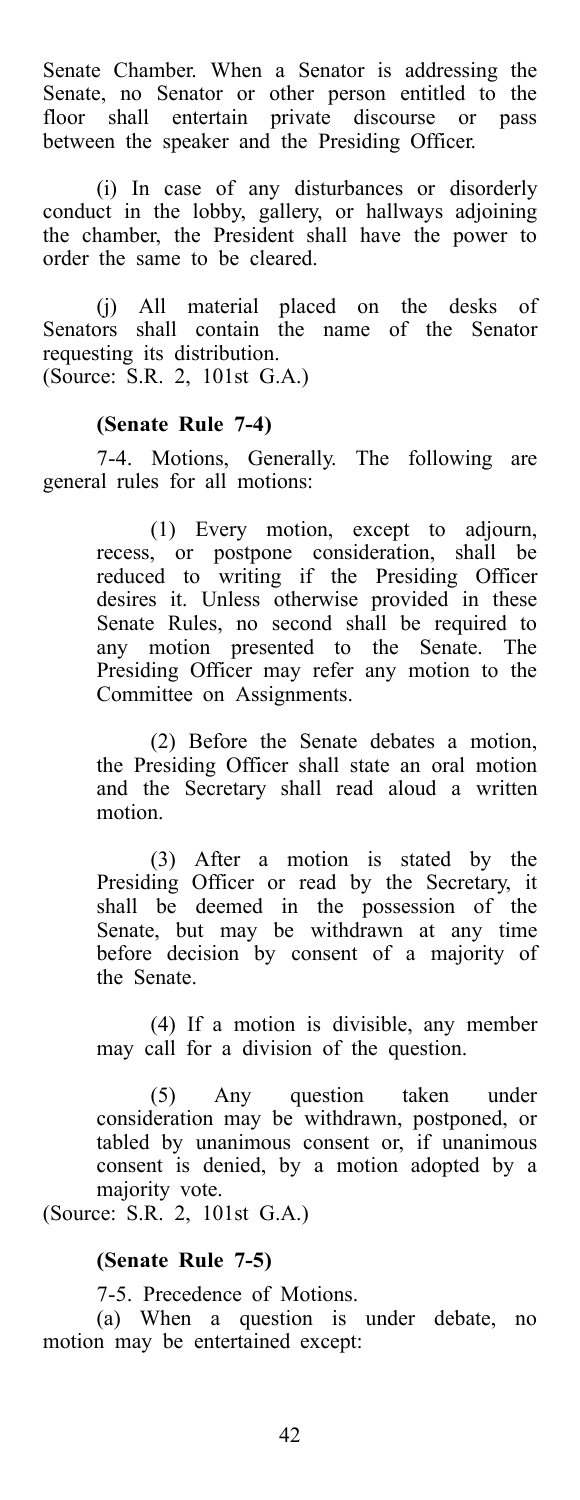Senate Chamber. When a Senator is addressing the Senate, no Senator or other person entitled to the floor shall entertain private discourse or pass between the speaker and the Presiding Officer.

(i) In case of any disturbances or disorderly conduct in the lobby, gallery, or hallways adjoining the chamber, the President shall have the power to order the same to be cleared.

(j) All material placed on the desks of Senators shall contain the name of the Senator requesting its distribution. (Source: S.R. 2, 101st G.A.)

### **(Senate Rule 7-4)**

7-4. Motions, Generally. The following are general rules for all motions:

> (1) Every motion, except to adjourn, recess, or postpone consideration, shall be reduced to writing if the Presiding Officer desires it. Unless otherwise provided in these Senate Rules, no second shall be required to any motion presented to the Senate. The Presiding Officer may refer any motion to the Committee on Assignments.

> (2) Before the Senate debates a motion, the Presiding Officer shall state an oral motion and the Secretary shall read aloud a written motion.

> (3) After a motion is stated by the Presiding Officer or read by the Secretary, it shall be deemed in the possession of the Senate, but may be withdrawn at any time before decision by consent of a majority of the Senate.

> (4) If a motion is divisible, any member may call for a division of the question.

> (5) Any question taken under consideration may be withdrawn, postponed, or tabled by unanimous consent or, if unanimous consent is denied, by a motion adopted by a majority vote.

(Source: S.R. 2, 101st G.A.)

#### **(Senate Rule 7-5)**

7-5. Precedence of Motions.

(a) When a question is under debate, no motion may be entertained except: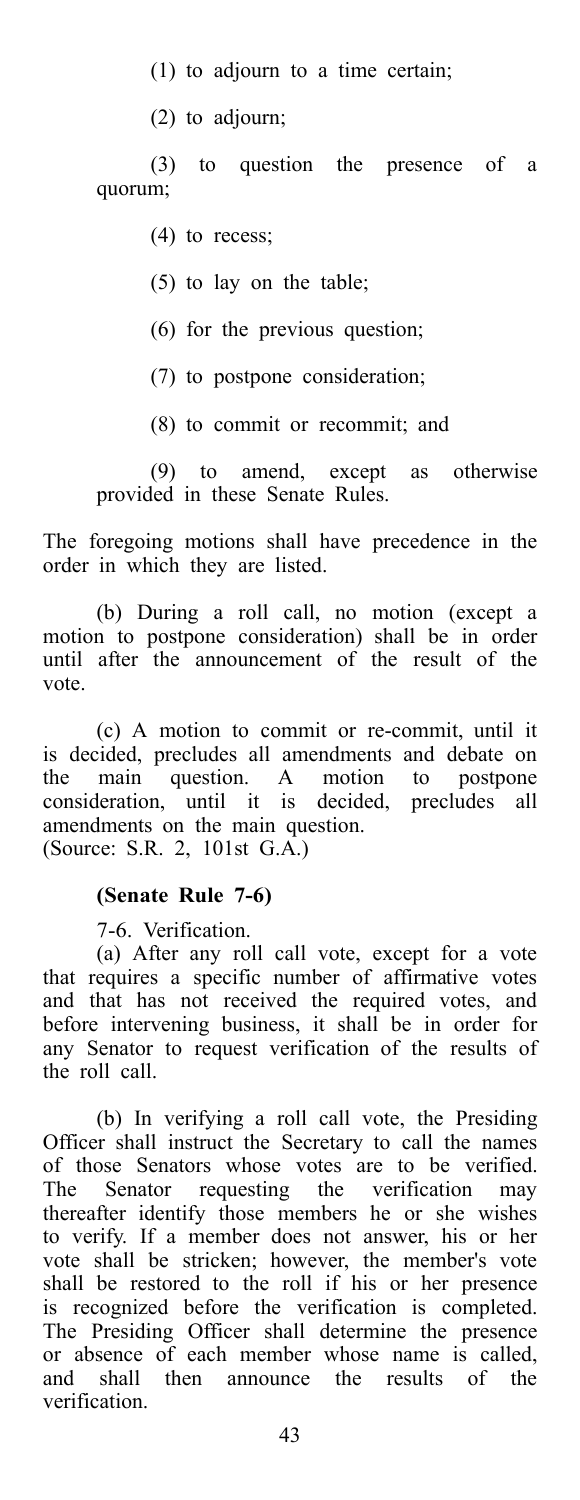- (1) to adjourn to a time certain;
- (2) to adjourn;

(3) to question the presence of a quorum;

- (4) to recess;
- (5) to lay on the table;
- (6) for the previous question;
- (7) to postpone consideration;
- (8) to commit or recommit; and

(9) to amend, except as otherwise provided in these Senate Rules.

The foregoing motions shall have precedence in the order in which they are listed.

(b) During a roll call, no motion (except a motion to postpone consideration) shall be in order until after the announcement of the result of the vote.

(c) A motion to commit or re-commit, until it is decided, precludes all amendments and debate on the main question. A motion to postpone consideration, until it is decided, precludes all amendments on the main question. (Source: S.R. 2, 101st G.A.)

#### **(Senate Rule 7-6)**

7-6. Verification.

(a) After any roll call vote, except for a vote that requires a specific number of affirmative votes and that has not received the required votes, and before intervening business, it shall be in order for any Senator to request verification of the results of the roll call.

(b) In verifying a roll call vote, the Presiding Officer shall instruct the Secretary to call the names of those Senators whose votes are to be verified. The Senator requesting the verification may thereafter identify those members he or she wishes to verify. If a member does not answer, his or her vote shall be stricken; however, the member's vote shall be restored to the roll if his or her presence is recognized before the verification is completed. The Presiding Officer shall determine the presence or absence of each member whose name is called, and shall then announce the results of the then announce the results of the verification.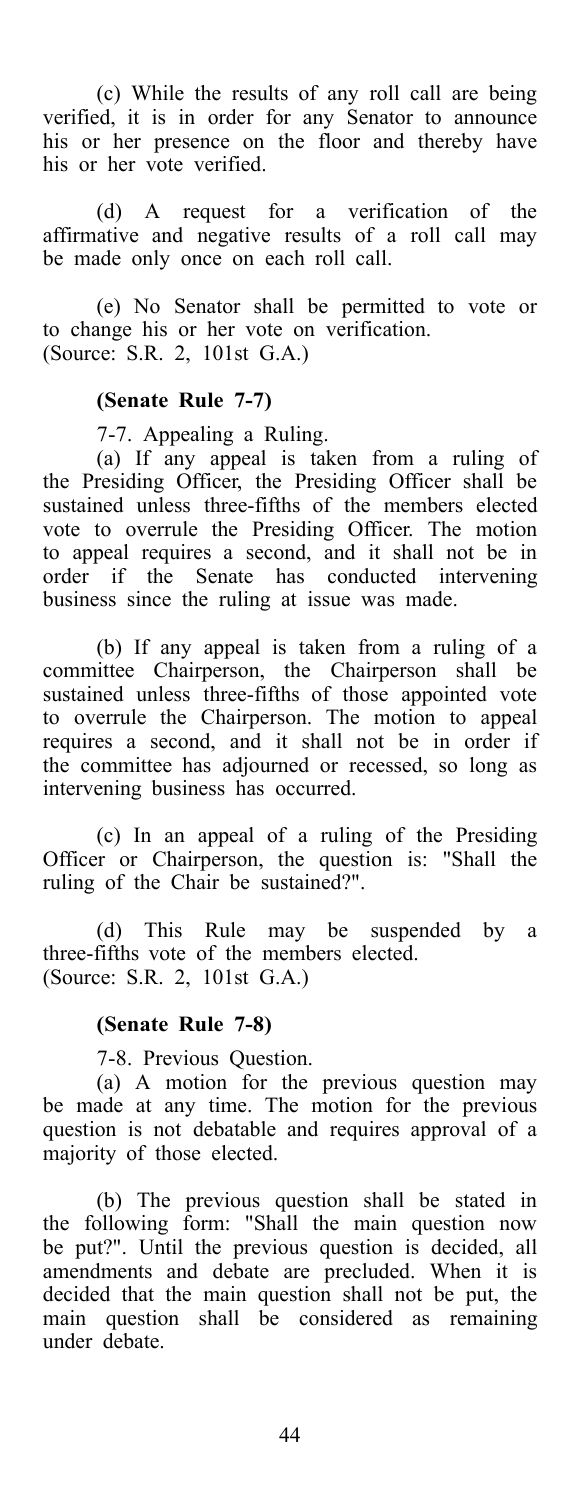(c) While the results of any roll call are being verified, it is in order for any Senator to announce his or her presence on the floor and thereby have his or her vote verified.

(d) A request for a verification of the affirmative and negative results of a roll call may be made only once on each roll call.

(e) No Senator shall be permitted to vote or to change his or her vote on verification. (Source: S.R. 2, 101st G.A.)

### **(Senate Rule 7-7)**

7-7. Appealing a Ruling.

(a) If any appeal is taken from a ruling of the Presiding Officer, the Presiding Officer shall be sustained unless three-fifths of the members elected vote to overrule the Presiding Officer. The motion to appeal requires a second, and it shall not be in order if the Senate has conducted intervening business since the ruling at issue was made.

(b) If any appeal is taken from a ruling of a committee Chairperson, the Chairperson shall be sustained unless three-fifths of those appointed vote to overrule the Chairperson. The motion to appeal requires a second, and it shall not be in order if the committee has adjourned or recessed, so long as intervening business has occurred.

(c) In an appeal of a ruling of the Presiding Officer or Chairperson, the question is: "Shall the ruling of the Chair be sustained?".

(d) This Rule may be suspended by a three-fifths vote of the members elected. (Source: S.R. 2, 101st G.A.)

#### **(Senate Rule 7-8)**

7-8. Previous Question.

(a) A motion for the previous question may be made at any time. The motion for the previous question is not debatable and requires approval of a majority of those elected.

(b) The previous question shall be stated in the following form: "Shall the main question now be put?". Until the previous question is decided, all amendments and debate are precluded. When it is decided that the main question shall not be put, the main question shall be considered as remaining under debate.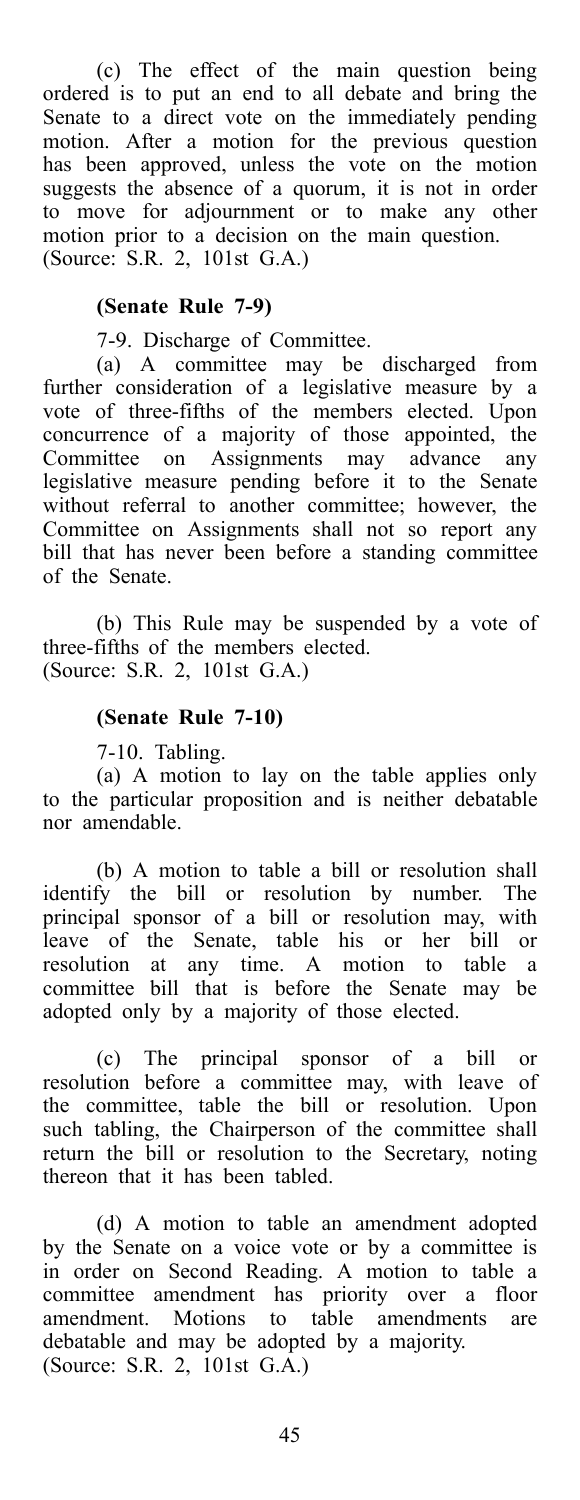(c) The effect of the main question being ordered is to put an end to all debate and bring the Senate to a direct vote on the immediately pending motion. After a motion for the previous question has been approved, unless the vote on the motion suggests the absence of a quorum, it is not in order to move for adjournment or to make any other motion prior to a decision on the main question. (Source: S.R. 2, 101st G.A.)

### **(Senate Rule 7-9)**

7-9. Discharge of Committee.

(a) A committee may be discharged from further consideration of a legislative measure by a vote of three-fifths of the members elected. Upon concurrence of a majority of those appointed, the Committee on Assignments may advance any legislative measure pending before it to the Senate without referral to another committee; however, the Committee on Assignments shall not so report any bill that has never been before a standing committee of the Senate.

(b) This Rule may be suspended by a vote of three-fifths of the members elected. (Source: S.R. 2, 101st G.A.)

#### **(Senate Rule 7-10)**

7-10. Tabling.

(a) A motion to lay on the table applies only to the particular proposition and is neither debatable nor amendable.

(b) A motion to table a bill or resolution shall identify the bill or resolution by number. The principal sponsor of a bill or resolution may, with leave of the Senate, table his or her bill or resolution at any time. A motion to table a committee bill that is before the Senate may be adopted only by a majority of those elected.

(c) The principal sponsor of a bill or resolution before a committee may, with leave of the committee, table the bill or resolution. Upon such tabling, the Chairperson of the committee shall return the bill or resolution to the Secretary, noting thereon that it has been tabled.

(d) A motion to table an amendment adopted by the Senate on a voice vote or by a committee is in order on Second Reading. A motion to table a committee amendment has priority over a floor amendment. Motions to table amendments are debatable and may be adopted by a majority. (Source: S.R. 2, 101st G.A.)

45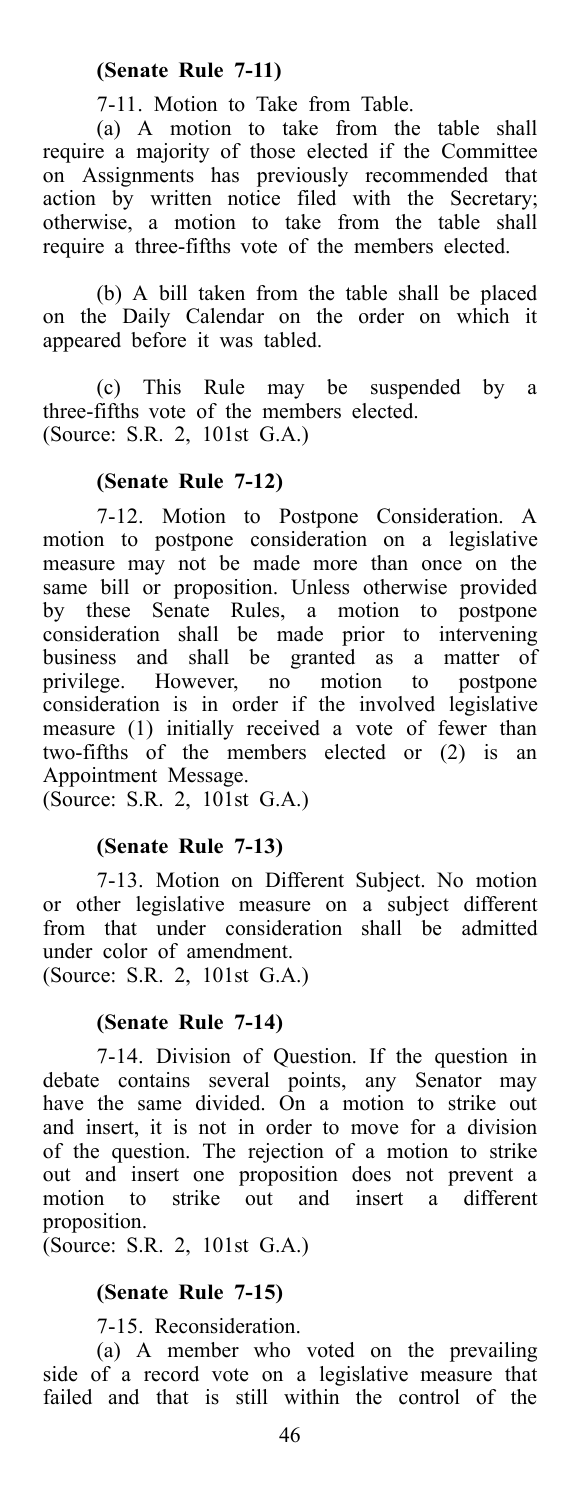### **(Senate Rule 7-11)**

7-11. Motion to Take from Table.

(a) A motion to take from the table shall require a majority of those elected if the Committee on Assignments has previously recommended that action by written notice filed with the Secretary; otherwise, a motion to take from the table shall require a three-fifths vote of the members elected.

(b) A bill taken from the table shall be placed on the Daily Calendar on the order on which it appeared before it was tabled.

(c) This Rule may be suspended by a three-fifths vote of the members elected. (Source: S.R. 2, 101st G.A.)

### **(Senate Rule 7-12)**

7-12. Motion to Postpone Consideration. A motion to postpone consideration on a legislative measure may not be made more than once on the same bill or proposition. Unless otherwise provided by these Senate Rules, a motion to postpone consideration shall be made prior to intervening business and shall be granted as a matter of privilege. However, no motion to postpone consideration is in order if the involved legislative measure (1) initially received a vote of fewer than two-fifths of the members elected or (2) is an Appointment Message.

(Source: S.R. 2, 101st G.A.)

### **(Senate Rule 7-13)**

7-13. Motion on Different Subject. No motion or other legislative measure on a subject different from that under consideration shall be admitted under color of amendment.

(Source: S.R. 2, 101st G.A.)

### **(Senate Rule 7-14)**

7-14. Division of Question. If the question in debate contains several points, any Senator may have the same divided. On a motion to strike out and insert, it is not in order to move for a division of the question. The rejection of a motion to strike out and insert one proposition does not prevent a<br>motion to strike out and insert a different insert a different proposition.

(Source: S.R. 2, 101st G.A.)

### **(Senate Rule 7-15)**

7-15. Reconsideration.

(a) A member who voted on the prevailing side of a record vote on a legislative measure that failed and that is still within the control of the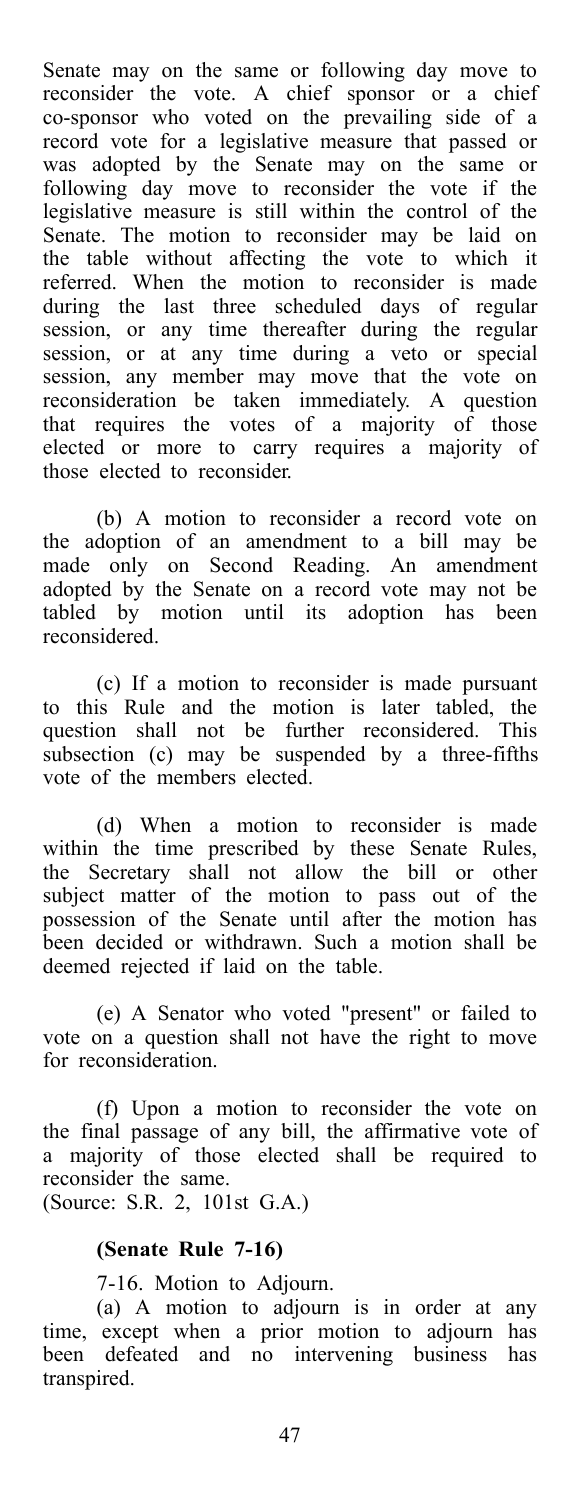Senate may on the same or following day move to reconsider the vote. A chief sponsor or a chief co-sponsor who voted on the prevailing side of a record vote for a legislative measure that passed or was adopted by the Senate may on the same or following day move to reconsider the vote if the legislative measure is still within the control of the Senate. The motion to reconsider may be laid on the table without affecting the vote to which it referred. When the motion to reconsider is made during the last three scheduled days of regular session, or any time thereafter during the regular session, or at any time during a veto or special session, any member may move that the vote on reconsideration be taken immediately. A question that requires the votes of a majority of those elected or more to carry requires a majority of those elected to reconsider.

(b) A motion to reconsider a record vote on the adoption of an amendment to a bill may be made only on Second Reading. An amendment adopted by the Senate on a record vote may not be tabled by motion until its adoption has been reconsidered.

(c) If a motion to reconsider is made pursuant to this Rule and the motion is later tabled, the question shall not be further reconsidered. This subsection (c) may be suspended by a three-fifths vote of the members elected.

(d) When a motion to reconsider is made within the time prescribed by these Senate Rules, the Secretary shall not allow the bill or other subject matter of the motion to pass out of the possession of the Senate until after the motion has been decided or withdrawn. Such a motion shall be deemed rejected if laid on the table.

(e) A Senator who voted "present" or failed to vote on a question shall not have the right to move for reconsideration.

(f) Upon a motion to reconsider the vote on the final passage of any bill, the affirmative vote of a majority of those elected shall be required to reconsider the same. (Source: S.R. 2, 101st G.A.)

### **(Senate Rule 7-16)**

7-16. Motion to Adjourn.

(a) A motion to adjourn is in order at any time, except when a prior motion to adjourn has been defeated and no intervening business has transpired.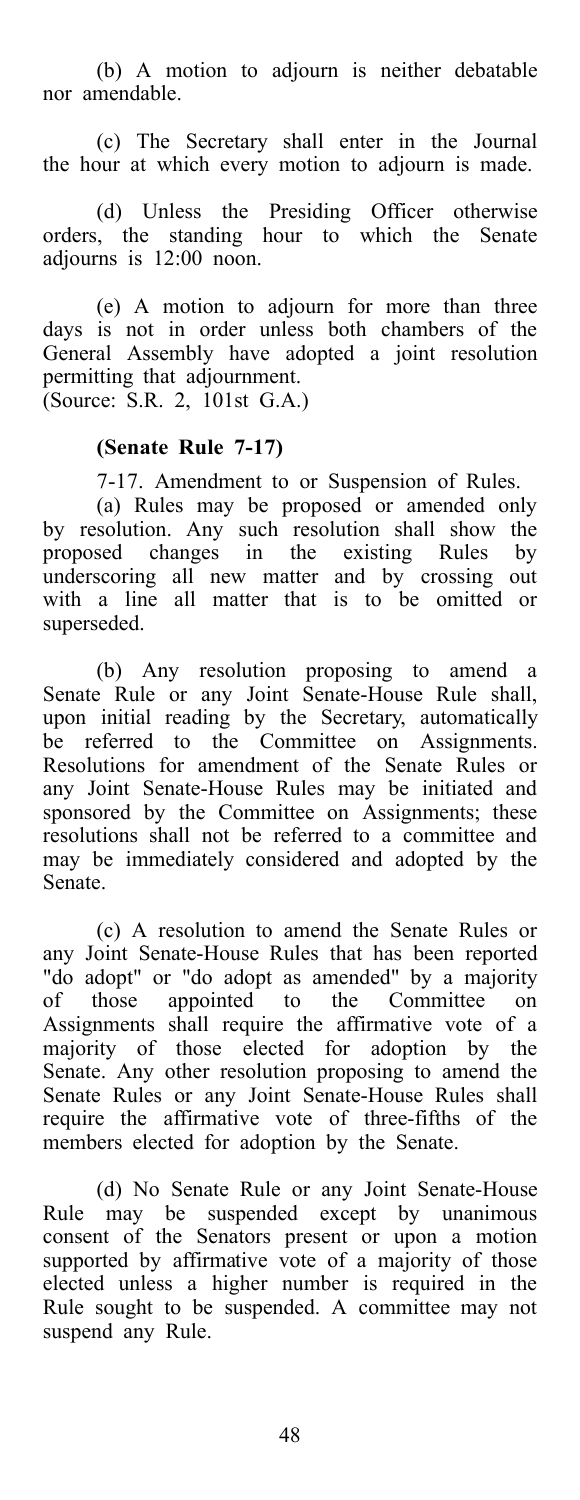(b) A motion to adjourn is neither debatable nor amendable.

(c) The Secretary shall enter in the Journal the hour at which every motion to adjourn is made.

(d) Unless the Presiding Officer otherwise orders, the standing hour to which the Senate adjourns is 12:00 noon.

(e) A motion to adjourn for more than three days is not in order unless both chambers of the General Assembly have adopted a joint resolution permitting that adjournment. (Source: S.R. 2, 101st G.A.)

### **(Senate Rule 7-17)**

7-17. Amendment to or Suspension of Rules.

(a) Rules may be proposed or amended only by resolution. Any such resolution shall show the proposed changes in the existing Rules by underscoring all new matter and by crossing out with a line all matter that is to be omitted or superseded.

(b) Any resolution proposing to amend a Senate Rule or any Joint Senate-House Rule shall, upon initial reading by the Secretary, automatically be referred to the Committee on Assignments. Resolutions for amendment of the Senate Rules or any Joint Senate-House Rules may be initiated and sponsored by the Committee on Assignments; these resolutions shall not be referred to a committee and may be immediately considered and adopted by the Senate.

(c) A resolution to amend the Senate Rules or any Joint Senate-House Rules that has been reported "do adopt" or "do adopt as amended" by a majority of those appointed to the Committee on Assignments shall require the affirmative vote of a majority of those elected for adoption by the Senate. Any other resolution proposing to amend the Senate Rules or any Joint Senate-House Rules shall require the affirmative vote of three-fifths of the members elected for adoption by the Senate.

(d) No Senate Rule or any Joint Senate-House Rule may be suspended except by unanimous consent of the Senators present or upon a motion supported by affirmative vote of a majority of those elected unless a higher number is required in the Rule sought to be suspended. A committee may not suspend any Rule.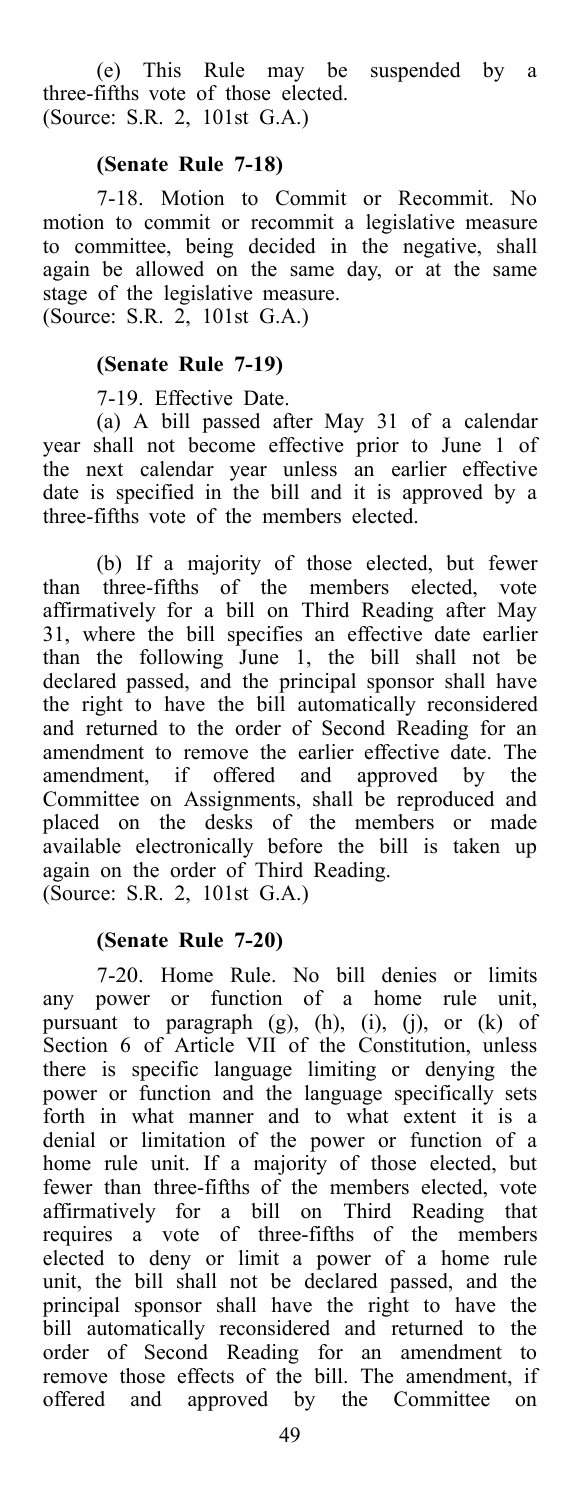(e) This Rule may be suspended by a three-fifths vote of those elected. (Source: S.R. 2, 101st G.A.)

### **(Senate Rule 7-18)**

7-18. Motion to Commit or Recommit. No motion to commit or recommit a legislative measure to committee, being decided in the negative, shall again be allowed on the same day, or at the same stage of the legislative measure. (Source: S.R. 2, 101st G.A.)

### **(Senate Rule 7-19)**

7-19. Effective Date.

(a) A bill passed after May 31 of a calendar year shall not become effective prior to June 1 of the next calendar year unless an earlier effective date is specified in the bill and it is approved by a three-fifths vote of the members elected.

(b) If a majority of those elected, but fewer than three-fifths of the members elected, vote affirmatively for a bill on Third Reading after May 31, where the bill specifies an effective date earlier than the following June 1, the bill shall not be declared passed, and the principal sponsor shall have the right to have the bill automatically reconsidered and returned to the order of Second Reading for an amendment to remove the earlier effective date. The amendment, if offered and approved by the Committee on Assignments, shall be reproduced and placed on the desks of the members or made available electronically before the bill is taken up again on the order of Third Reading. (Source: S.R. 2, 101st G.A.)

**(Senate Rule 7-20)**

7-20. Home Rule. No bill denies or limits any power or function of a home rule unit, pursuant to paragraph (g), (h), (i), (j), or (k) of Section 6 of Article VII of the Constitution, unless there is specific language limiting or denying the power or function and the language specifically sets forth in what manner and to what extent it is a denial or limitation of the power or function of a home rule unit. If a majority of those elected, but fewer than three-fifths of the members elected, vote affirmatively for a bill on Third Reading that requires a vote of three-fifths of the members elected to deny or limit a power of a home rule unit, the bill shall not be declared passed, and the principal sponsor shall have the right to have the bill automatically reconsidered and returned to the order of Second Reading for an amendment to remove those effects of the bill. The amendment, if offered and approved by the Committee on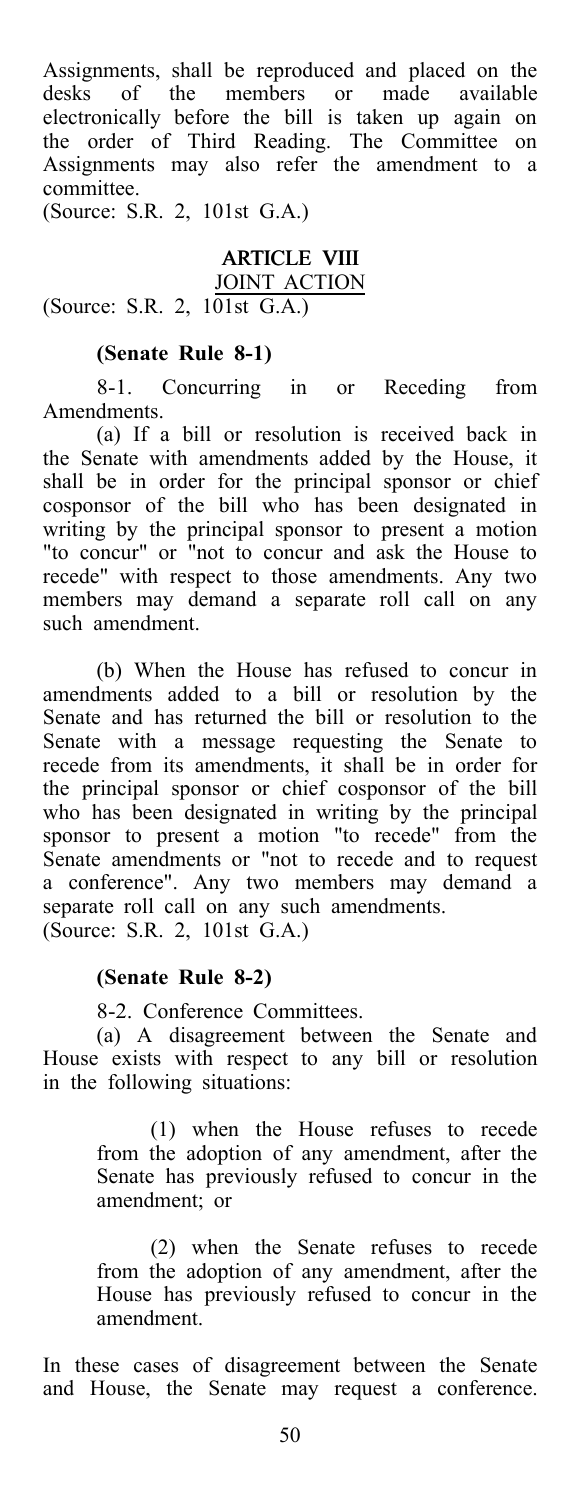Assignments, shall be reproduced and placed on the desks of the members or made available electronically before the bill is taken up again on the order of Third Reading. The Committee on Assignments may also refer the amendment to a committee.

(Source: S.R. 2, 101st G.A.)

#### ARTICLE VIII JOINT ACTION (Source: S.R. 2, 101st G.A.)

### **(Senate Rule 8-1)**

8-1. Concurring in or Receding from Amendments.

(a) If a bill or resolution is received back in the Senate with amendments added by the House, it shall be in order for the principal sponsor or chief cosponsor of the bill who has been designated in writing by the principal sponsor to present a motion "to concur" or "not to concur and ask the House to recede" with respect to those amendments. Any two members may demand a separate roll call on any such amendment.

(b) When the House has refused to concur in amendments added to a bill or resolution by the Senate and has returned the bill or resolution to the Senate with a message requesting the Senate to recede from its amendments, it shall be in order for the principal sponsor or chief cosponsor of the bill who has been designated in writing by the principal sponsor to present a motion "to recede" from the Senate amendments or "not to recede and to request a conference". Any two members may demand a separate roll call on any such amendments. (Source: S.R. 2, 101st G.A.)

#### **(Senate Rule 8-2)**

8-2. Conference Committees.

(a) A disagreement between the Senate and House exists with respect to any bill or resolution in the following situations:

> (1) when the House refuses to recede from the adoption of any amendment, after the Senate has previously refused to concur in the amendment; or

> (2) when the Senate refuses to recede from the adoption of any amendment, after the House has previously refused to concur in the amendment.

In these cases of disagreement between the Senate and House, the Senate may request a conference.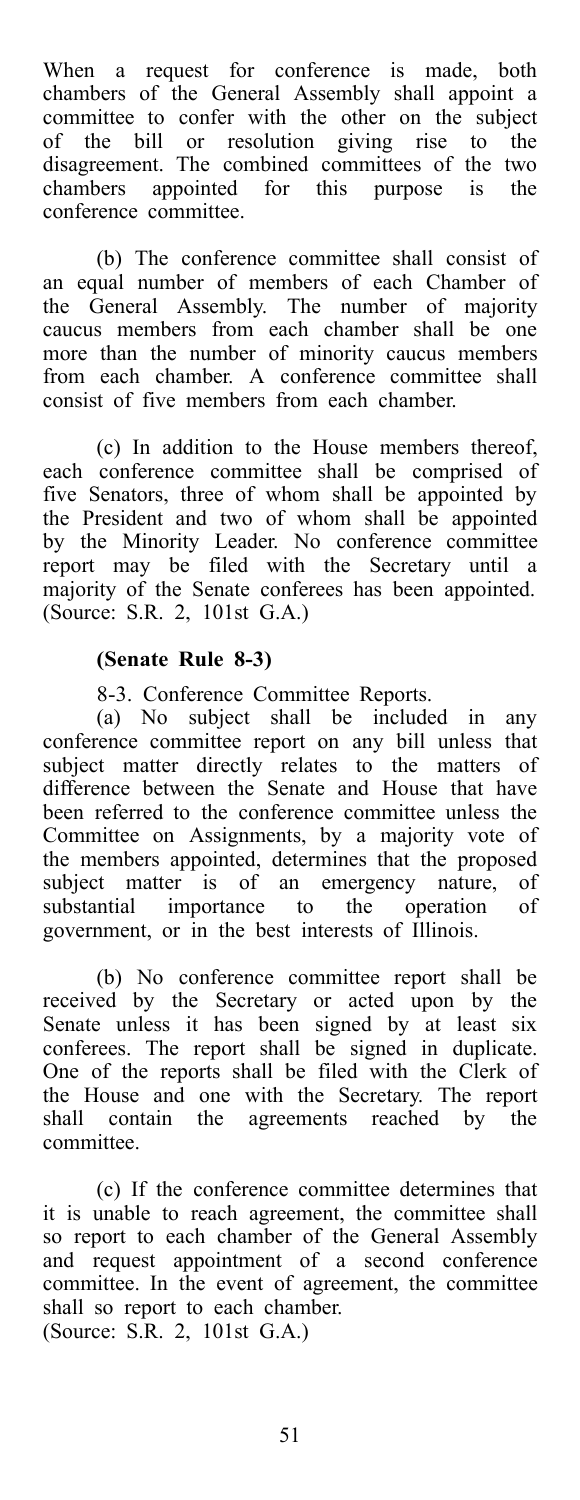When a request for conference is made, both chambers of the General Assembly shall appoint a committee to confer with the other on the subject of the bill or resolution giving rise to the disagreement. The combined committees of the two chambers appointed for this purpose is the conference committee.

(b) The conference committee shall consist of an equal number of members of each Chamber of the General Assembly. The number of majority caucus members from each chamber shall be one more than the number of minority caucus members from each chamber. A conference committee shall consist of five members from each chamber.

(c) In addition to the House members thereof, each conference committee shall be comprised of five Senators, three of whom shall be appointed by the President and two of whom shall be appointed by the Minority Leader. No conference committee report may be filed with the Secretary until a majority of the Senate conferees has been appointed. (Source: S.R. 2, 101st G.A.)

#### **(Senate Rule 8-3)**

8-3. Conference Committee Reports.

(a) No subject shall be included in any conference committee report on any bill unless that subject matter directly relates to the matters of difference between the Senate and House that have been referred to the conference committee unless the Committee on Assignments, by a majority vote of the members appointed, determines that the proposed subject matter is of an emergency nature, of substantial importance to the operation of substantial importance to the operation of government, or in the best interests of Illinois.

(b) No conference committee report shall be received by the Secretary or acted upon by the Senate unless it has been signed by at least six conferees. The report shall be signed in duplicate. One of the reports shall be filed with the Clerk of the House and one with the Secretary. The report shall contain the agreements reached by the committee.

(c) If the conference committee determines that it is unable to reach agreement, the committee shall so report to each chamber of the General Assembly and request appointment of a second conference committee. In the event of agreement, the committee shall so report to each chamber. (Source: S.R. 2, 101st G.A.)

51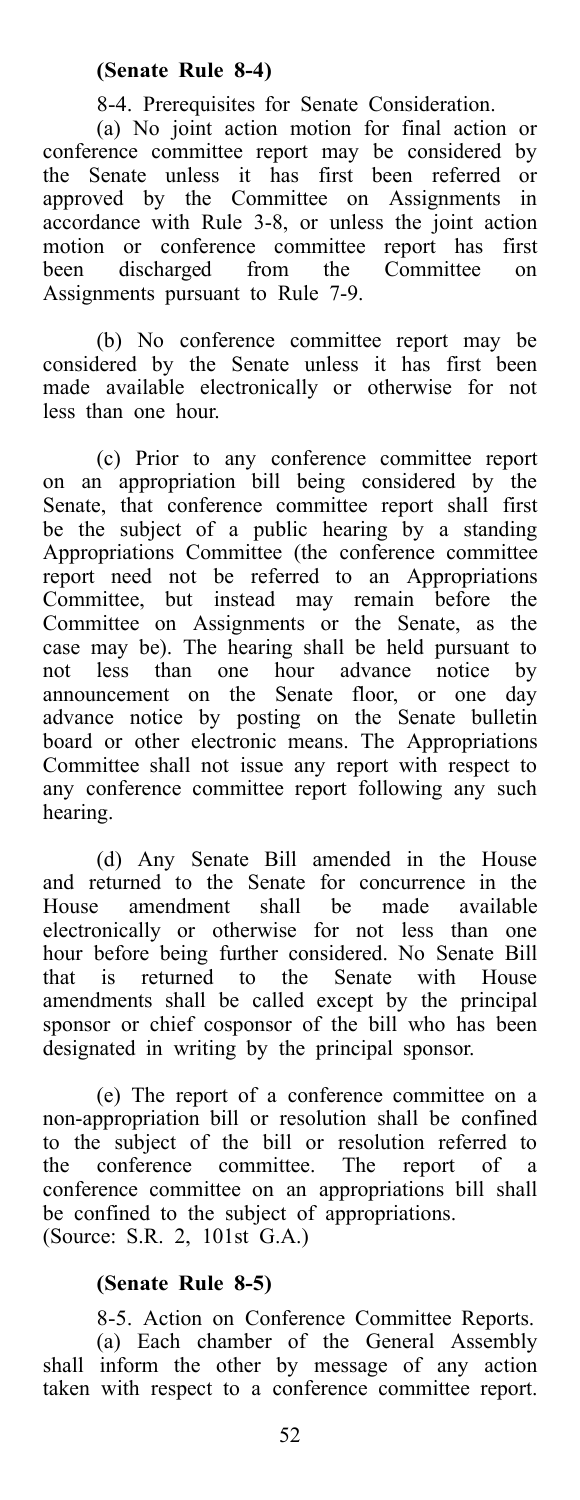### **(Senate Rule 8-4)**

8-4. Prerequisites for Senate Consideration.

(a) No joint action motion for final action or conference committee report may be considered by the Senate unless it has first been referred or approved by the Committee on Assignments in accordance with Rule 3-8, or unless the joint action motion or conference committee report has first<br>been discharged from the Committee on been discharged from the Committee on Assignments pursuant to Rule 7-9.

(b) No conference committee report may be considered by the Senate unless it has first been made available electronically or otherwise for not less than one hour.

(c) Prior to any conference committee report on an appropriation bill being considered by the Senate, that conference committee report shall first be the subject of a public hearing by a standing Appropriations Committee (the conference committee report need not be referred to an Appropriations Committee, but instead may remain before the Committee on Assignments or the Senate, as the case may be). The hearing shall be held pursuant to not less than one hour advance notice by announcement on the Senate floor, or one day advance notice by posting on the Senate bulletin board or other electronic means. The Appropriations Committee shall not issue any report with respect to any conference committee report following any such hearing.

(d) Any Senate Bill amended in the House and returned to the Senate for concurrence in the House amendment shall be made available House amendment shall be electronically or otherwise for not less than one hour before being further considered. No Senate Bill that is returned to the Senate with House amendments shall be called except by the principal sponsor or chief cosponsor of the bill who has been designated in writing by the principal sponsor.

(e) The report of a conference committee on a non-appropriation bill or resolution shall be confined to the subject of the bill or resolution referred to the conference committee. The report of a conference committee on an appropriations bill shall be confined to the subject of appropriations. (Source: S.R. 2, 101st G.A.)

### **(Senate Rule 8-5)**

8-5. Action on Conference Committee Reports. (a) Each chamber of the General Assembly shall inform the other by message of any action taken with respect to a conference committee report.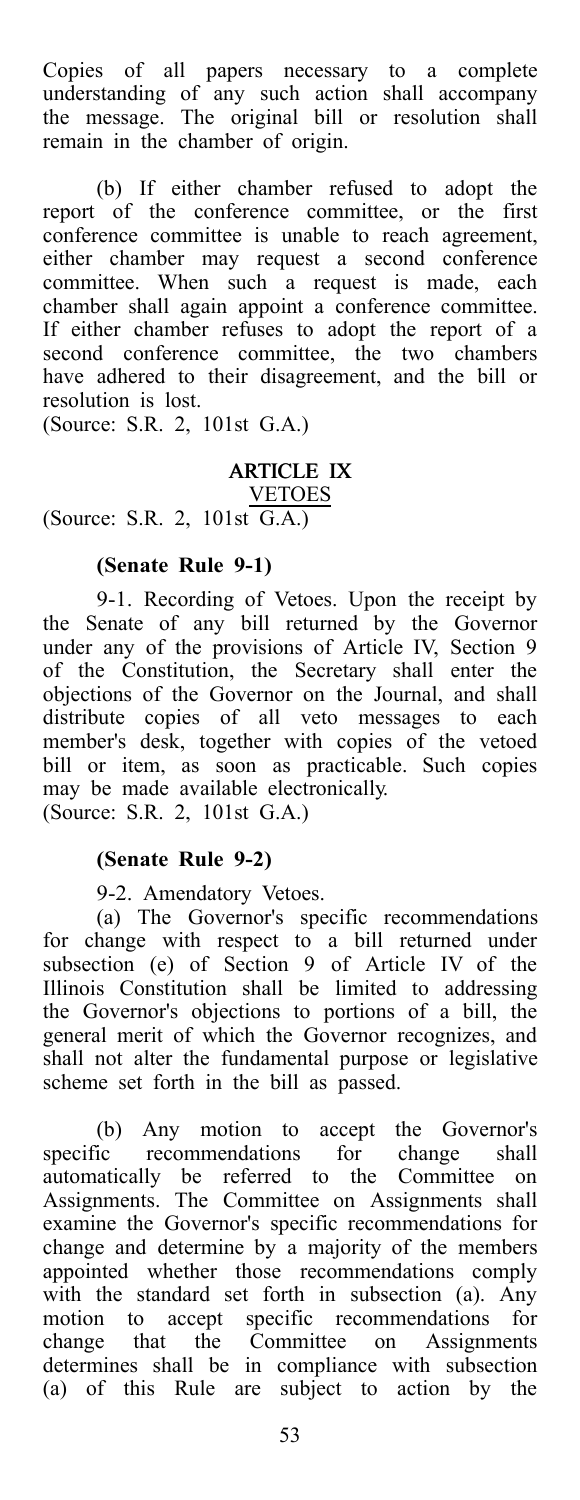Copies of all papers necessary to a complete understanding of any such action shall accompany the message. The original bill or resolution shall remain in the chamber of origin.

(b) If either chamber refused to adopt the report of the conference committee, or the first conference committee is unable to reach agreement, either chamber may request a second conference committee. When such a request is made, each chamber shall again appoint a conference committee. If either chamber refuses to adopt the report of a second conference committee, the two chambers have adhered to their disagreement, and the bill or resolution is lost.

(Source: S.R. 2, 101st G.A.)

# ARTICLE IX

VETOES (Source: S.R. 2, 101st G.A.)

# **(Senate Rule 9-1)**

9-1. Recording of Vetoes. Upon the receipt by the Senate of any bill returned by the Governor under any of the provisions of Article IV, Section 9 of the Constitution, the Secretary shall enter the objections of the Governor on the Journal, and shall distribute copies of all veto messages to each member's desk, together with copies of the vetoed bill or item, as soon as practicable. Such copies may be made available electronically.

(Source: S.R. 2, 101st G.A.)

### **(Senate Rule 9-2)**

9-2. Amendatory Vetoes.

(a) The Governor's specific recommendations for change with respect to a bill returned under subsection (e) of Section 9 of Article IV of the Illinois Constitution shall be limited to addressing the Governor's objections to portions of a bill, the general merit of which the Governor recognizes, and shall not alter the fundamental purpose or legislative scheme set forth in the bill as passed.

(b) Any motion to accept the Governor's specific recommendations for change shall automatically be referred to the Committee on Assignments. The Committee on Assignments shall examine the Governor's specific recommendations for change and determine by a majority of the members appointed whether those recommendations comply with the standard set forth in subsection (a). Any motion to accept specific recommendations for change that the Committee on Assignments determines shall be in compliance with subsection (a) of this Rule are subject to action by the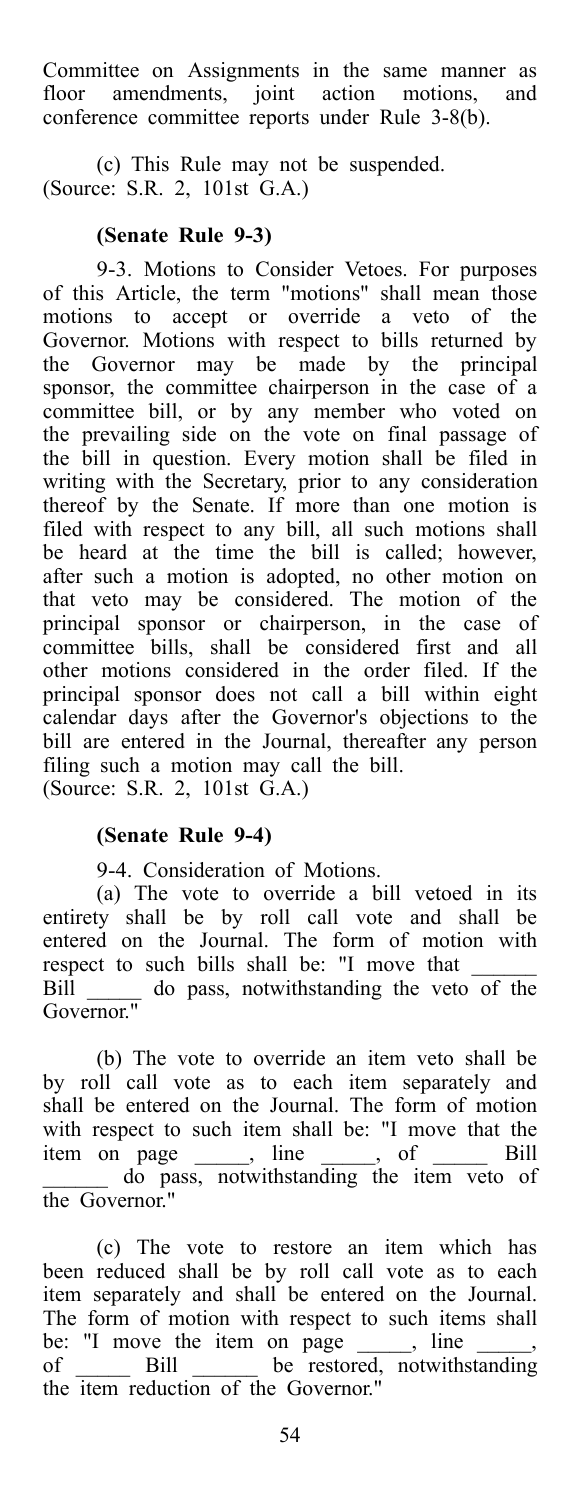Committee on Assignments in the same manner as floor amendments, joint action motions, and conference committee reports under Rule 3-8(b).

(c) This Rule may not be suspended. (Source: S.R. 2, 101st G.A.)

### **(Senate Rule 9-3)**

9-3. Motions to Consider Vetoes. For purposes of this Article, the term "motions" shall mean those motions to accept or override a veto of the Governor. Motions with respect to bills returned by the Governor may be made by the principal sponsor, the committee chairperson in the case of a committee bill, or by any member who voted on the prevailing side on the vote on final passage of the bill in question. Every motion shall be filed in writing with the Secretary, prior to any consideration thereof by the Senate. If more than one motion is filed with respect to any bill, all such motions shall be heard at the time the bill is called; however, after such a motion is adopted, no other motion on that veto may be considered. The motion of the principal sponsor or chairperson, in the case of committee bills, shall be considered first and all other motions considered in the order filed. If the principal sponsor does not call a bill within eight calendar days after the Governor's objections to the bill are entered in the Journal, thereafter any person filing such a motion may call the bill. (Source: S.R. 2, 101st G.A.)

### **(Senate Rule 9-4)**

9-4. Consideration of Motions.

(a) The vote to override a bill vetoed in its entirety shall be by roll call vote and shall be entered on the Journal. The form of motion with respect to such bills shall be: "I move that \_\_\_\_\_\_\_ Bill \_\_\_\_\_ do pass, notwithstanding the veto of the Governor."

(b) The vote to override an item veto shall be by roll call vote as to each item separately and shall be entered on the Journal. The form of motion with respect to such item shall be: "I move that the item on page \_\_\_\_\_, line \_\_\_\_\_, of \_\_\_\_\_\_ Bill \_\_\_\_\_\_ do pass, notwithstanding the item veto of the Governor."

(c) The vote to restore an item which has been reduced shall be by roll call vote as to each item separately and shall be entered on the Journal. The form of motion with respect to such items shall be: "I move the item on page  $\frac{1}{\sqrt{2\pi}}$ , line of \_\_\_\_\_\_ Bill \_\_\_\_\_\_ be restored, notwithstanding the item reduction of the Governor."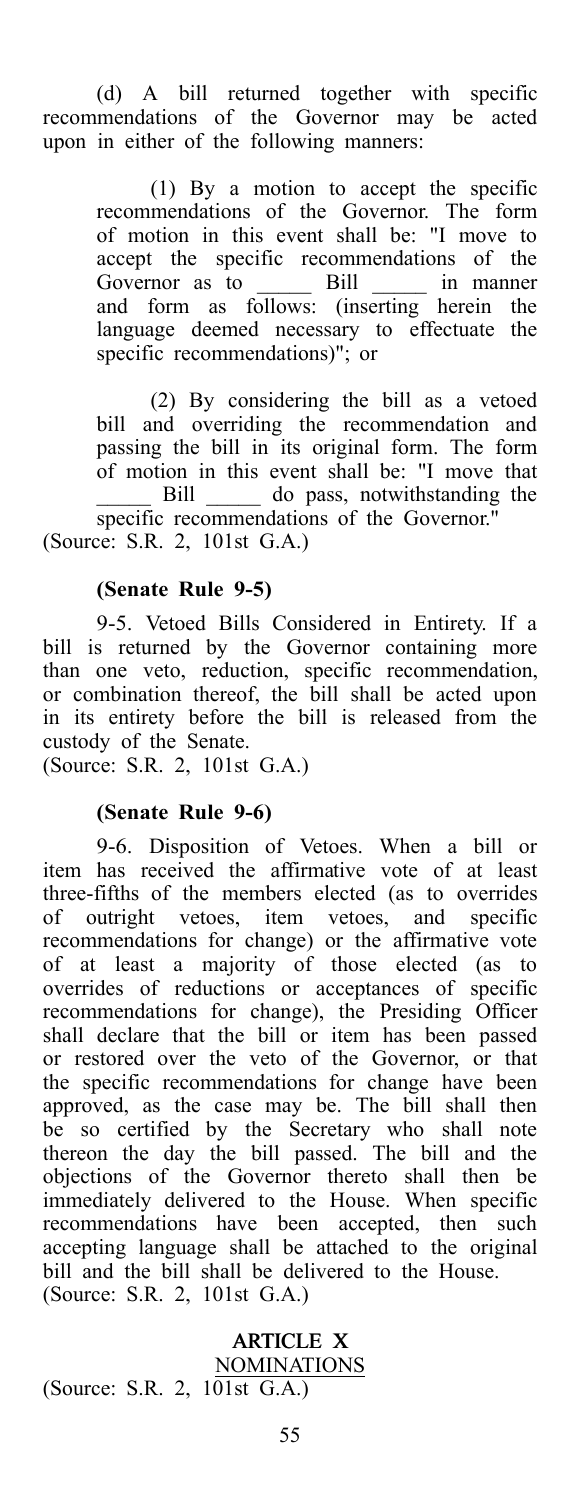(d) A bill returned together with specific recommendations of the Governor may be acted upon in either of the following manners:

> (1) By a motion to accept the specific recommendations of the Governor. The form of motion in this event shall be: "I move to accept the specific recommendations of the Governor as to \_\_\_\_\_\_\_ Bill \_\_\_\_\_\_ in manner and form as follows: (inserting herein the language deemed necessary to effectuate the specific recommendations)"; or

(2) By considering the bill as a vetoed bill and overriding the recommendation and passing the bill in its original form. The form of motion in this event shall be: "I move that Bill \_\_\_\_\_\_ do pass, notwithstanding the specific recommendations of the Governor.'

(Source: S.R. 2, 101st G.A.)

### **(Senate Rule 9-5)**

9-5. Vetoed Bills Considered in Entirety. If a bill is returned by the Governor containing more than one veto, reduction, specific recommendation, or combination thereof, the bill shall be acted upon in its entirety before the bill is released from the custody of the Senate.

(Source: S.R. 2, 101st G.A.)

### **(Senate Rule 9-6)**

9-6. Disposition of Vetoes. When a bill or item has received the affirmative vote of at least three-fifths of the members elected (as to overrides of outright vetoes, item vetoes, and specific recommendations for change) or the affirmative vote of at least a majority of those elected (as to overrides of reductions or acceptances of specific recommendations for change), the Presiding Officer shall declare that the bill or item has been passed or restored over the veto of the Governor, or that the specific recommendations for change have been approved, as the case may be. The bill shall then be so certified by the Secretary who shall note thereon the day the bill passed. The bill and the objections of the Governor thereto shall then be immediately delivered to the House. When specific recommendations have been accepted, then such accepting language shall be attached to the original bill and the bill shall be delivered to the House. (Source: S.R. 2, 101st G.A.)

### ARTICLE X NOMINATIONS

(Source: S.R. 2, 101st G.A.)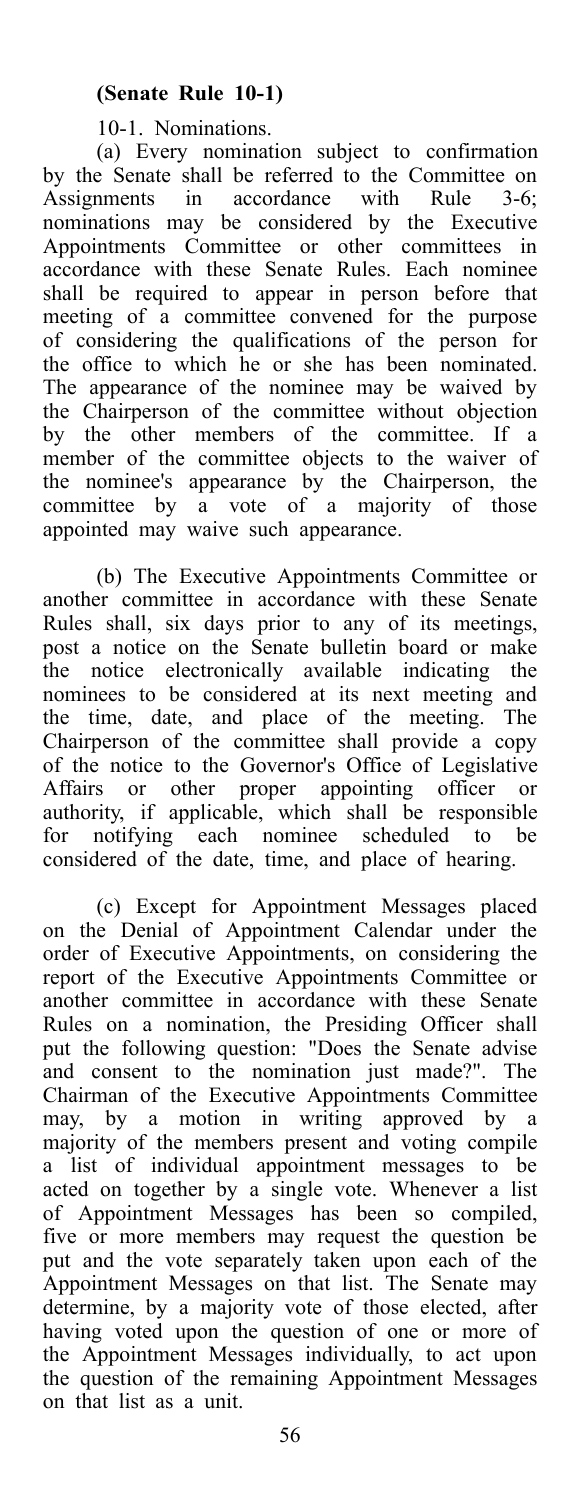10-1. Nominations.

(a) Every nomination subject to confirmation by the Senate shall be referred to the Committee on Assignments in accordance with Rule 3-6; nominations may be considered by the Executive Appointments Committee or other committees in accordance with these Senate Rules. Each nominee shall be required to appear in person before that meeting of a committee convened for the purpose of considering the qualifications of the person for the office to which he or she has been nominated. The appearance of the nominee may be waived by the Chairperson of the committee without objection by the other members of the committee. If a member of the committee objects to the waiver of the nominee's appearance by the Chairperson, the committee by a vote of a majority of those appointed may waive such appearance.

(b) The Executive Appointments Committee or another committee in accordance with these Senate Rules shall, six days prior to any of its meetings, post a notice on the Senate bulletin board or make the notice electronically available indicating the nominees to be considered at its next meeting and the time, date, and place of the meeting. The Chairperson of the committee shall provide a copy of the notice to the Governor's Office of Legislative Affairs or other proper appointing officer or authority, if applicable, which shall be responsible for notifying each nominee scheduled to be considered of the date, time, and place of hearing.

(c) Except for Appointment Messages placed on the Denial of Appointment Calendar under the order of Executive Appointments, on considering the report of the Executive Appointments Committee or another committee in accordance with these Senate Rules on a nomination, the Presiding Officer shall put the following question: "Does the Senate advise and consent to the nomination just made?". The Chairman of the Executive Appointments Committee may, by a motion in writing approved by a majority of the members present and voting compile a list of individual appointment messages to be acted on together by a single vote. Whenever a list of Appointment Messages has been so compiled, five or more members may request the question be put and the vote separately taken upon each of the Appointment Messages on that list. The Senate may determine, by a majority vote of those elected, after having voted upon the question of one or more of the Appointment Messages individually, to act upon the question of the remaining Appointment Messages on that list as a unit.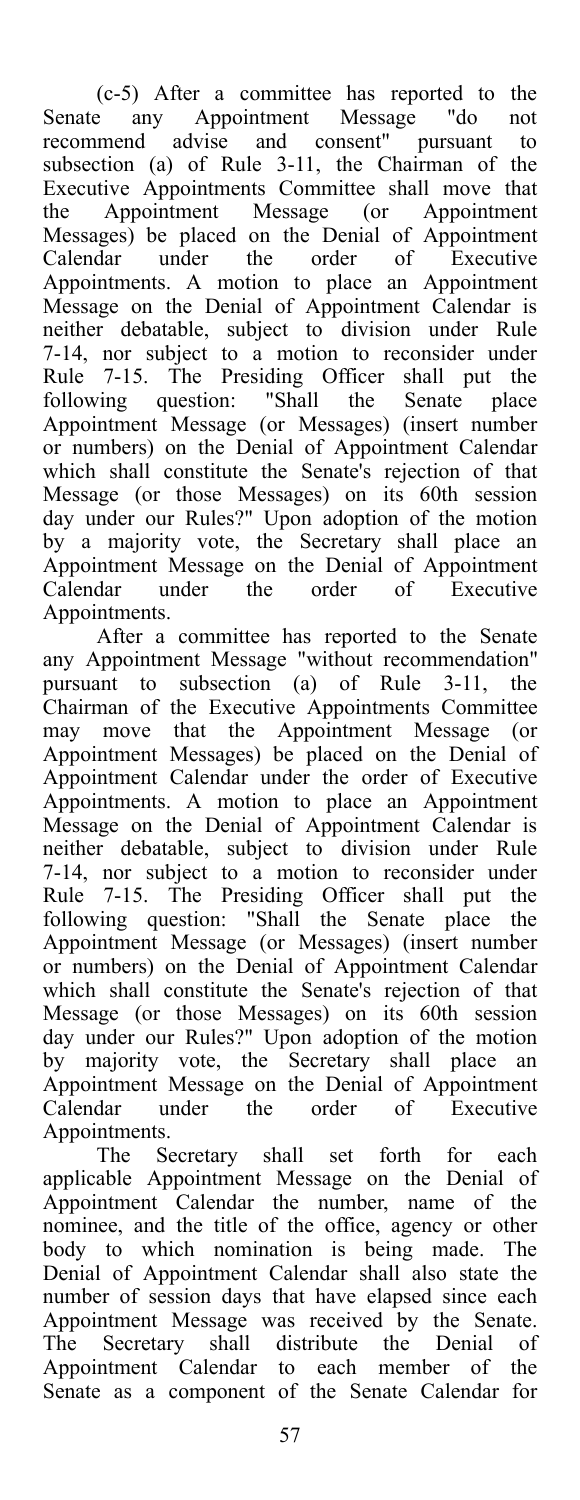(c-5) After a committee has reported to the Senate any Appointment Message "do not recommend advise and consent" pursuant to subsection (a) of Rule 3-11, the Chairman of the Executive Appointments Committee shall move that the Appointment Message (or Appointment Messages) be placed on the Denial of Appointment Calendar under the order of Executive Appointments. A motion to place an Appointment Message on the Denial of Appointment Calendar is neither debatable, subject to division under Rule 7-14, nor subject to a motion to reconsider under Rule 7-15. The Presiding Officer shall put the following question: "Shall the Senate place following question: "Shall the Senate place<br>Appointment Message (or Messages) (insert number or numbers) on the Denial of Appointment Calendar which shall constitute the Senate's rejection of that Message (or those Messages) on its 60th session day under our Rules?" Upon adoption of the motion by a majority vote, the Secretary shall place an Appointment Message on the Denial of Appointment Calendar under the order of Executive Appointments.

After a committee has reported to the Senate any Appointment Message "without recommendation" pursuant to subsection (a) of Rule 3-11, the Chairman of the Executive Appointments Committee may move that the Appointment Message (or Appointment Messages) be placed on the Denial of Appointment Calendar under the order of Executive Appointments. A motion to place an Appointment Message on the Denial of Appointment Calendar is neither debatable, subject to division under Rule 7-14, nor subject to a motion to reconsider under Rule 7-15. The Presiding Officer shall put the following question: "Shall the Senate place the Appointment Message (or Messages) (insert number or numbers) on the Denial of Appointment Calendar which shall constitute the Senate's rejection of that Message (or those Messages) on its 60th session day under our Rules?" Upon adoption of the motion by majority vote, the Secretary shall place an Appointment Message on the Denial of Appointment<br>Calendar under the order of Executive Calendar under Appointments.

The Secretary shall set forth for each applicable Appointment Message on the Denial of Appointment Calendar the number, name of the nominee, and the title of the office, agency or other body to which nomination is being made. The Denial of Appointment Calendar shall also state the number of session days that have elapsed since each Appointment Message was received by the Senate. The Secretary shall distribute the Denial of Appointment Calendar to each member of the Senate as a component of the Senate Calendar for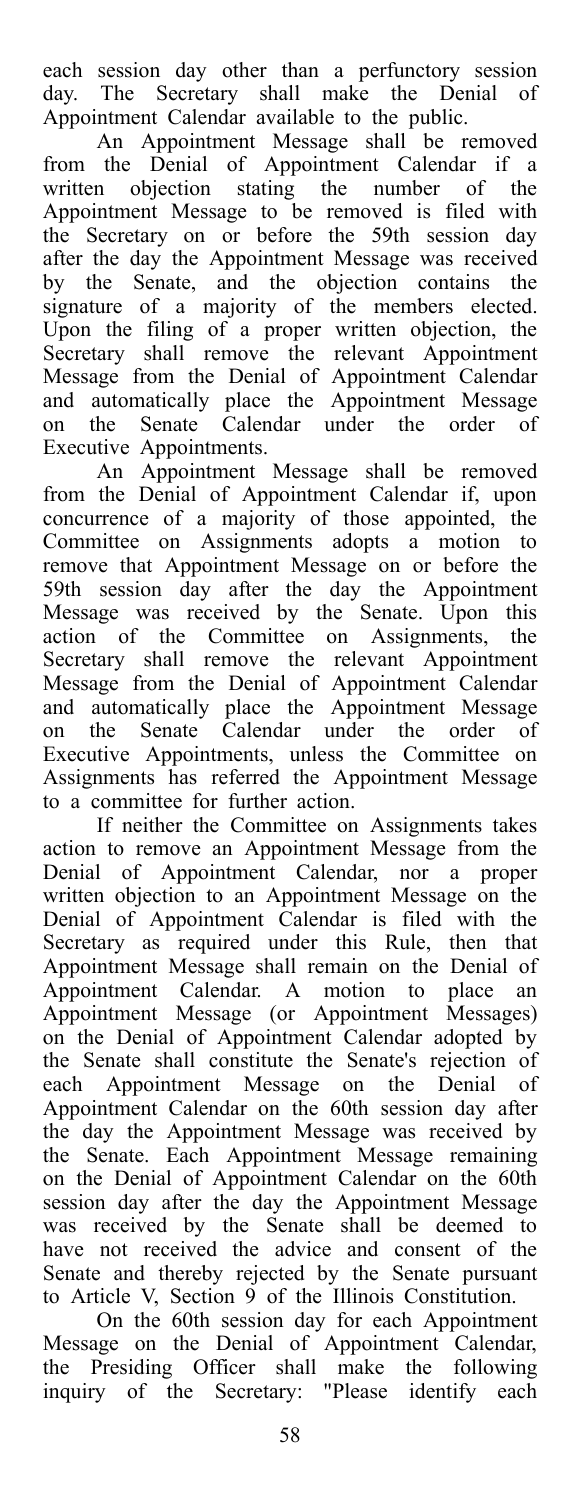each session day other than a perfunctory session day. The Secretary shall make the Denial of Appointment Calendar available to the public.

An Appointment Message shall be removed from the Denial of Appointment Calendar if a written objection stating the number of the Appointment Message to be removed is filed with the Secretary on or before the 59th session day after the day the Appointment Message was received by the Senate, and the objection contains the signature of a majority of the members elected. Upon the filing of a proper written objection, the Secretary shall remove the relevant Appointment Message from the Denial of Appointment Calendar and automatically place the Appointment Message on the Senate Calendar under the order of Executive Appointments.

An Appointment Message shall be removed from the Denial of Appointment Calendar if, upon concurrence of a majority of those appointed, the Committee on Assignments adopts a motion to remove that Appointment Message on or before the 59th session day after the day the Appointment Message was received by the Senate. Upon this action of the Committee on Assignments, the Secretary shall remove the relevant Appointment Message from the Denial of Appointment Calendar and automatically place the Appointment Message on the Senate Calendar under the order of Executive Appointments, unless the Committee on Assignments has referred the Appointment Message to a committee for further action.

If neither the Committee on Assignments takes action to remove an Appointment Message from the Denial of Appointment Calendar, nor a proper written objection to an Appointment Message on the Denial of Appointment Calendar is filed with the Secretary as required under this Rule, then that Appointment Message shall remain on the Denial of Appointment Calendar. A motion to place an Appointment Message (or Appointment Messages) on the Denial of Appointment Calendar adopted by the Senate shall constitute the Senate's rejection of each Appointment Message on the Denial of Appointment Calendar on the 60th session day after the day the Appointment Message was received by the Senate. Each Appointment Message remaining on the Denial of Appointment Calendar on the 60th session day after the day the Appointment Message was received by the Senate shall be deemed to have not received the advice and consent of the Senate and thereby rejected by the Senate pursuant to Article V, Section 9 of the Illinois Constitution.

On the 60th session day for each Appointment Message on the Denial of Appointment Calendar, the Presiding Officer shall make the following inquiry of the Secretary: "Please identify each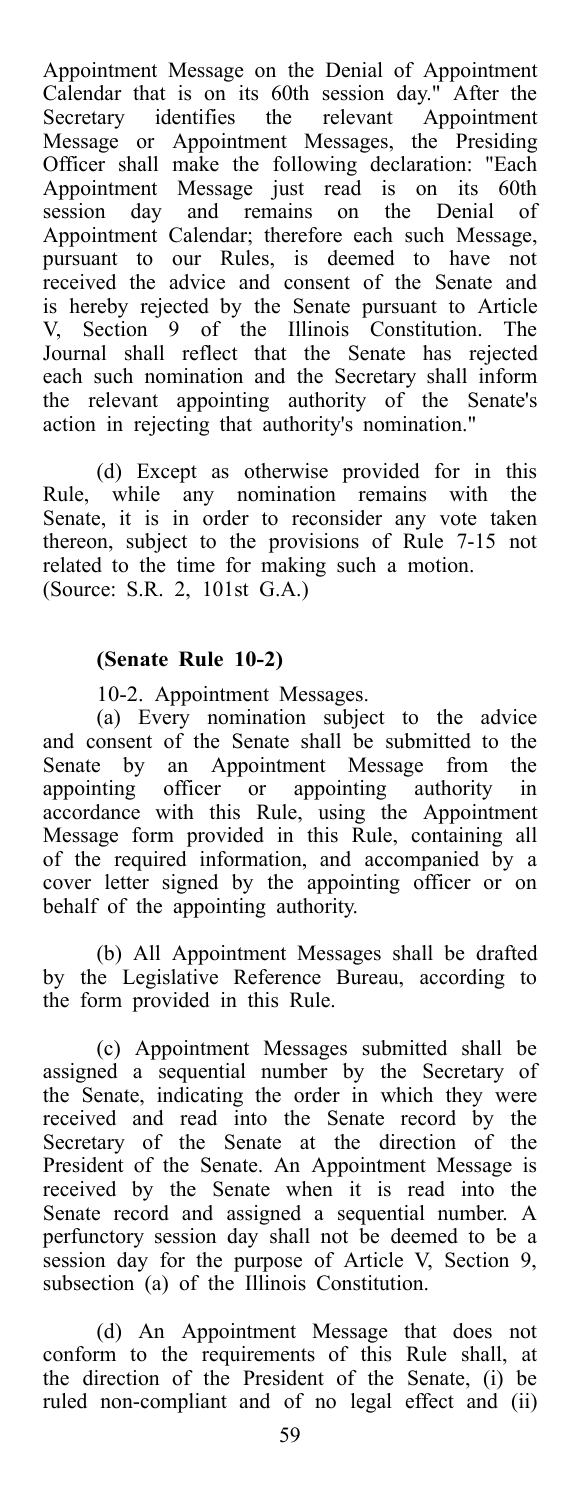Appointment Message on the Denial of Appointment Calendar that is on its 60th session day." After the Secretary identifies the relevant Appointment Message or Appointment Messages, the Presiding Officer shall make the following declaration: "Each Appointment Message just read is on its 60th session day and remains on the Denial of Appointment Calendar; therefore each such Message, pursuant to our Rules, is deemed to have not received the advice and consent of the Senate and is hereby rejected by the Senate pursuant to Article V, Section 9 of the Illinois Constitution. The Journal shall reflect that the Senate has rejected each such nomination and the Secretary shall inform the relevant appointing authority of the Senate's action in rejecting that authority's nomination."

(d) Except as otherwise provided for in this Rule, while any nomination remains with the Senate, it is in order to reconsider any vote taken thereon, subject to the provisions of Rule 7-15 not related to the time for making such a motion. (Source: S.R. 2, 101st G.A.)

#### **(Senate Rule 10-2)**

10-2. Appointment Messages.

(a) Every nomination subject to the advice and consent of the Senate shall be submitted to the Senate by an Appointment Message from the appointing officer or appointing authority in accordance with this Rule, using the Appointment Message form provided in this Rule, containing all of the required information, and accompanied by a cover letter signed by the appointing officer or on behalf of the appointing authority.

(b) All Appointment Messages shall be drafted by the Legislative Reference Bureau, according to the form provided in this Rule.

(c) Appointment Messages submitted shall be assigned a sequential number by the Secretary of the Senate, indicating the order in which they were received and read into the Senate record by the Secretary of the Senate at the direction of the President of the Senate. An Appointment Message is received by the Senate when it is read into the Senate record and assigned a sequential number. A perfunctory session day shall not be deemed to be a session day for the purpose of Article V, Section 9, subsection (a) of the Illinois Constitution.

(d) An Appointment Message that does not conform to the requirements of this Rule shall, at the direction of the President of the Senate, (i) be ruled non-compliant and of no legal effect and (ii)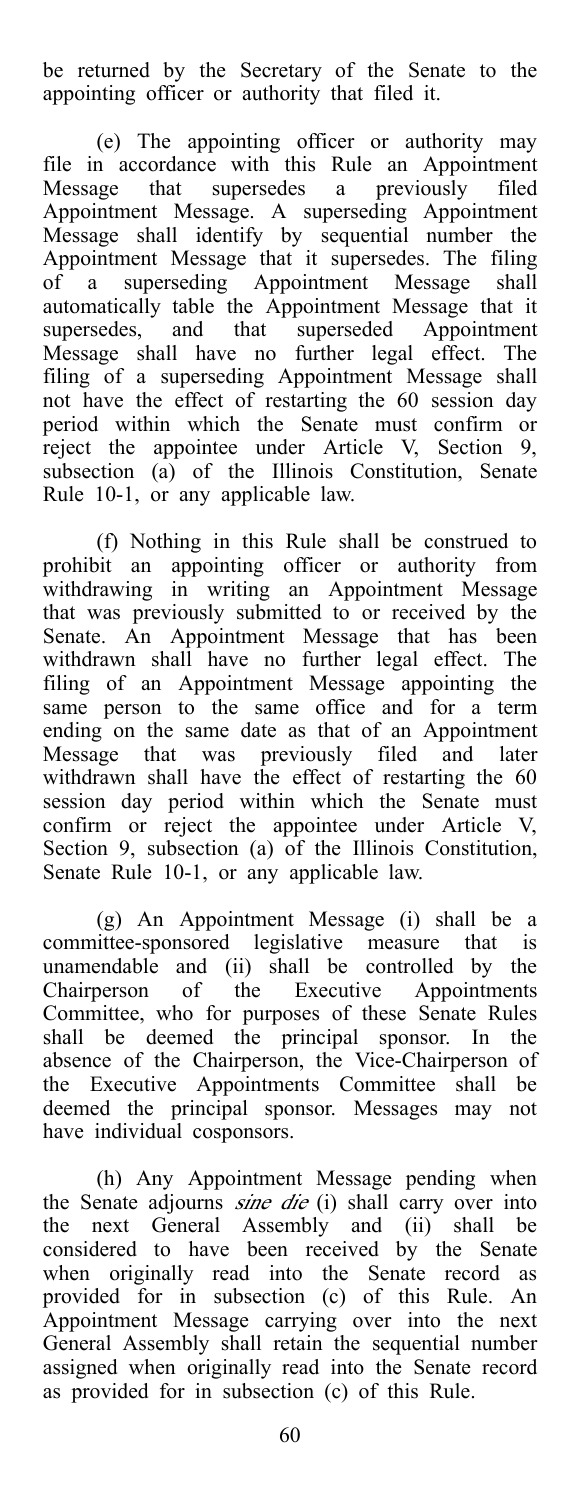be returned by the Secretary of the Senate to the appointing officer or authority that filed it.

(e) The appointing officer or authority may file in accordance with this Rule an Appointment Message that supersedes a previously filed Appointment Message. A superseding Appointment Message shall identify by sequential number the Appointment Message that it supersedes. The filing of a superseding Appointment Message shall automatically table the Appointment Message that it supersedes, and that superseded Appointment Message shall have no further legal effect. The filing of a superseding Appointment Message shall not have the effect of restarting the 60 session day period within which the Senate must confirm or reject the appointee under Article V, Section 9, subsection (a) of the Illinois Constitution, Senate Rule 10-1, or any applicable law.

(f) Nothing in this Rule shall be construed to prohibit an appointing officer or authority from withdrawing in writing an Appointment Message that was previously submitted to or received by the Senate. An Appointment Message that has been withdrawn shall have no further legal effect. The filing of an Appointment Message appointing the same person to the same office and for a term ending on the same date as that of an Appointment Message that was previously filed and later withdrawn shall have the effect of restarting the 60 session day period within which the Senate must confirm or reject the appointee under Article V, Section 9, subsection (a) of the Illinois Constitution, Senate Rule 10-1, or any applicable law.

(g) An Appointment Message (i) shall be a committee-sponsored legislative measure that is unamendable and (ii) shall be controlled by the Chairperson of the Executive Appointments Committee, who for purposes of these Senate Rules shall be deemed the principal sponsor. In the absence of the Chairperson, the Vice-Chairperson of the Executive Appointments Committee shall be deemed the principal sponsor. Messages may not have individual cosponsors.

(h) Any Appointment Message pending when the Senate adjourns *sine die* (i) shall carry over into the next General Assembly and (ii) shall be considered to have been received by the Senate when originally read into the Senate record as provided for in subsection (c) of this Rule. An Appointment Message carrying over into the next General Assembly shall retain the sequential number assigned when originally read into the Senate record as provided for in subsection (c) of this Rule.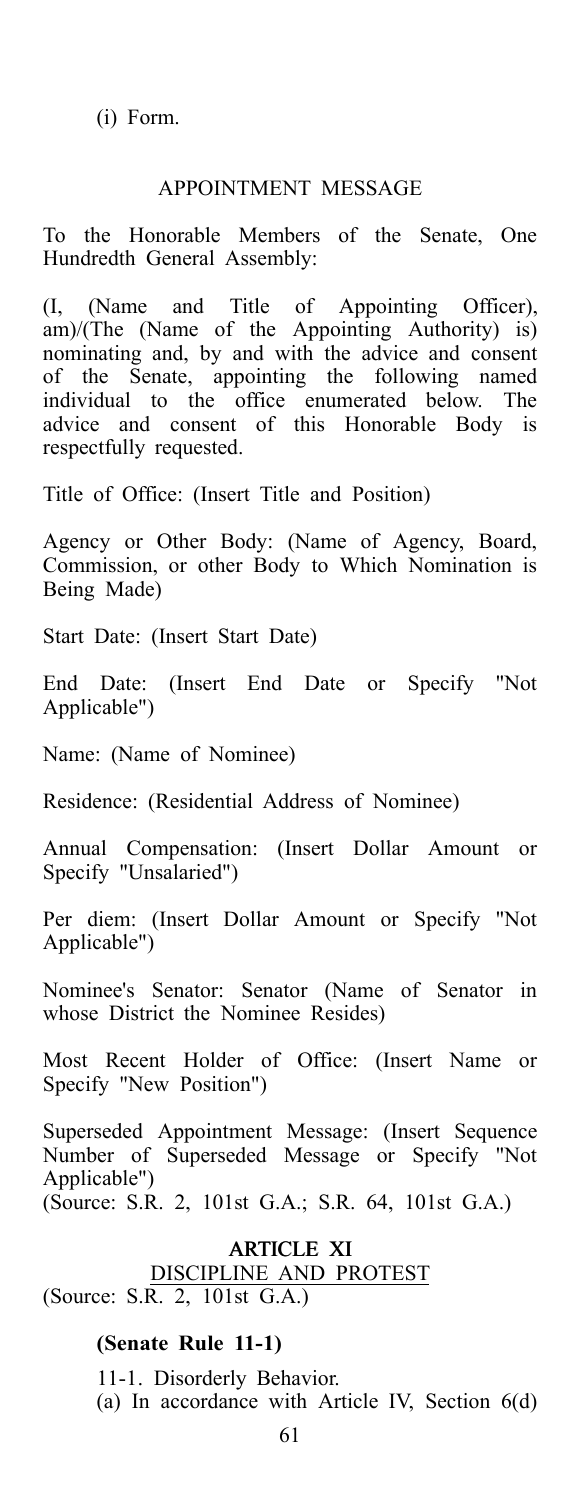(i) Form.

### APPOINTMENT MESSAGE

To the Honorable Members of the Senate, One Hundredth General Assembly:

(I, (Name and Title of Appointing Officer),  $\lim_{x \to a} \lim_{x \to a} \lim_{x \to a} \lim_{x \to a} \lim_{x \to a} \lim_{x \to a} \lim_{x \to a} \lim_{x \to a} \lim_{x \to a} \lim_{x \to a} \lim_{x \to a} \lim_{x \to a} \lim_{x \to a} \lim_{x \to a} \lim_{x \to a} \lim_{x \to a} \lim_{x \to a} \lim_{x \to a} \lim_{x \to a} \lim_{x \to a} \lim_{x \to a} \lim_{x \to a} \lim_{x \to a} \lim_{x \to a} \lim_{x \to a} \lim_{x \to a} \lim_{x \to a} \lim_{x$ nominating and, by and with the advice and consent of the Senate, appointing the following named individual to the office enumerated below. The advice and consent of this Honorable Body is respectfully requested.

Title of Office: (Insert Title and Position)

Agency or Other Body: (Name of Agency, Board, Commission, or other Body to Which Nomination is Being Made)

Start Date: (Insert Start Date)

End Date: (Insert End Date or Specify "Not Applicable")

Name: (Name of Nominee)

Residence: (Residential Address of Nominee)

Annual Compensation: (Insert Dollar Amount or Specify "Unsalaried")

Per diem: (Insert Dollar Amount or Specify "Not Applicable")

Nominee's Senator: Senator (Name of Senator in whose District the Nominee Resides)

Most Recent Holder of Office: (Insert Name or Specify "New Position")

Superseded Appointment Message: (Insert Sequence Number of Superseded Message or Specify "Not Applicable") (Source: S.R. 2, 101st G.A.; S.R. 64, 101st G.A.)

### ARTICLE XI DISCIPLINE AND PROTEST (Source: S.R. 2, 101st G.A.)

#### **(Senate Rule 11-1)**

11-1. Disorderly Behavior. (a) In accordance with Article IV, Section 6(d)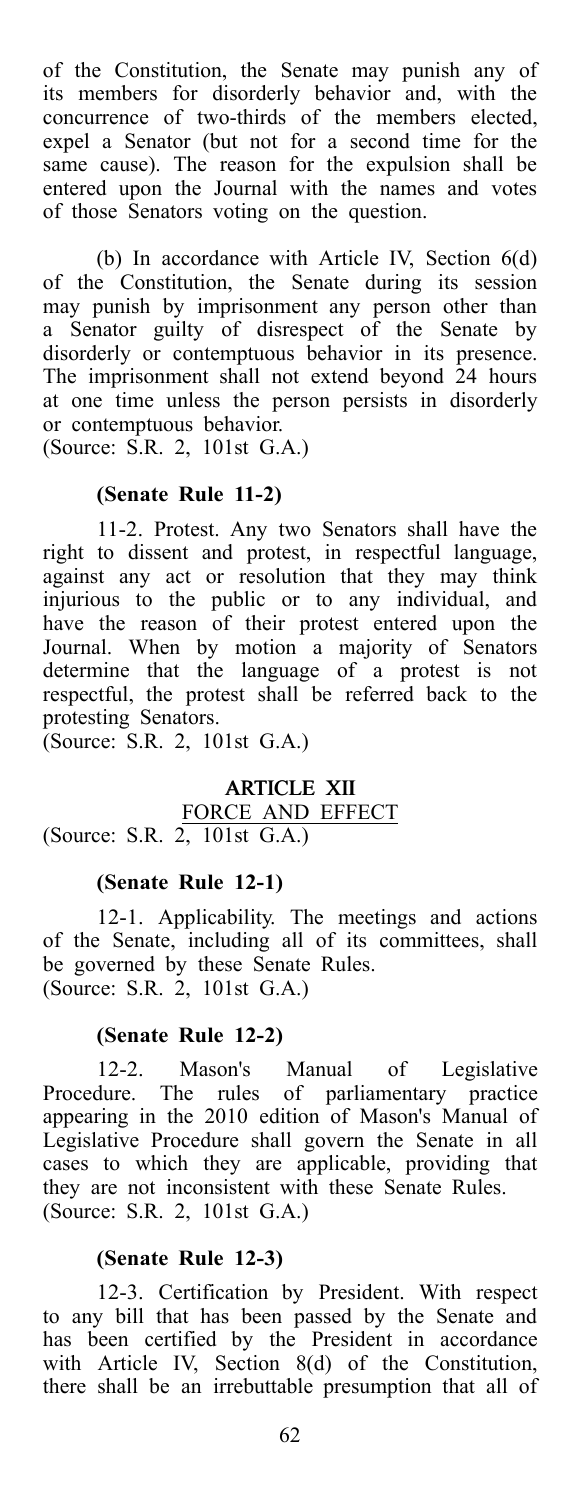of the Constitution, the Senate may punish any of its members for disorderly behavior and, with the concurrence of two-thirds of the members elected, expel a Senator (but not for a second time for the same cause). The reason for the expulsion shall be entered upon the Journal with the names and votes of those Senators voting on the question.

(b) In accordance with Article IV, Section 6(d) of the Constitution, the Senate during its session may punish by imprisonment any person other than a Senator guilty of disrespect of the Senate by disorderly or contemptuous behavior in its presence. The imprisonment shall not extend beyond 24 hours at one time unless the person persists in disorderly or contemptuous behavior.

(Source: S.R. 2, 101st G.A.)

### **(Senate Rule 11-2)**

11-2. Protest. Any two Senators shall have the right to dissent and protest, in respectful language, against any act or resolution that they may think injurious to the public or to any individual, and have the reason of their protest entered upon the Journal. When by motion a majority of Senators determine that the language of a protest is not respectful, the protest shall be referred back to the protesting Senators.

(Source: S.R. 2, 101st G.A.)

#### ARTICLE XII FORCE AND EFFECT (Source: S.R. 2, 101st G.A.)

### **(Senate Rule 12-1)**

12-1. Applicability. The meetings and actions of the Senate, including all of its committees, shall be governed by these Senate Rules. (Source: S.R. 2, 101st G.A.)

### **(Senate Rule 12-2)**

12-2. Mason's Manual of Legislative Procedure. The rules of parliamentary practice appearing in the 2010 edition of Mason's Manual of Legislative Procedure shall govern the Senate in all cases to which they are applicable, providing that they are not inconsistent with these Senate Rules. (Source: S.R. 2, 101st G.A.)

#### **(Senate Rule 12-3)**

12-3. Certification by President. With respect to any bill that has been passed by the Senate and has been certified by the President in accordance with Article IV, Section 8(d) of the Constitution, there shall be an irrebuttable presumption that all of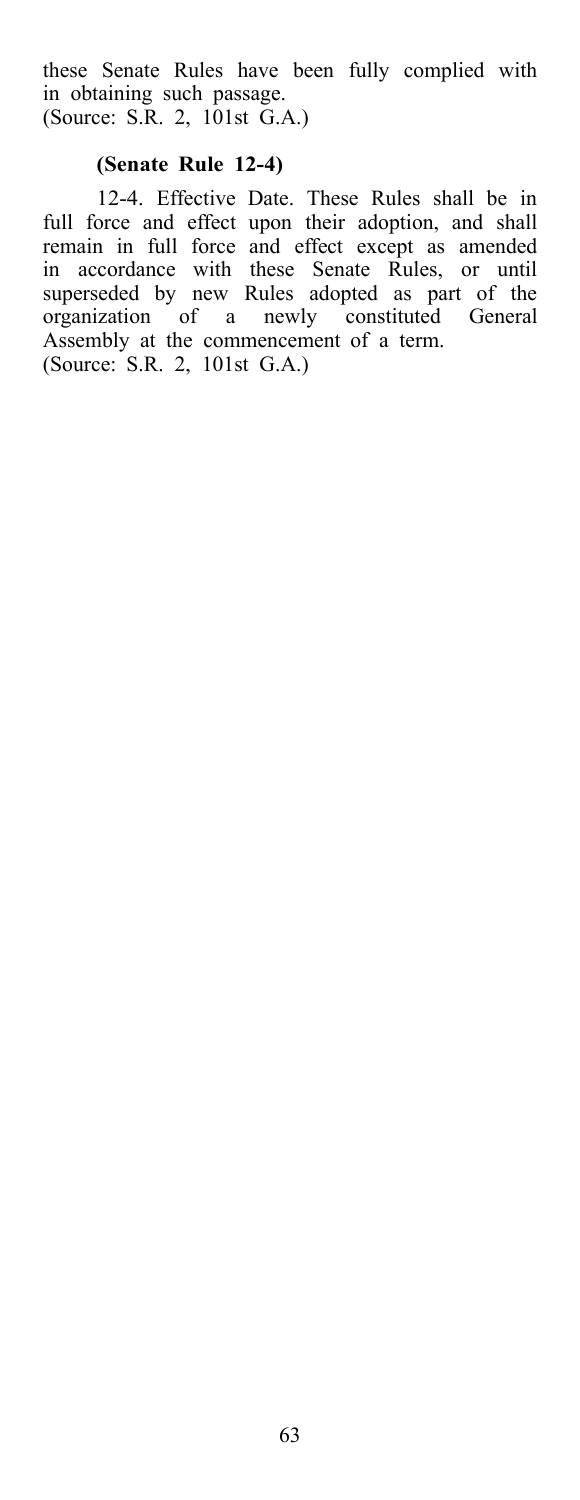these Senate Rules have been fully complied with in obtaining such passage. (Source: S.R. 2, 101st G.A.)

### **(Senate Rule 12-4)**

12-4. Effective Date. These Rules shall be in full force and effect upon their adoption, and shall remain in full force and effect except as amended in accordance with these Senate Rules, or until superseded by new Rules adopted as part of the organization of a newly constituted General Assembly at the commencement of a term. (Source: S.R. 2, 101st G.A.)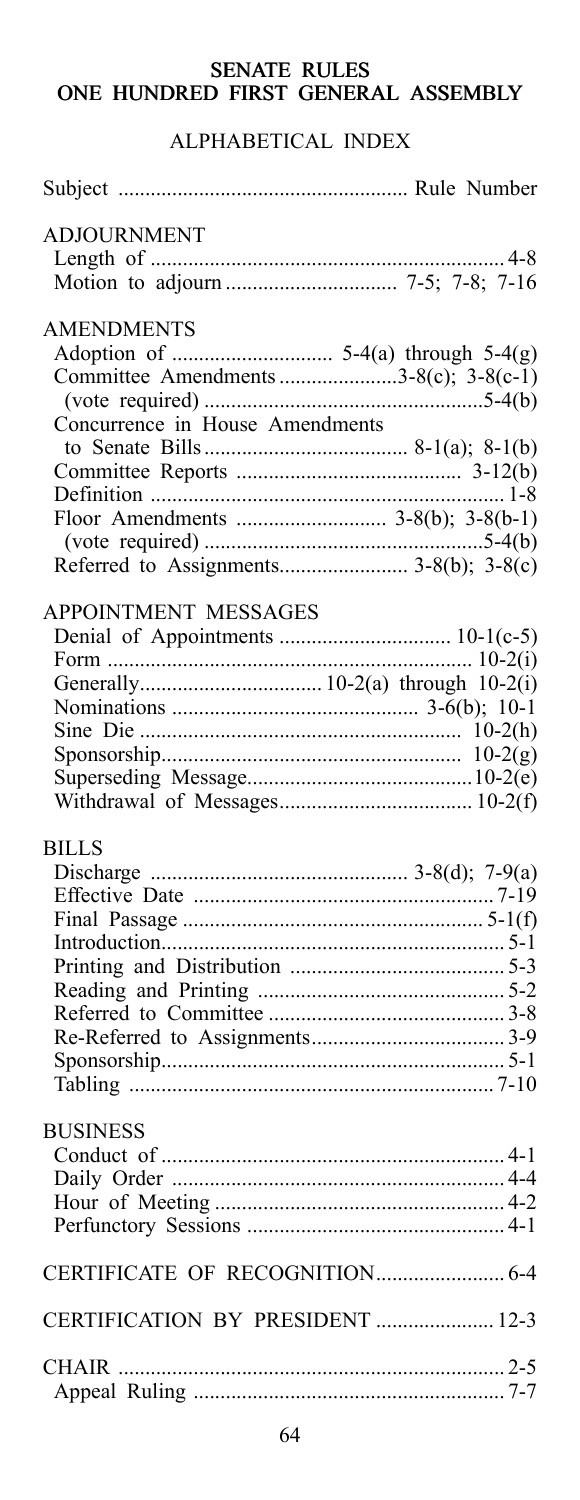## **SENATE RULES** ONE HUNDRED FIRST GENERAL ASSEMBLY

# ALPHABETICAL INDEX

| <b>ADJOURNMENT</b>                     |  |
|----------------------------------------|--|
|                                        |  |
|                                        |  |
| <b>AMENDMENTS</b>                      |  |
|                                        |  |
|                                        |  |
| Committee Amendments 3-8(c); 3-8(c-1)  |  |
|                                        |  |
| Concurrence in House Amendments        |  |
|                                        |  |
|                                        |  |
|                                        |  |
| Floor Amendments  3-8(b); 3-8(b-1)     |  |
|                                        |  |
| Referred to Assignments 3-8(b); 3-8(c) |  |
| APPOINTMENT MESSAGES                   |  |
|                                        |  |
|                                        |  |
|                                        |  |
|                                        |  |
|                                        |  |
|                                        |  |
|                                        |  |
|                                        |  |
|                                        |  |
| <b>BILLS</b>                           |  |
|                                        |  |
|                                        |  |
|                                        |  |
|                                        |  |
|                                        |  |
|                                        |  |
|                                        |  |
|                                        |  |
|                                        |  |
|                                        |  |
|                                        |  |
| <b>BUSINESS</b>                        |  |
|                                        |  |
|                                        |  |
|                                        |  |
|                                        |  |
|                                        |  |
|                                        |  |
| CERTIFICATION BY PRESIDENT  12-3       |  |
|                                        |  |
|                                        |  |
|                                        |  |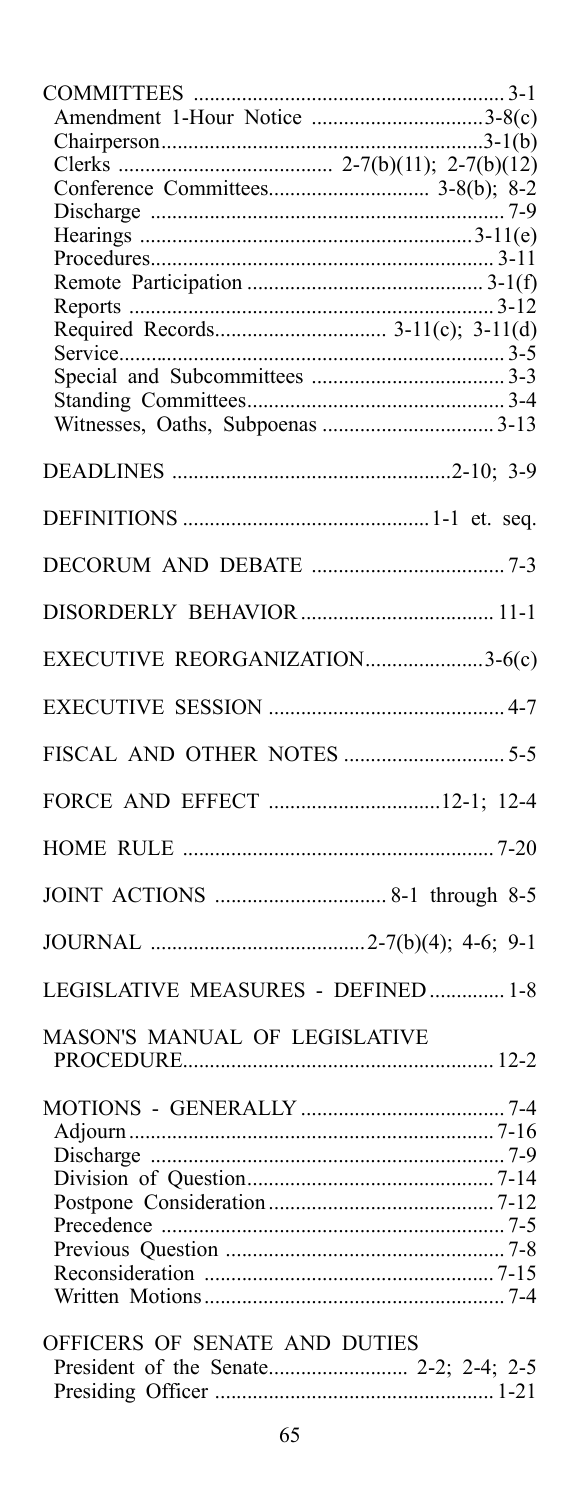| Amendment 1-Hour Notice 3-8(c)     |
|------------------------------------|
|                                    |
|                                    |
|                                    |
|                                    |
|                                    |
|                                    |
|                                    |
|                                    |
| Required Records 3-11(c); 3-11(d)  |
|                                    |
|                                    |
|                                    |
|                                    |
|                                    |
|                                    |
|                                    |
|                                    |
|                                    |
|                                    |
|                                    |
|                                    |
|                                    |
| EXECUTIVE REORGANIZATION3-6(c)     |
|                                    |
|                                    |
|                                    |
|                                    |
|                                    |
|                                    |
|                                    |
|                                    |
|                                    |
|                                    |
|                                    |
|                                    |
|                                    |
| LEGISLATIVE MEASURES - DEFINED 1-8 |
|                                    |
| MASON'S MANUAL OF LEGISLATIVE      |
|                                    |
|                                    |
|                                    |
|                                    |
|                                    |
|                                    |
|                                    |
|                                    |
|                                    |
|                                    |
|                                    |
|                                    |
| OFFICERS OF SENATE AND DUTIES      |
|                                    |
|                                    |